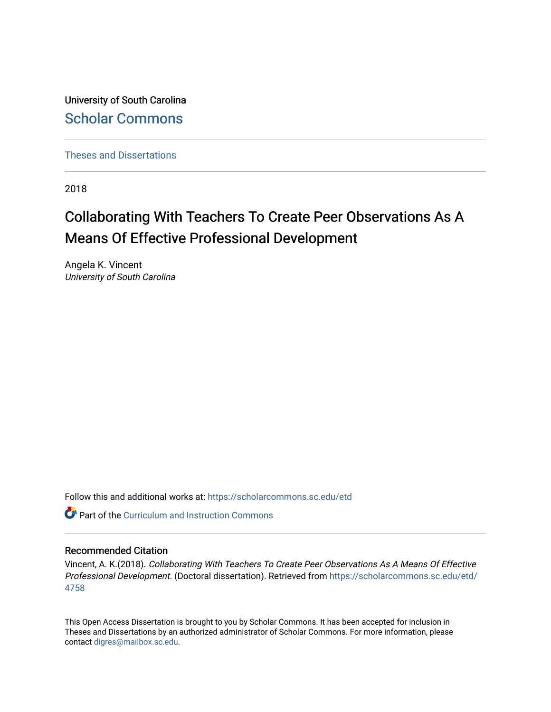University of South Carolina [Scholar Commons](https://scholarcommons.sc.edu/) 

[Theses and Dissertations](https://scholarcommons.sc.edu/etd)

2018

# Collaborating With Teachers To Create Peer Observations As A Means Of Effective Professional Development

Angela K. Vincent University of South Carolina

Follow this and additional works at: [https://scholarcommons.sc.edu/etd](https://scholarcommons.sc.edu/etd?utm_source=scholarcommons.sc.edu%2Fetd%2F4758&utm_medium=PDF&utm_campaign=PDFCoverPages)

**Part of the Curriculum and Instruction Commons** 

#### Recommended Citation

Vincent, A. K.(2018). Collaborating With Teachers To Create Peer Observations As A Means Of Effective Professional Development. (Doctoral dissertation). Retrieved from [https://scholarcommons.sc.edu/etd/](https://scholarcommons.sc.edu/etd/4758?utm_source=scholarcommons.sc.edu%2Fetd%2F4758&utm_medium=PDF&utm_campaign=PDFCoverPages) [4758](https://scholarcommons.sc.edu/etd/4758?utm_source=scholarcommons.sc.edu%2Fetd%2F4758&utm_medium=PDF&utm_campaign=PDFCoverPages)

This Open Access Dissertation is brought to you by Scholar Commons. It has been accepted for inclusion in Theses and Dissertations by an authorized administrator of Scholar Commons. For more information, please contact [digres@mailbox.sc.edu.](mailto:digres@mailbox.sc.edu)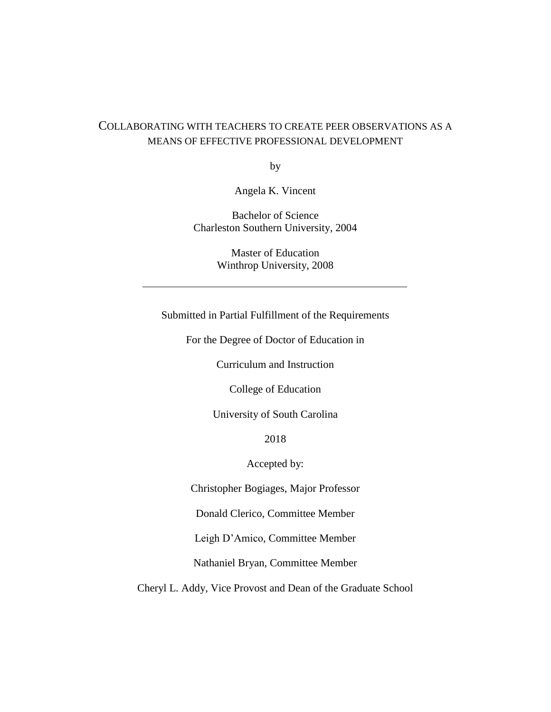## COLLABORATING WITH TEACHERS TO CREATE PEER OBSERVATIONS AS A MEANS OF EFFECTIVE PROFESSIONAL DEVELOPMENT

by

Angela K. Vincent

Bachelor of Science Charleston Southern University, 2004

> Master of Education Winthrop University, 2008

Submitted in Partial Fulfillment of the Requirements

For the Degree of Doctor of Education in

Curriculum and Instruction

College of Education

University of South Carolina

2018

Accepted by:

Christopher Bogiages, Major Professor

Donald Clerico, Committee Member

Leigh D'Amico, Committee Member

Nathaniel Bryan, Committee Member

Cheryl L. Addy, Vice Provost and Dean of the Graduate School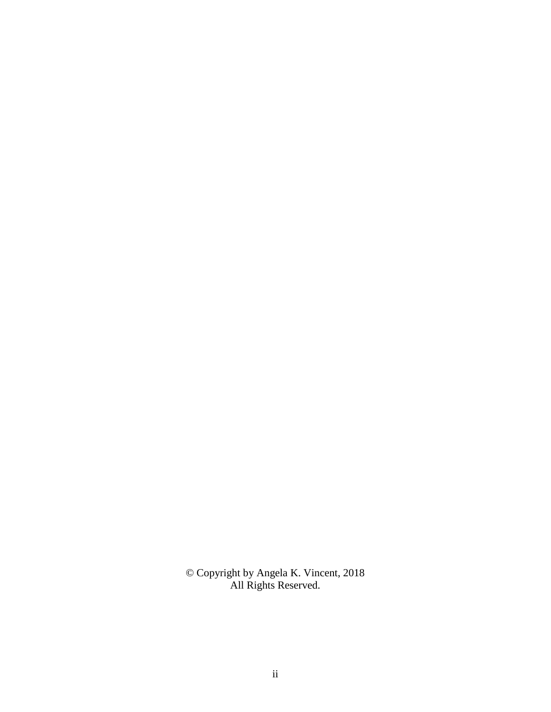© Copyright by Angela K. Vincent, 2018 All Rights Reserved.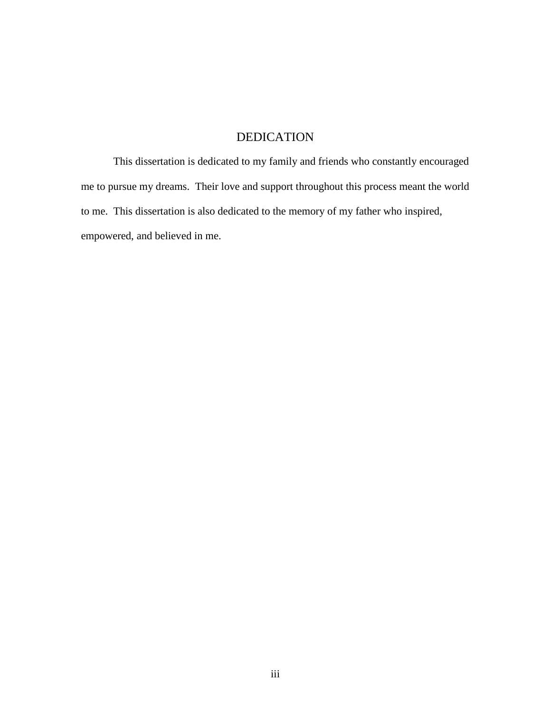## DEDICATION

This dissertation is dedicated to my family and friends who constantly encouraged me to pursue my dreams. Their love and support throughout this process meant the world to me. This dissertation is also dedicated to the memory of my father who inspired, empowered, and believed in me.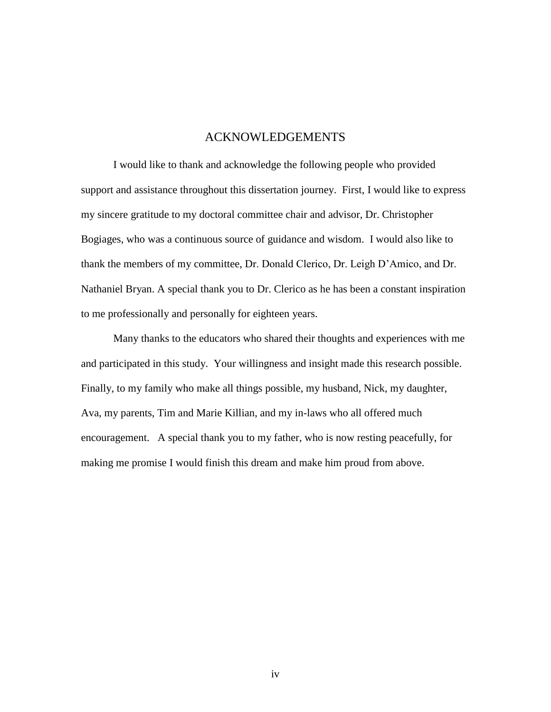### ACKNOWLEDGEMENTS

I would like to thank and acknowledge the following people who provided support and assistance throughout this dissertation journey. First, I would like to express my sincere gratitude to my doctoral committee chair and advisor, Dr. Christopher Bogiages, who was a continuous source of guidance and wisdom. I would also like to thank the members of my committee, Dr. Donald Clerico, Dr. Leigh D'Amico, and Dr. Nathaniel Bryan. A special thank you to Dr. Clerico as he has been a constant inspiration to me professionally and personally for eighteen years.

Many thanks to the educators who shared their thoughts and experiences with me and participated in this study. Your willingness and insight made this research possible. Finally, to my family who make all things possible, my husband, Nick, my daughter, Ava, my parents, Tim and Marie Killian, and my in-laws who all offered much encouragement. A special thank you to my father, who is now resting peacefully, for making me promise I would finish this dream and make him proud from above.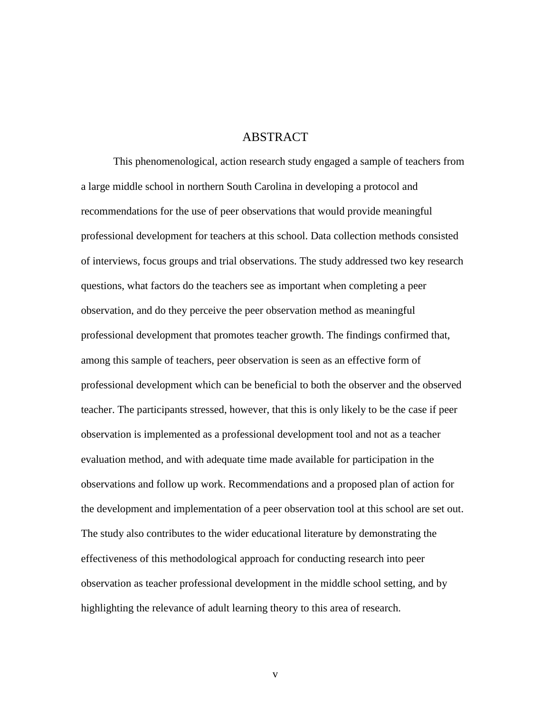## ABSTRACT

This phenomenological, action research study engaged a sample of teachers from a large middle school in northern South Carolina in developing a protocol and recommendations for the use of peer observations that would provide meaningful professional development for teachers at this school. Data collection methods consisted of interviews, focus groups and trial observations. The study addressed two key research questions, what factors do the teachers see as important when completing a peer observation, and do they perceive the peer observation method as meaningful professional development that promotes teacher growth. The findings confirmed that, among this sample of teachers, peer observation is seen as an effective form of professional development which can be beneficial to both the observer and the observed teacher. The participants stressed, however, that this is only likely to be the case if peer observation is implemented as a professional development tool and not as a teacher evaluation method, and with adequate time made available for participation in the observations and follow up work. Recommendations and a proposed plan of action for the development and implementation of a peer observation tool at this school are set out. The study also contributes to the wider educational literature by demonstrating the effectiveness of this methodological approach for conducting research into peer observation as teacher professional development in the middle school setting, and by highlighting the relevance of adult learning theory to this area of research.

v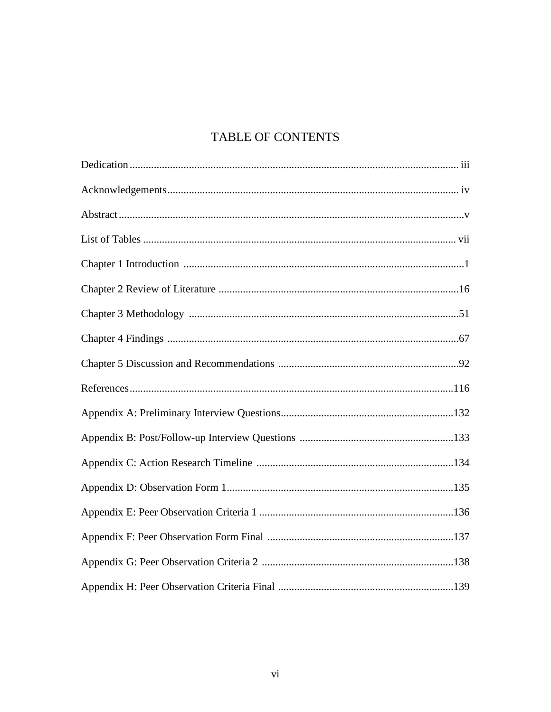## TABLE OF CONTENTS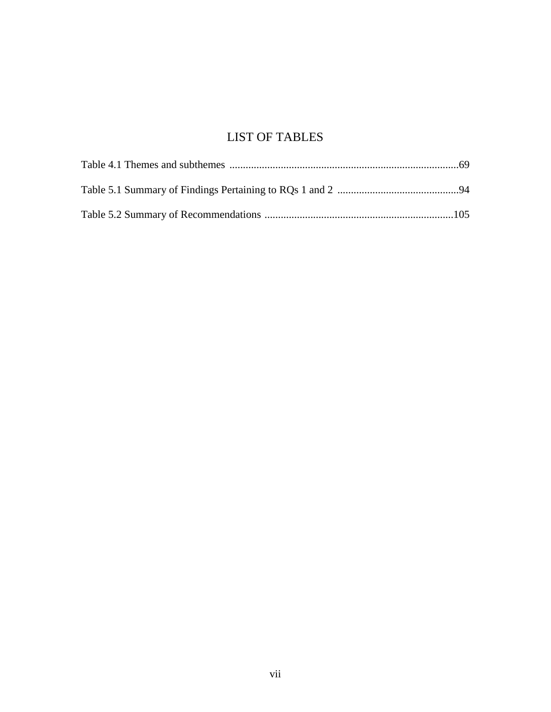## LIST OF TABLES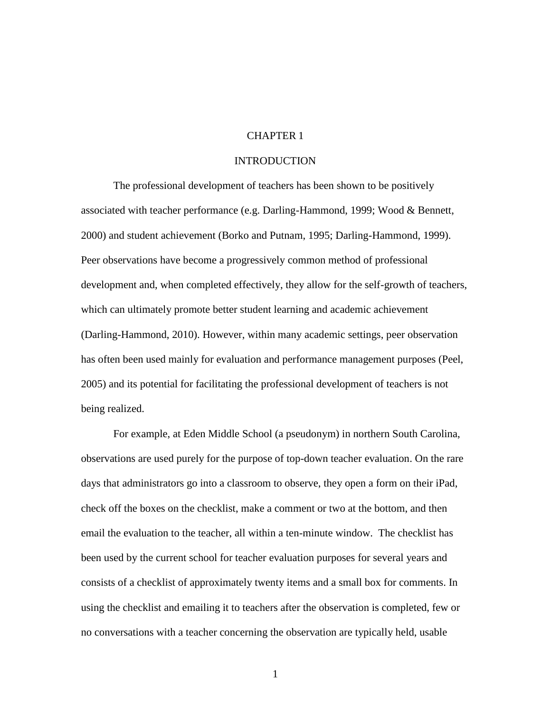### CHAPTER 1

#### INTRODUCTION

The professional development of teachers has been shown to be positively associated with teacher performance (e.g. Darling-Hammond, 1999; Wood & Bennett, 2000) and student achievement (Borko and Putnam, 1995; Darling-Hammond, 1999). Peer observations have become a progressively common method of professional development and, when completed effectively, they allow for the self-growth of teachers, which can ultimately promote better student learning and academic achievement (Darling-Hammond, 2010). However, within many academic settings, peer observation has often been used mainly for evaluation and performance management purposes (Peel, 2005) and its potential for facilitating the professional development of teachers is not being realized.

For example, at Eden Middle School (a pseudonym) in northern South Carolina, observations are used purely for the purpose of top-down teacher evaluation. On the rare days that administrators go into a classroom to observe, they open a form on their iPad, check off the boxes on the checklist, make a comment or two at the bottom, and then email the evaluation to the teacher, all within a ten-minute window. The checklist has been used by the current school for teacher evaluation purposes for several years and consists of a checklist of approximately twenty items and a small box for comments. In using the checklist and emailing it to teachers after the observation is completed, few or no conversations with a teacher concerning the observation are typically held, usable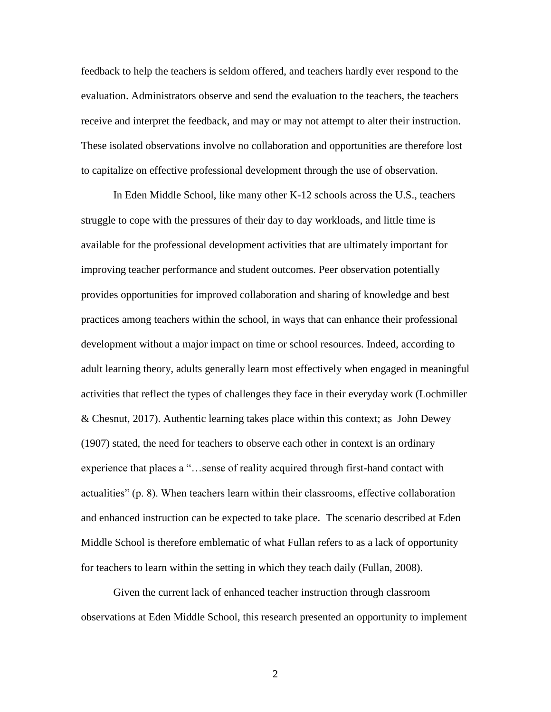feedback to help the teachers is seldom offered, and teachers hardly ever respond to the evaluation. Administrators observe and send the evaluation to the teachers, the teachers receive and interpret the feedback, and may or may not attempt to alter their instruction. These isolated observations involve no collaboration and opportunities are therefore lost to capitalize on effective professional development through the use of observation.

In Eden Middle School, like many other K-12 schools across the U.S., teachers struggle to cope with the pressures of their day to day workloads, and little time is available for the professional development activities that are ultimately important for improving teacher performance and student outcomes. Peer observation potentially provides opportunities for improved collaboration and sharing of knowledge and best practices among teachers within the school, in ways that can enhance their professional development without a major impact on time or school resources. Indeed, according to adult learning theory, adults generally learn most effectively when engaged in meaningful activities that reflect the types of challenges they face in their everyday work (Lochmiller & Chesnut, 2017). Authentic learning takes place within this context; as John Dewey (1907) stated, the need for teachers to observe each other in context is an ordinary experience that places a "…sense of reality acquired through first-hand contact with actualities" (p. 8). When teachers learn within their classrooms, effective collaboration and enhanced instruction can be expected to take place. The scenario described at Eden Middle School is therefore emblematic of what Fullan refers to as a lack of opportunity for teachers to learn within the setting in which they teach daily (Fullan, 2008).

Given the current lack of enhanced teacher instruction through classroom observations at Eden Middle School, this research presented an opportunity to implement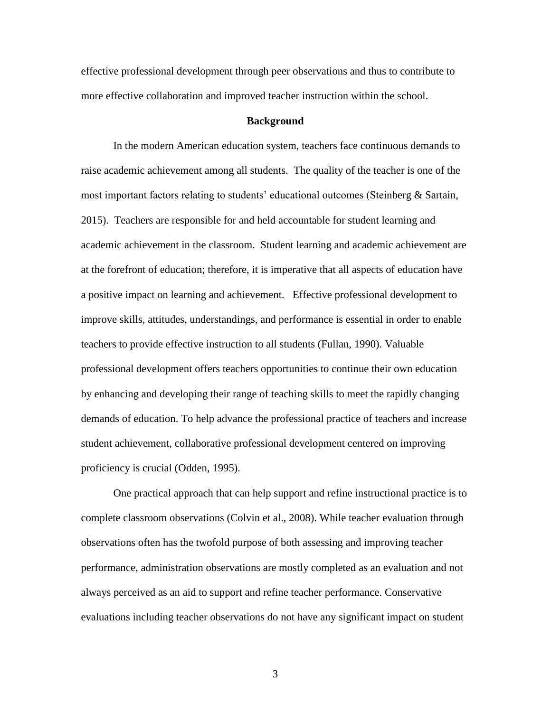effective professional development through peer observations and thus to contribute to more effective collaboration and improved teacher instruction within the school.

#### **Background**

In the modern American education system, teachers face continuous demands to raise academic achievement among all students. The quality of the teacher is one of the most important factors relating to students' educational outcomes (Steinberg & Sartain, 2015). Teachers are responsible for and held accountable for student learning and academic achievement in the classroom. Student learning and academic achievement are at the forefront of education; therefore, it is imperative that all aspects of education have a positive impact on learning and achievement. Effective professional development to improve skills, attitudes, understandings, and performance is essential in order to enable teachers to provide effective instruction to all students (Fullan, 1990). Valuable professional development offers teachers opportunities to continue their own education by enhancing and developing their range of teaching skills to meet the rapidly changing demands of education. To help advance the professional practice of teachers and increase student achievement, collaborative professional development centered on improving proficiency is crucial (Odden, 1995).

One practical approach that can help support and refine instructional practice is to complete classroom observations (Colvin et al., 2008). While teacher evaluation through observations often has the twofold purpose of both assessing and improving teacher performance, administration observations are mostly completed as an evaluation and not always perceived as an aid to support and refine teacher performance. Conservative evaluations including teacher observations do not have any significant impact on student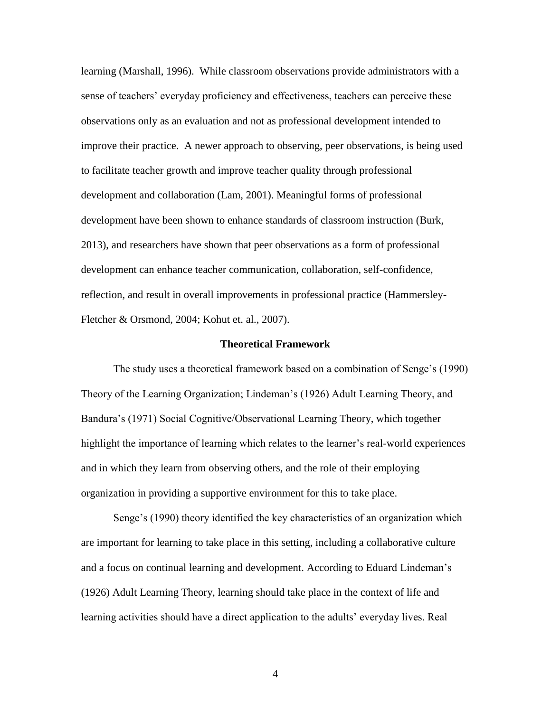learning (Marshall, 1996). While classroom observations provide administrators with a sense of teachers' everyday proficiency and effectiveness, teachers can perceive these observations only as an evaluation and not as professional development intended to improve their practice. A newer approach to observing, peer observations, is being used to facilitate teacher growth and improve teacher quality through professional development and collaboration (Lam, 2001). Meaningful forms of professional development have been shown to enhance standards of classroom instruction (Burk, 2013), and researchers have shown that peer observations as a form of professional development can enhance teacher communication, collaboration, self-confidence, reflection, and result in overall improvements in professional practice (Hammersley-Fletcher & Orsmond, 2004; Kohut et. al., 2007).

#### **Theoretical Framework**

The study uses a theoretical framework based on a combination of Senge's (1990) Theory of the Learning Organization; Lindeman's (1926) Adult Learning Theory, and Bandura's (1971) Social Cognitive/Observational Learning Theory, which together highlight the importance of learning which relates to the learner's real-world experiences and in which they learn from observing others, and the role of their employing organization in providing a supportive environment for this to take place.

Senge's (1990) theory identified the key characteristics of an organization which are important for learning to take place in this setting, including a collaborative culture and a focus on continual learning and development. According to Eduard Lindeman's (1926) Adult Learning Theory, learning should take place in the context of life and learning activities should have a direct application to the adults' everyday lives. Real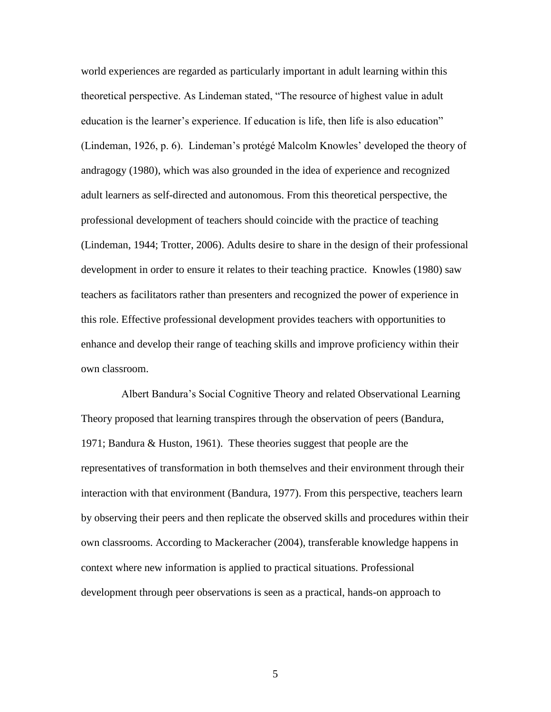world experiences are regarded as particularly important in adult learning within this theoretical perspective. As Lindeman stated, "The resource of highest value in adult education is the learner's experience. If education is life, then life is also education" (Lindeman, 1926, p. 6). Lindeman's protégé Malcolm Knowles' developed the theory of andragogy (1980), which was also grounded in the idea of experience and recognized adult learners as self-directed and autonomous. From this theoretical perspective, the professional development of teachers should coincide with the practice of teaching (Lindeman, 1944; Trotter, 2006). Adults desire to share in the design of their professional development in order to ensure it relates to their teaching practice. Knowles (1980) saw teachers as facilitators rather than presenters and recognized the power of experience in this role. Effective professional development provides teachers with opportunities to enhance and develop their range of teaching skills and improve proficiency within their own classroom.

 Albert Bandura's Social Cognitive Theory and related Observational Learning Theory proposed that learning transpires through the observation of peers (Bandura, 1971; Bandura & Huston, 1961). These theories suggest that people are the representatives of transformation in both themselves and their environment through their interaction with that environment (Bandura, 1977). From this perspective, teachers learn by observing their peers and then replicate the observed skills and procedures within their own classrooms. According to Mackeracher (2004), transferable knowledge happens in context where new information is applied to practical situations. Professional development through peer observations is seen as a practical, hands-on approach to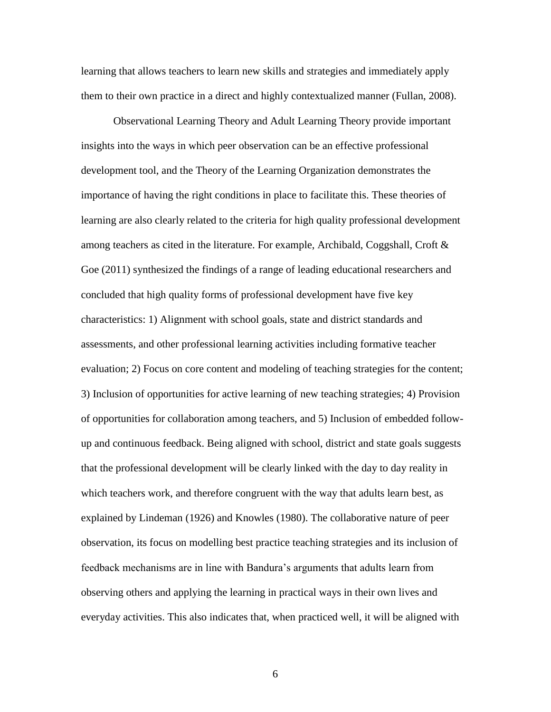learning that allows teachers to learn new skills and strategies and immediately apply them to their own practice in a direct and highly contextualized manner (Fullan, 2008).

Observational Learning Theory and Adult Learning Theory provide important insights into the ways in which peer observation can be an effective professional development tool, and the Theory of the Learning Organization demonstrates the importance of having the right conditions in place to facilitate this. These theories of learning are also clearly related to the criteria for high quality professional development among teachers as cited in the literature. For example, Archibald, Coggshall, Croft  $\&$ Goe (2011) synthesized the findings of a range of leading educational researchers and concluded that high quality forms of professional development have five key characteristics: 1) Alignment with school goals, state and district standards and assessments, and other professional learning activities including formative teacher evaluation; 2) Focus on core content and modeling of teaching strategies for the content; 3) Inclusion of opportunities for active learning of new teaching strategies; 4) Provision of opportunities for collaboration among teachers, and 5) Inclusion of embedded followup and continuous feedback. Being aligned with school, district and state goals suggests that the professional development will be clearly linked with the day to day reality in which teachers work, and therefore congruent with the way that adults learn best, as explained by Lindeman (1926) and Knowles (1980). The collaborative nature of peer observation, its focus on modelling best practice teaching strategies and its inclusion of feedback mechanisms are in line with Bandura's arguments that adults learn from observing others and applying the learning in practical ways in their own lives and everyday activities. This also indicates that, when practiced well, it will be aligned with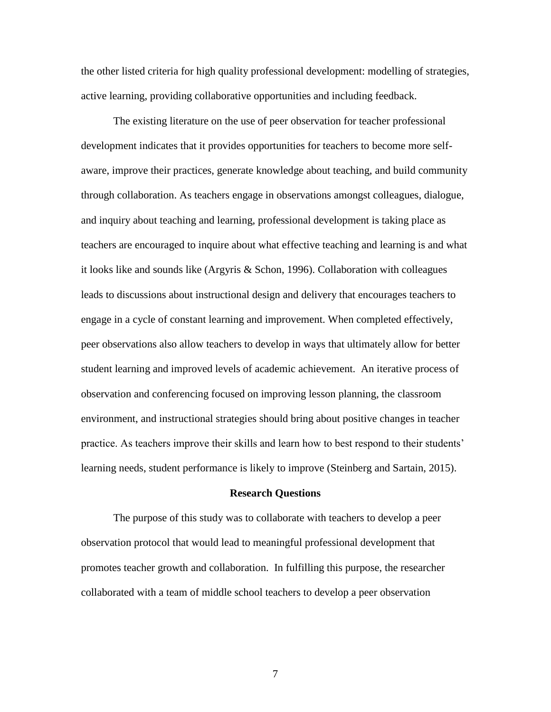the other listed criteria for high quality professional development: modelling of strategies, active learning, providing collaborative opportunities and including feedback.

The existing literature on the use of peer observation for teacher professional development indicates that it provides opportunities for teachers to become more selfaware, improve their practices, generate knowledge about teaching, and build community through collaboration. As teachers engage in observations amongst colleagues, dialogue, and inquiry about teaching and learning, professional development is taking place as teachers are encouraged to inquire about what effective teaching and learning is and what it looks like and sounds like (Argyris & Schon, 1996). Collaboration with colleagues leads to discussions about instructional design and delivery that encourages teachers to engage in a cycle of constant learning and improvement. When completed effectively, peer observations also allow teachers to develop in ways that ultimately allow for better student learning and improved levels of academic achievement. An iterative process of observation and conferencing focused on improving lesson planning, the classroom environment, and instructional strategies should bring about positive changes in teacher practice. As teachers improve their skills and learn how to best respond to their students' learning needs, student performance is likely to improve (Steinberg and Sartain, 2015).

#### **Research Questions**

The purpose of this study was to collaborate with teachers to develop a peer observation protocol that would lead to meaningful professional development that promotes teacher growth and collaboration. In fulfilling this purpose, the researcher collaborated with a team of middle school teachers to develop a peer observation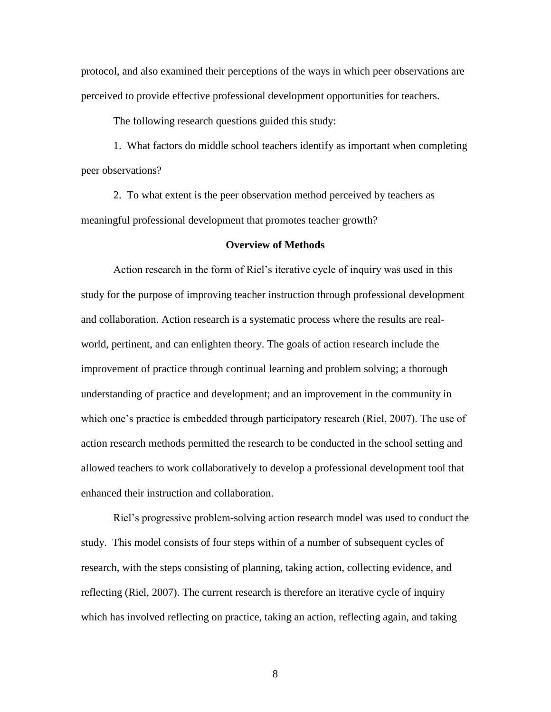protocol, and also examined their perceptions of the ways in which peer observations are perceived to provide effective professional development opportunities for teachers.

The following research questions guided this study:

1. What factors do middle school teachers identify as important when completing peer observations?

2. To what extent is the peer observation method perceived by teachers as meaningful professional development that promotes teacher growth?

#### **Overview of Methods**

Action research in the form of Riel's iterative cycle of inquiry was used in this study for the purpose of improving teacher instruction through professional development and collaboration. Action research is a systematic process where the results are realworld, pertinent, and can enlighten theory. The goals of action research include the improvement of practice through continual learning and problem solving; a thorough understanding of practice and development; and an improvement in the community in which one's practice is embedded through participatory research (Riel, 2007). The use of action research methods permitted the research to be conducted in the school setting and allowed teachers to work collaboratively to develop a professional development tool that enhanced their instruction and collaboration.

Riel's progressive problem-solving action research model was used to conduct the study. This model consists of four steps within of a number of subsequent cycles of research, with the steps consisting of planning, taking action, collecting evidence, and reflecting (Riel, 2007). The current research is therefore an iterative cycle of inquiry which has involved reflecting on practice, taking an action, reflecting again, and taking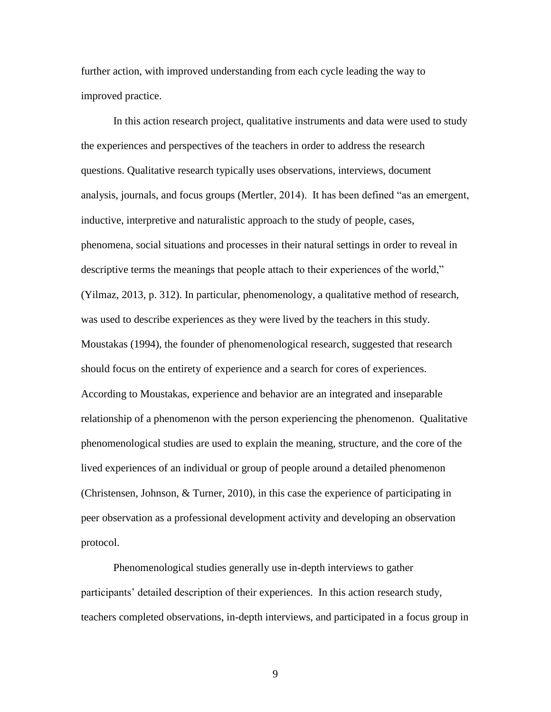further action, with improved understanding from each cycle leading the way to improved practice.

In this action research project, qualitative instruments and data were used to study the experiences and perspectives of the teachers in order to address the research questions. Qualitative research typically uses observations, interviews, document analysis, journals, and focus groups (Mertler, 2014). It has been defined "as an emergent, inductive, interpretive and naturalistic approach to the study of people, cases, phenomena, social situations and processes in their natural settings in order to reveal in descriptive terms the meanings that people attach to their experiences of the world," (Yilmaz, 2013, p. 312). In particular, phenomenology, a qualitative method of research, was used to describe experiences as they were lived by the teachers in this study. Moustakas (1994), the founder of phenomenological research, suggested that research should focus on the entirety of experience and a search for cores of experiences. According to Moustakas, experience and behavior are an integrated and inseparable relationship of a phenomenon with the person experiencing the phenomenon. Qualitative phenomenological studies are used to explain the meaning, structure, and the core of the lived experiences of an individual or group of people around a detailed phenomenon (Christensen, Johnson, & Turner, 2010), in this case the experience of participating in peer observation as a professional development activity and developing an observation protocol.

Phenomenological studies generally use in-depth interviews to gather participants' detailed description of their experiences. In this action research study, teachers completed observations, in-depth interviews, and participated in a focus group in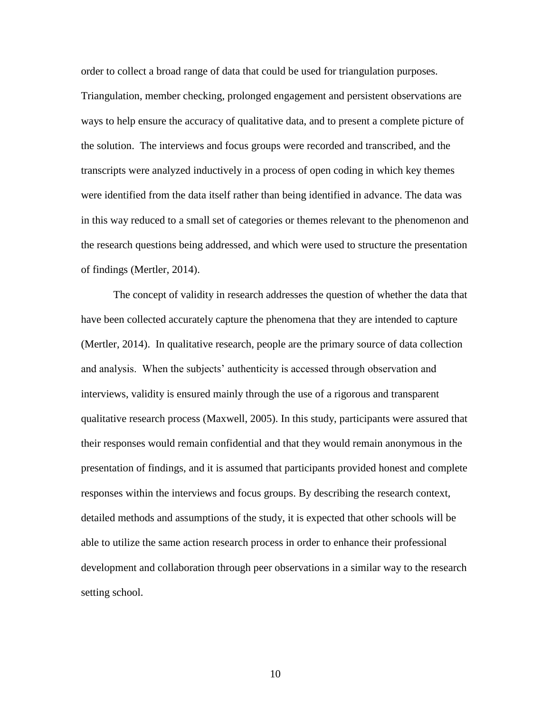order to collect a broad range of data that could be used for triangulation purposes. Triangulation, member checking, prolonged engagement and persistent observations are ways to help ensure the accuracy of qualitative data, and to present a complete picture of the solution. The interviews and focus groups were recorded and transcribed, and the transcripts were analyzed inductively in a process of open coding in which key themes were identified from the data itself rather than being identified in advance. The data was in this way reduced to a small set of categories or themes relevant to the phenomenon and the research questions being addressed, and which were used to structure the presentation of findings (Mertler, 2014).

The concept of validity in research addresses the question of whether the data that have been collected accurately capture the phenomena that they are intended to capture (Mertler, 2014). In qualitative research, people are the primary source of data collection and analysis. When the subjects' authenticity is accessed through observation and interviews, validity is ensured mainly through the use of a rigorous and transparent qualitative research process (Maxwell, 2005). In this study, participants were assured that their responses would remain confidential and that they would remain anonymous in the presentation of findings, and it is assumed that participants provided honest and complete responses within the interviews and focus groups. By describing the research context, detailed methods and assumptions of the study, it is expected that other schools will be able to utilize the same action research process in order to enhance their professional development and collaboration through peer observations in a similar way to the research setting school.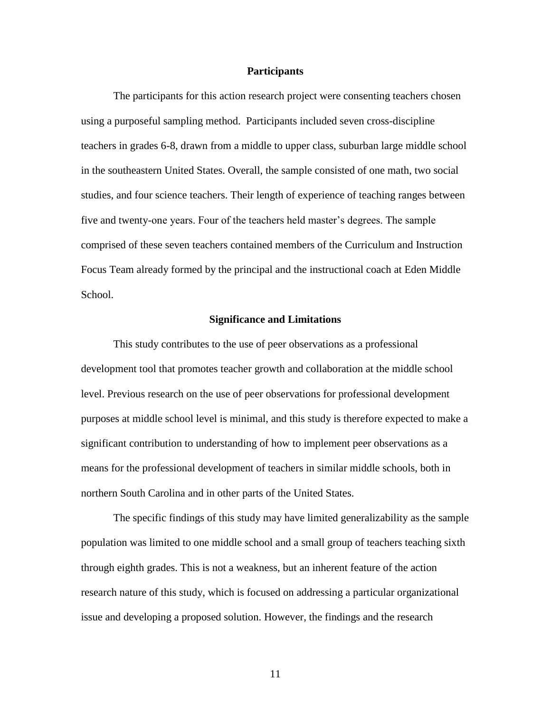#### **Participants**

The participants for this action research project were consenting teachers chosen using a purposeful sampling method. Participants included seven cross-discipline teachers in grades 6-8, drawn from a middle to upper class, suburban large middle school in the southeastern United States. Overall, the sample consisted of one math, two social studies, and four science teachers. Their length of experience of teaching ranges between five and twenty-one years. Four of the teachers held master's degrees. The sample comprised of these seven teachers contained members of the Curriculum and Instruction Focus Team already formed by the principal and the instructional coach at Eden Middle School.

#### **Significance and Limitations**

This study contributes to the use of peer observations as a professional development tool that promotes teacher growth and collaboration at the middle school level. Previous research on the use of peer observations for professional development purposes at middle school level is minimal, and this study is therefore expected to make a significant contribution to understanding of how to implement peer observations as a means for the professional development of teachers in similar middle schools, both in northern South Carolina and in other parts of the United States.

The specific findings of this study may have limited generalizability as the sample population was limited to one middle school and a small group of teachers teaching sixth through eighth grades. This is not a weakness, but an inherent feature of the action research nature of this study, which is focused on addressing a particular organizational issue and developing a proposed solution. However, the findings and the research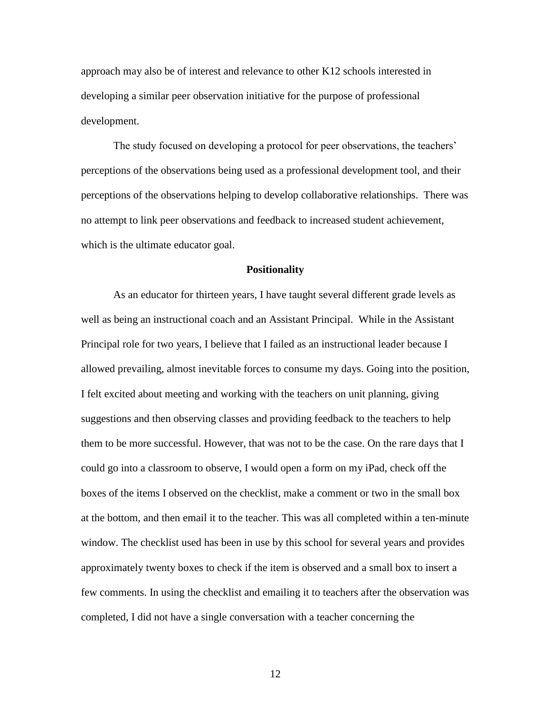approach may also be of interest and relevance to other K12 schools interested in developing a similar peer observation initiative for the purpose of professional development.

The study focused on developing a protocol for peer observations, the teachers' perceptions of the observations being used as a professional development tool, and their perceptions of the observations helping to develop collaborative relationships. There was no attempt to link peer observations and feedback to increased student achievement, which is the ultimate educator goal.

#### **Positionality**

As an educator for thirteen years, I have taught several different grade levels as well as being an instructional coach and an Assistant Principal. While in the Assistant Principal role for two years, I believe that I failed as an instructional leader because I allowed prevailing, almost inevitable forces to consume my days. Going into the position, I felt excited about meeting and working with the teachers on unit planning, giving suggestions and then observing classes and providing feedback to the teachers to help them to be more successful. However, that was not to be the case. On the rare days that I could go into a classroom to observe, I would open a form on my iPad, check off the boxes of the items I observed on the checklist, make a comment or two in the small box at the bottom, and then email it to the teacher. This was all completed within a ten-minute window. The checklist used has been in use by this school for several years and provides approximately twenty boxes to check if the item is observed and a small box to insert a few comments. In using the checklist and emailing it to teachers after the observation was completed, I did not have a single conversation with a teacher concerning the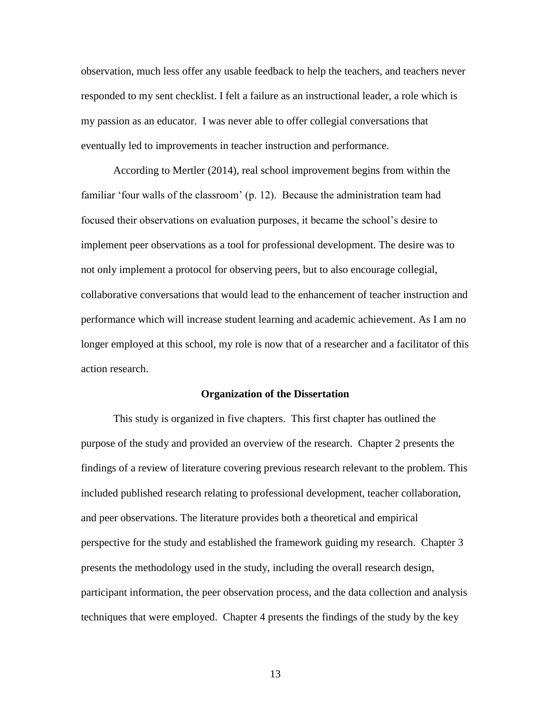observation, much less offer any usable feedback to help the teachers, and teachers never responded to my sent checklist. I felt a failure as an instructional leader, a role which is my passion as an educator. I was never able to offer collegial conversations that eventually led to improvements in teacher instruction and performance.

According to Mertler (2014), real school improvement begins from within the familiar 'four walls of the classroom' (p. 12). Because the administration team had focused their observations on evaluation purposes, it became the school's desire to implement peer observations as a tool for professional development. The desire was to not only implement a protocol for observing peers, but to also encourage collegial, collaborative conversations that would lead to the enhancement of teacher instruction and performance which will increase student learning and academic achievement. As I am no longer employed at this school, my role is now that of a researcher and a facilitator of this action research.

#### **Organization of the Dissertation**

This study is organized in five chapters. This first chapter has outlined the purpose of the study and provided an overview of the research. Chapter 2 presents the findings of a review of literature covering previous research relevant to the problem. This included published research relating to professional development, teacher collaboration, and peer observations. The literature provides both a theoretical and empirical perspective for the study and established the framework guiding my research. Chapter 3 presents the methodology used in the study, including the overall research design, participant information, the peer observation process, and the data collection and analysis techniques that were employed. Chapter 4 presents the findings of the study by the key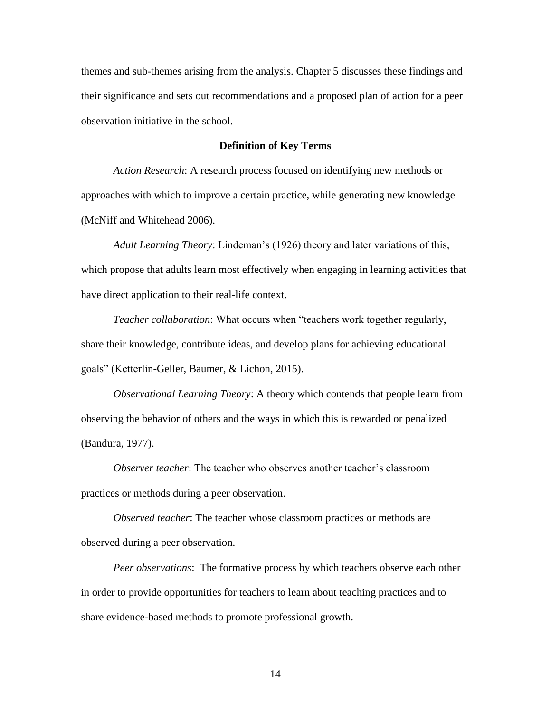themes and sub-themes arising from the analysis. Chapter 5 discusses these findings and their significance and sets out recommendations and a proposed plan of action for a peer observation initiative in the school.

#### **Definition of Key Terms**

*Action Research*: A research process focused on identifying new methods or approaches with which to improve a certain practice, while generating new knowledge (McNiff and Whitehead 2006).

*Adult Learning Theory*: Lindeman's (1926) theory and later variations of this, which propose that adults learn most effectively when engaging in learning activities that have direct application to their real-life context.

*Teacher collaboration*: What occurs when "teachers work together regularly, share their knowledge, contribute ideas, and develop plans for achieving educational goals" (Ketterlin-Geller, Baumer, & Lichon, 2015).

*Observational Learning Theory*: A theory which contends that people learn from observing the behavior of others and the ways in which this is rewarded or penalized (Bandura, 1977).

*Observer teacher*: The teacher who observes another teacher's classroom practices or methods during a peer observation.

*Observed teacher*: The teacher whose classroom practices or methods are observed during a peer observation.

*Peer observations*: The formative process by which teachers observe each other in order to provide opportunities for teachers to learn about teaching practices and to share evidence-based methods to promote professional growth.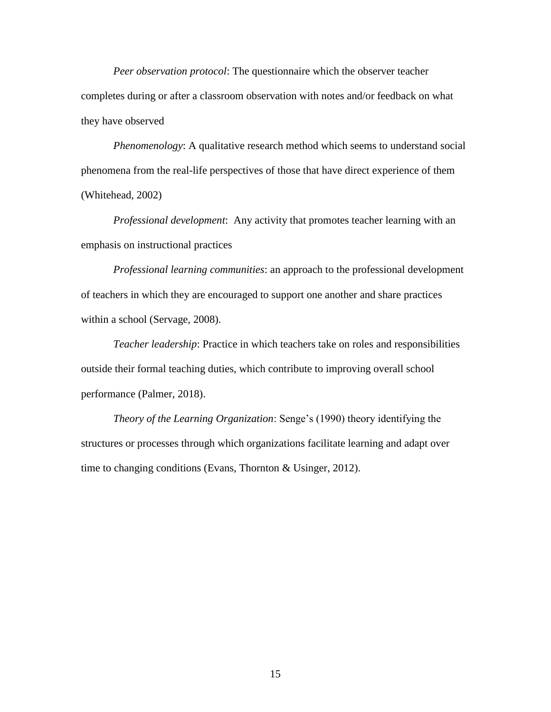*Peer observation protocol*: The questionnaire which the observer teacher completes during or after a classroom observation with notes and/or feedback on what they have observed

*Phenomenology*: A qualitative research method which seems to understand social phenomena from the real-life perspectives of those that have direct experience of them (Whitehead, 2002)

*Professional development*: Any activity that promotes teacher learning with an emphasis on instructional practices

*Professional learning communities*: an approach to the professional development of teachers in which they are encouraged to support one another and share practices within a school (Servage, 2008).

*Teacher leadership*: Practice in which teachers take on roles and responsibilities outside their formal teaching duties, which contribute to improving overall school performance (Palmer, 2018).

*Theory of the Learning Organization*: Senge's (1990) theory identifying the structures or processes through which organizations facilitate learning and adapt over time to changing conditions (Evans, Thornton & Usinger, 2012).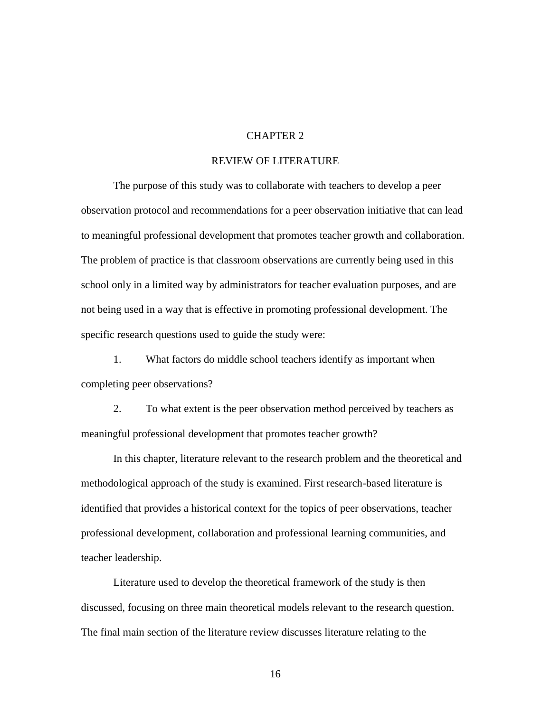### CHAPTER 2

#### REVIEW OF LITERATURE

The purpose of this study was to collaborate with teachers to develop a peer observation protocol and recommendations for a peer observation initiative that can lead to meaningful professional development that promotes teacher growth and collaboration. The problem of practice is that classroom observations are currently being used in this school only in a limited way by administrators for teacher evaluation purposes, and are not being used in a way that is effective in promoting professional development. The specific research questions used to guide the study were:

1. What factors do middle school teachers identify as important when completing peer observations?

2. To what extent is the peer observation method perceived by teachers as meaningful professional development that promotes teacher growth?

In this chapter, literature relevant to the research problem and the theoretical and methodological approach of the study is examined. First research-based literature is identified that provides a historical context for the topics of peer observations, teacher professional development, collaboration and professional learning communities, and teacher leadership.

Literature used to develop the theoretical framework of the study is then discussed, focusing on three main theoretical models relevant to the research question. The final main section of the literature review discusses literature relating to the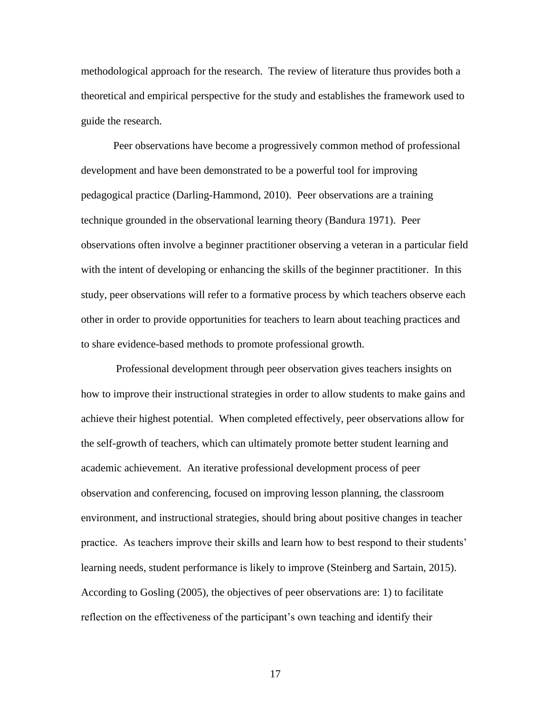methodological approach for the research. The review of literature thus provides both a theoretical and empirical perspective for the study and establishes the framework used to guide the research.

Peer observations have become a progressively common method of professional development and have been demonstrated to be a powerful tool for improving pedagogical practice (Darling-Hammond, 2010). Peer observations are a training technique grounded in the observational learning theory (Bandura 1971). Peer observations often involve a beginner practitioner observing a veteran in a particular field with the intent of developing or enhancing the skills of the beginner practitioner. In this study, peer observations will refer to a formative process by which teachers observe each other in order to provide opportunities for teachers to learn about teaching practices and to share evidence-based methods to promote professional growth.

Professional development through peer observation gives teachers insights on how to improve their instructional strategies in order to allow students to make gains and achieve their highest potential. When completed effectively, peer observations allow for the self-growth of teachers, which can ultimately promote better student learning and academic achievement. An iterative professional development process of peer observation and conferencing, focused on improving lesson planning, the classroom environment, and instructional strategies, should bring about positive changes in teacher practice. As teachers improve their skills and learn how to best respond to their students' learning needs, student performance is likely to improve (Steinberg and Sartain, 2015). According to Gosling (2005), the objectives of peer observations are: 1) to facilitate reflection on the effectiveness of the participant's own teaching and identify their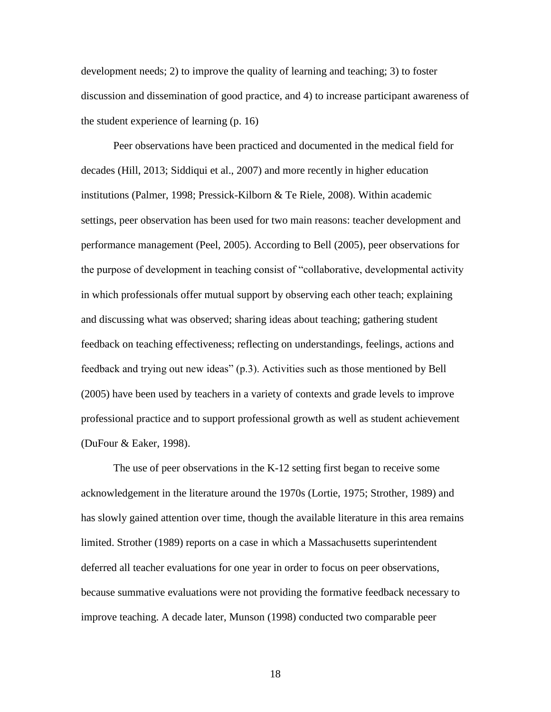development needs; 2) to improve the quality of learning and teaching; 3) to foster discussion and dissemination of good practice, and 4) to increase participant awareness of the student experience of learning (p. 16)

Peer observations have been practiced and documented in the medical field for decades (Hill, 2013; Siddiqui et al., 2007) and more recently in higher education institutions (Palmer, 1998; Pressick-Kilborn & Te Riele, 2008). Within academic settings, peer observation has been used for two main reasons: teacher development and performance management (Peel, 2005). According to Bell (2005), peer observations for the purpose of development in teaching consist of "collaborative, developmental activity in which professionals offer mutual support by observing each other teach; explaining and discussing what was observed; sharing ideas about teaching; gathering student feedback on teaching effectiveness; reflecting on understandings, feelings, actions and feedback and trying out new ideas" (p.3). Activities such as those mentioned by Bell (2005) have been used by teachers in a variety of contexts and grade levels to improve professional practice and to support professional growth as well as student achievement (DuFour & Eaker, 1998).

The use of peer observations in the K-12 setting first began to receive some acknowledgement in the literature around the 1970s (Lortie, 1975; Strother, 1989) and has slowly gained attention over time, though the available literature in this area remains limited. Strother (1989) reports on a case in which a Massachusetts superintendent deferred all teacher evaluations for one year in order to focus on peer observations, because summative evaluations were not providing the formative feedback necessary to improve teaching. A decade later, Munson (1998) conducted two comparable peer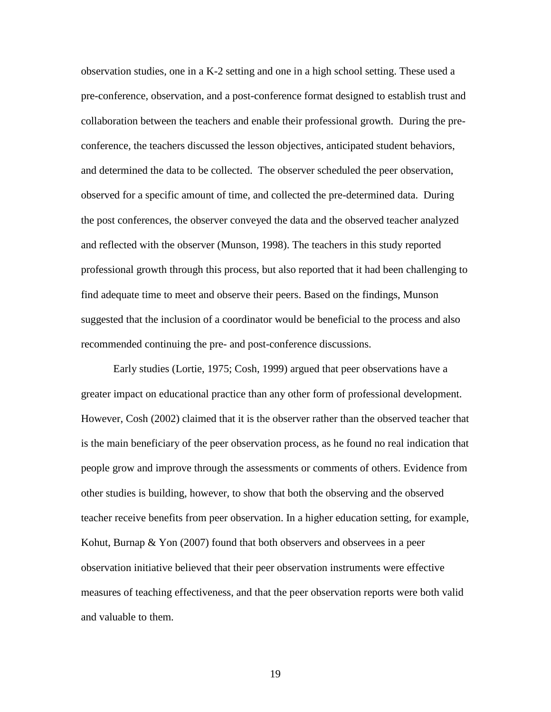observation studies, one in a K-2 setting and one in a high school setting. These used a pre-conference, observation, and a post-conference format designed to establish trust and collaboration between the teachers and enable their professional growth. During the preconference, the teachers discussed the lesson objectives, anticipated student behaviors, and determined the data to be collected. The observer scheduled the peer observation, observed for a specific amount of time, and collected the pre-determined data. During the post conferences, the observer conveyed the data and the observed teacher analyzed and reflected with the observer (Munson, 1998). The teachers in this study reported professional growth through this process, but also reported that it had been challenging to find adequate time to meet and observe their peers. Based on the findings, Munson suggested that the inclusion of a coordinator would be beneficial to the process and also recommended continuing the pre- and post-conference discussions.

Early studies (Lortie, 1975; Cosh, 1999) argued that peer observations have a greater impact on educational practice than any other form of professional development. However, Cosh (2002) claimed that it is the observer rather than the observed teacher that is the main beneficiary of the peer observation process, as he found no real indication that people grow and improve through the assessments or comments of others. Evidence from other studies is building, however, to show that both the observing and the observed teacher receive benefits from peer observation. In a higher education setting, for example, Kohut, Burnap & Yon (2007) found that both observers and observees in a peer observation initiative believed that their peer observation instruments were effective measures of teaching effectiveness, and that the peer observation reports were both valid and valuable to them.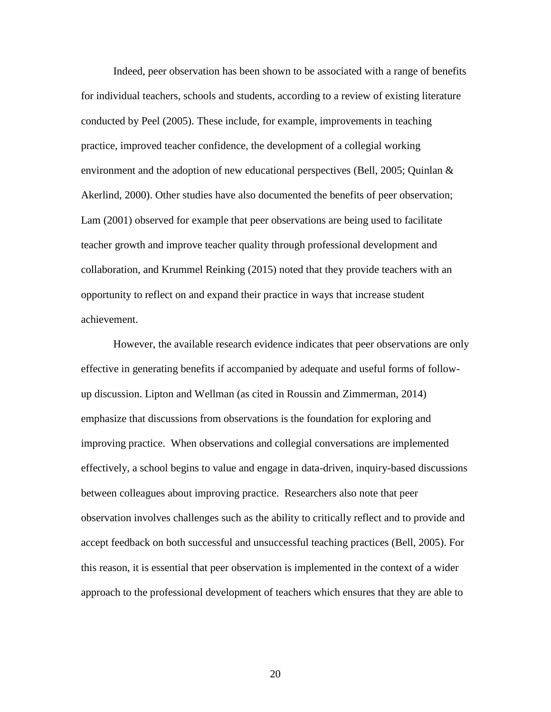Indeed, peer observation has been shown to be associated with a range of benefits for individual teachers, schools and students, according to a review of existing literature conducted by Peel (2005). These include, for example, improvements in teaching practice, improved teacher confidence, the development of a collegial working environment and the adoption of new educational perspectives (Bell, 2005; Quinlan  $\&$ Akerlind, 2000). Other studies have also documented the benefits of peer observation; Lam (2001) observed for example that peer observations are being used to facilitate teacher growth and improve teacher quality through professional development and collaboration, and Krummel Reinking (2015) noted that they provide teachers with an opportunity to reflect on and expand their practice in ways that increase student achievement.

However, the available research evidence indicates that peer observations are only effective in generating benefits if accompanied by adequate and useful forms of followup discussion. Lipton and Wellman (as cited in Roussin and Zimmerman, 2014) emphasize that discussions from observations is the foundation for exploring and improving practice. When observations and collegial conversations are implemented effectively, a school begins to value and engage in data-driven, inquiry-based discussions between colleagues about improving practice. Researchers also note that peer observation involves challenges such as the ability to critically reflect and to provide and accept feedback on both successful and unsuccessful teaching practices (Bell, 2005). For this reason, it is essential that peer observation is implemented in the context of a wider approach to the professional development of teachers which ensures that they are able to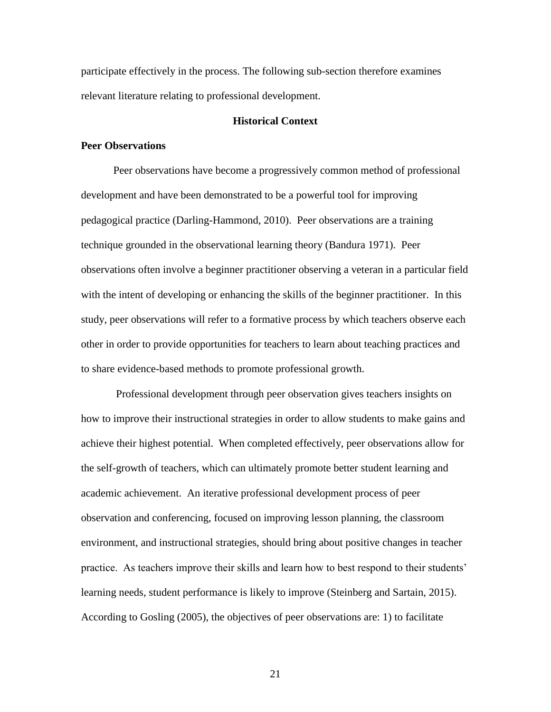participate effectively in the process. The following sub-section therefore examines relevant literature relating to professional development.

#### **Historical Context**

#### **Peer Observations**

Peer observations have become a progressively common method of professional development and have been demonstrated to be a powerful tool for improving pedagogical practice (Darling-Hammond, 2010). Peer observations are a training technique grounded in the observational learning theory (Bandura 1971). Peer observations often involve a beginner practitioner observing a veteran in a particular field with the intent of developing or enhancing the skills of the beginner practitioner. In this study, peer observations will refer to a formative process by which teachers observe each other in order to provide opportunities for teachers to learn about teaching practices and to share evidence-based methods to promote professional growth.

Professional development through peer observation gives teachers insights on how to improve their instructional strategies in order to allow students to make gains and achieve their highest potential. When completed effectively, peer observations allow for the self-growth of teachers, which can ultimately promote better student learning and academic achievement. An iterative professional development process of peer observation and conferencing, focused on improving lesson planning, the classroom environment, and instructional strategies, should bring about positive changes in teacher practice. As teachers improve their skills and learn how to best respond to their students' learning needs, student performance is likely to improve (Steinberg and Sartain, 2015). According to Gosling (2005), the objectives of peer observations are: 1) to facilitate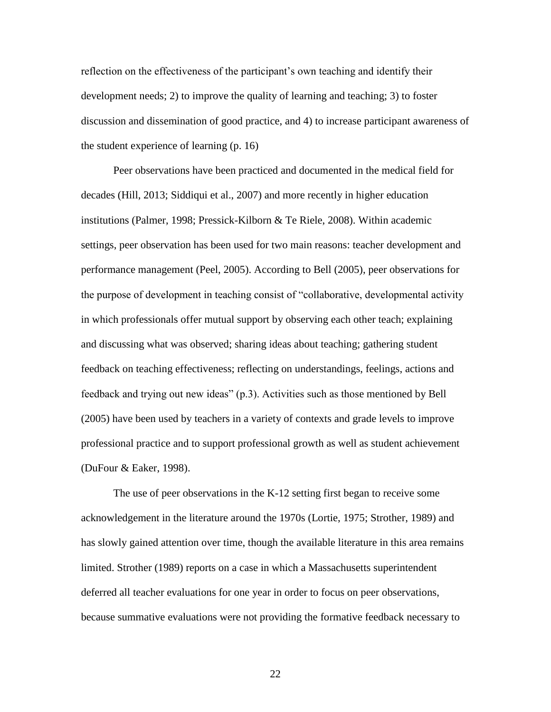reflection on the effectiveness of the participant's own teaching and identify their development needs; 2) to improve the quality of learning and teaching; 3) to foster discussion and dissemination of good practice, and 4) to increase participant awareness of the student experience of learning (p. 16)

Peer observations have been practiced and documented in the medical field for decades (Hill, 2013; Siddiqui et al., 2007) and more recently in higher education institutions (Palmer, 1998; Pressick-Kilborn & Te Riele, 2008). Within academic settings, peer observation has been used for two main reasons: teacher development and performance management (Peel, 2005). According to Bell (2005), peer observations for the purpose of development in teaching consist of "collaborative, developmental activity in which professionals offer mutual support by observing each other teach; explaining and discussing what was observed; sharing ideas about teaching; gathering student feedback on teaching effectiveness; reflecting on understandings, feelings, actions and feedback and trying out new ideas" (p.3). Activities such as those mentioned by Bell (2005) have been used by teachers in a variety of contexts and grade levels to improve professional practice and to support professional growth as well as student achievement (DuFour & Eaker, 1998).

The use of peer observations in the K-12 setting first began to receive some acknowledgement in the literature around the 1970s (Lortie, 1975; Strother, 1989) and has slowly gained attention over time, though the available literature in this area remains limited. Strother (1989) reports on a case in which a Massachusetts superintendent deferred all teacher evaluations for one year in order to focus on peer observations, because summative evaluations were not providing the formative feedback necessary to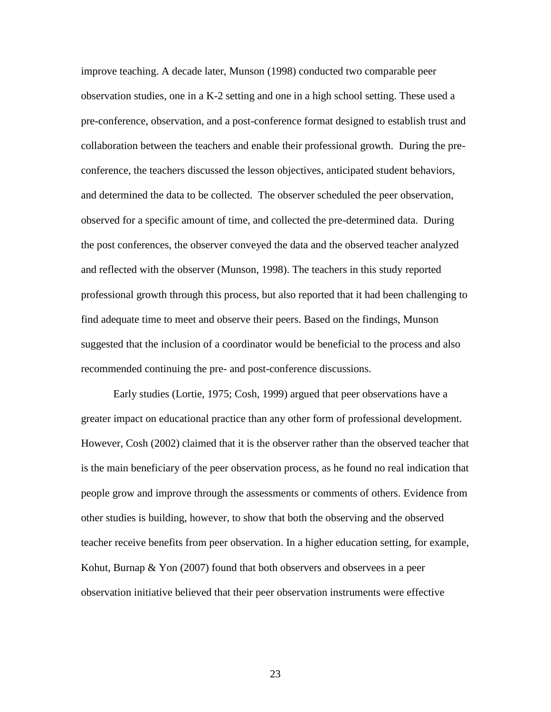improve teaching. A decade later, Munson (1998) conducted two comparable peer observation studies, one in a K-2 setting and one in a high school setting. These used a pre-conference, observation, and a post-conference format designed to establish trust and collaboration between the teachers and enable their professional growth. During the preconference, the teachers discussed the lesson objectives, anticipated student behaviors, and determined the data to be collected. The observer scheduled the peer observation, observed for a specific amount of time, and collected the pre-determined data. During the post conferences, the observer conveyed the data and the observed teacher analyzed and reflected with the observer (Munson, 1998). The teachers in this study reported professional growth through this process, but also reported that it had been challenging to find adequate time to meet and observe their peers. Based on the findings, Munson suggested that the inclusion of a coordinator would be beneficial to the process and also recommended continuing the pre- and post-conference discussions.

Early studies (Lortie, 1975; Cosh, 1999) argued that peer observations have a greater impact on educational practice than any other form of professional development. However, Cosh (2002) claimed that it is the observer rather than the observed teacher that is the main beneficiary of the peer observation process, as he found no real indication that people grow and improve through the assessments or comments of others. Evidence from other studies is building, however, to show that both the observing and the observed teacher receive benefits from peer observation. In a higher education setting, for example, Kohut, Burnap & Yon (2007) found that both observers and observees in a peer observation initiative believed that their peer observation instruments were effective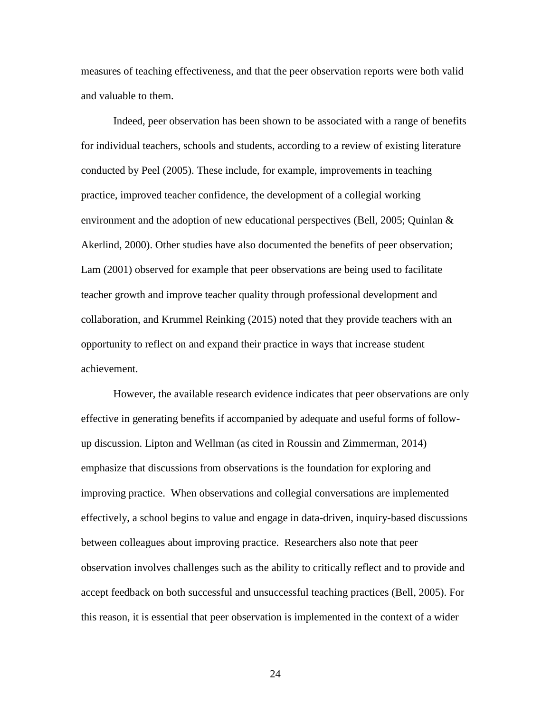measures of teaching effectiveness, and that the peer observation reports were both valid and valuable to them.

Indeed, peer observation has been shown to be associated with a range of benefits for individual teachers, schools and students, according to a review of existing literature conducted by Peel (2005). These include, for example, improvements in teaching practice, improved teacher confidence, the development of a collegial working environment and the adoption of new educational perspectives (Bell, 2005; Quinlan  $\&$ Akerlind, 2000). Other studies have also documented the benefits of peer observation; Lam (2001) observed for example that peer observations are being used to facilitate teacher growth and improve teacher quality through professional development and collaboration, and Krummel Reinking (2015) noted that they provide teachers with an opportunity to reflect on and expand their practice in ways that increase student achievement.

However, the available research evidence indicates that peer observations are only effective in generating benefits if accompanied by adequate and useful forms of followup discussion. Lipton and Wellman (as cited in Roussin and Zimmerman, 2014) emphasize that discussions from observations is the foundation for exploring and improving practice. When observations and collegial conversations are implemented effectively, a school begins to value and engage in data-driven, inquiry-based discussions between colleagues about improving practice. Researchers also note that peer observation involves challenges such as the ability to critically reflect and to provide and accept feedback on both successful and unsuccessful teaching practices (Bell, 2005). For this reason, it is essential that peer observation is implemented in the context of a wider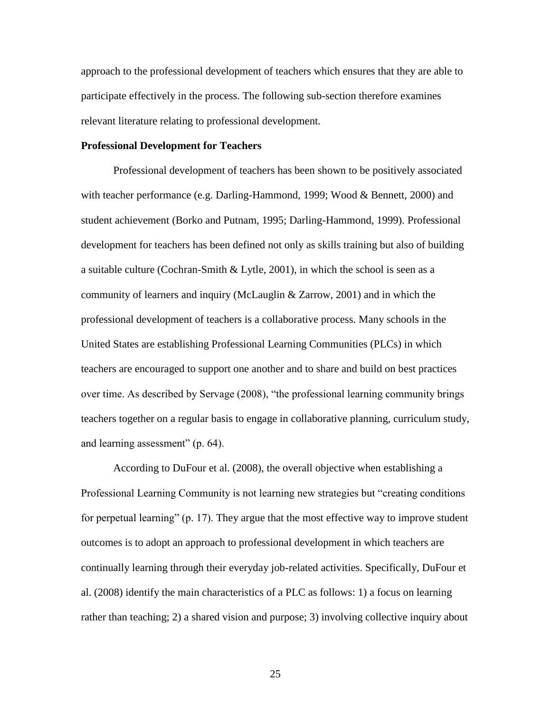approach to the professional development of teachers which ensures that they are able to participate effectively in the process. The following sub-section therefore examines relevant literature relating to professional development.

#### **Professional Development for Teachers**

Professional development of teachers has been shown to be positively associated with teacher performance (e.g. Darling-Hammond, 1999; Wood & Bennett, 2000) and student achievement (Borko and Putnam, 1995; Darling-Hammond, 1999). Professional development for teachers has been defined not only as skills training but also of building a suitable culture (Cochran-Smith & Lytle, 2001), in which the school is seen as a community of learners and inquiry (McLauglin & Zarrow, 2001) and in which the professional development of teachers is a collaborative process. Many schools in the United States are establishing Professional Learning Communities (PLCs) in which teachers are encouraged to support one another and to share and build on best practices over time. As described by Servage (2008), "the professional learning community brings teachers together on a regular basis to engage in collaborative planning, curriculum study, and learning assessment" (p. 64).

According to DuFour et al. (2008), the overall objective when establishing a Professional Learning Community is not learning new strategies but "creating conditions for perpetual learning" (p. 17). They argue that the most effective way to improve student outcomes is to adopt an approach to professional development in which teachers are continually learning through their everyday job-related activities. Specifically, DuFour et al. (2008) identify the main characteristics of a PLC as follows: 1) a focus on learning rather than teaching; 2) a shared vision and purpose; 3) involving collective inquiry about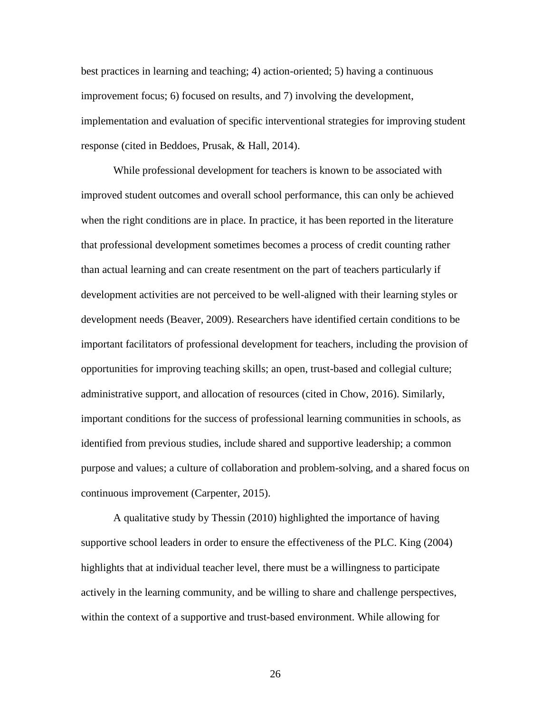best practices in learning and teaching; 4) action-oriented; 5) having a continuous improvement focus; 6) focused on results, and 7) involving the development, implementation and evaluation of specific interventional strategies for improving student response (cited in Beddoes, Prusak, & Hall, 2014).

While professional development for teachers is known to be associated with improved student outcomes and overall school performance, this can only be achieved when the right conditions are in place. In practice, it has been reported in the literature that professional development sometimes becomes a process of credit counting rather than actual learning and can create resentment on the part of teachers particularly if development activities are not perceived to be well-aligned with their learning styles or development needs (Beaver, 2009). Researchers have identified certain conditions to be important facilitators of professional development for teachers, including the provision of opportunities for improving teaching skills; an open, trust-based and collegial culture; administrative support, and allocation of resources (cited in Chow, 2016). Similarly, important conditions for the success of professional learning communities in schools, as identified from previous studies, include shared and supportive leadership; a common purpose and values; a culture of collaboration and problem-solving, and a shared focus on continuous improvement (Carpenter, 2015).

A qualitative study by Thessin (2010) highlighted the importance of having supportive school leaders in order to ensure the effectiveness of the PLC. King (2004) highlights that at individual teacher level, there must be a willingness to participate actively in the learning community, and be willing to share and challenge perspectives, within the context of a supportive and trust-based environment. While allowing for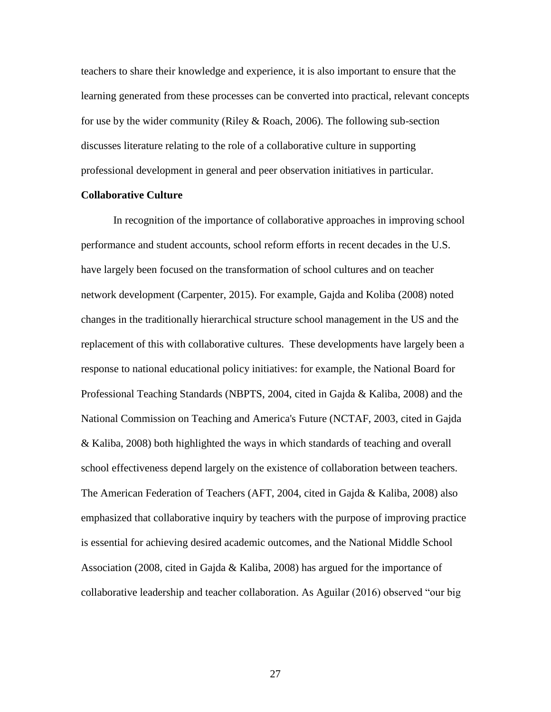teachers to share their knowledge and experience, it is also important to ensure that the learning generated from these processes can be converted into practical, relevant concepts for use by the wider community (Riley & Roach, 2006). The following sub-section discusses literature relating to the role of a collaborative culture in supporting professional development in general and peer observation initiatives in particular.

#### **Collaborative Culture**

In recognition of the importance of collaborative approaches in improving school performance and student accounts, school reform efforts in recent decades in the U.S. have largely been focused on the transformation of school cultures and on teacher network development (Carpenter, 2015). For example, Gajda and Koliba (2008) noted changes in the traditionally hierarchical structure school management in the US and the replacement of this with collaborative cultures. These developments have largely been a response to national educational policy initiatives: for example, the National Board for Professional Teaching Standards (NBPTS, 2004, cited in Gajda & Kaliba, 2008) and the National Commission on Teaching and America's Future (NCTAF, 2003, cited in Gajda & Kaliba, 2008) both highlighted the ways in which standards of teaching and overall school effectiveness depend largely on the existence of collaboration between teachers. The American Federation of Teachers (AFT, 2004, cited in Gajda & Kaliba, 2008) also emphasized that collaborative inquiry by teachers with the purpose of improving practice is essential for achieving desired academic outcomes, and the National Middle School Association (2008, cited in Gajda & Kaliba, 2008) has argued for the importance of collaborative leadership and teacher collaboration. As Aguilar (2016) observed "our big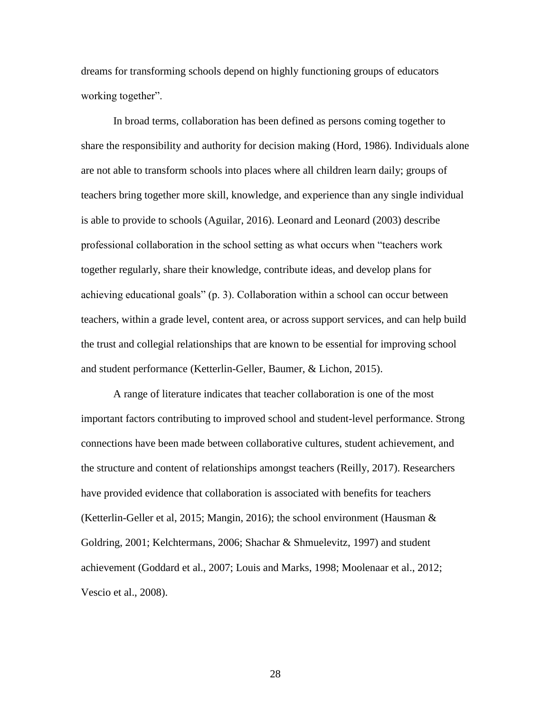dreams for transforming schools depend on highly functioning groups of educators working together".

In broad terms, collaboration has been defined as persons coming together to share the responsibility and authority for decision making (Hord, 1986). Individuals alone are not able to transform schools into places where all children learn daily; groups of teachers bring together more skill, knowledge, and experience than any single individual is able to provide to schools (Aguilar, 2016). Leonard and Leonard (2003) describe professional collaboration in the school setting as what occurs when "teachers work together regularly, share their knowledge, contribute ideas, and develop plans for achieving educational goals" (p. 3). Collaboration within a school can occur between teachers, within a grade level, content area, or across support services, and can help build the trust and collegial relationships that are known to be essential for improving school and student performance (Ketterlin-Geller, Baumer, & Lichon, 2015).

A range of literature indicates that teacher collaboration is one of the most important factors contributing to improved school and student-level performance. Strong connections have been made between collaborative cultures, student achievement, and the structure and content of relationships amongst teachers (Reilly, 2017). Researchers have provided evidence that collaboration is associated with benefits for teachers (Ketterlin-Geller et al, 2015; Mangin, 2016); the school environment (Hausman & Goldring, 2001; Kelchtermans, 2006; Shachar & Shmuelevitz, 1997) and student achievement (Goddard et al., 2007; Louis and Marks, 1998; Moolenaar et al., 2012; Vescio et al., 2008).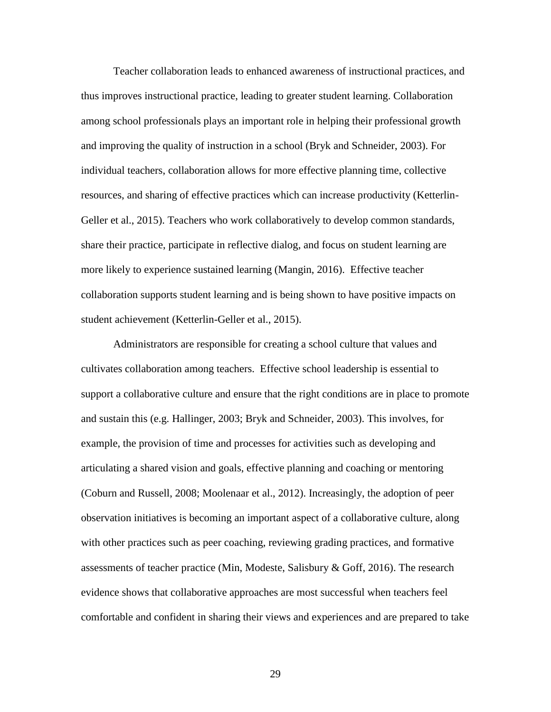Teacher collaboration leads to enhanced awareness of instructional practices, and thus improves instructional practice, leading to greater student learning. Collaboration among school professionals plays an important role in helping their professional growth and improving the quality of instruction in a school (Bryk and Schneider, 2003). For individual teachers, collaboration allows for more effective planning time, collective resources, and sharing of effective practices which can increase productivity (Ketterlin-Geller et al., 2015). Teachers who work collaboratively to develop common standards, share their practice, participate in reflective dialog, and focus on student learning are more likely to experience sustained learning (Mangin, 2016). Effective teacher collaboration supports student learning and is being shown to have positive impacts on student achievement (Ketterlin-Geller et al., 2015).

Administrators are responsible for creating a school culture that values and cultivates collaboration among teachers. Effective school leadership is essential to support a collaborative culture and ensure that the right conditions are in place to promote and sustain this (e.g. Hallinger, 2003; Bryk and Schneider, 2003). This involves, for example, the provision of time and processes for activities such as developing and articulating a shared vision and goals, effective planning and coaching or mentoring (Coburn and Russell, 2008; Moolenaar et al., 2012). Increasingly, the adoption of peer observation initiatives is becoming an important aspect of a collaborative culture, along with other practices such as peer coaching, reviewing grading practices, and formative assessments of teacher practice (Min, Modeste, Salisbury & Goff, 2016). The research evidence shows that collaborative approaches are most successful when teachers feel comfortable and confident in sharing their views and experiences and are prepared to take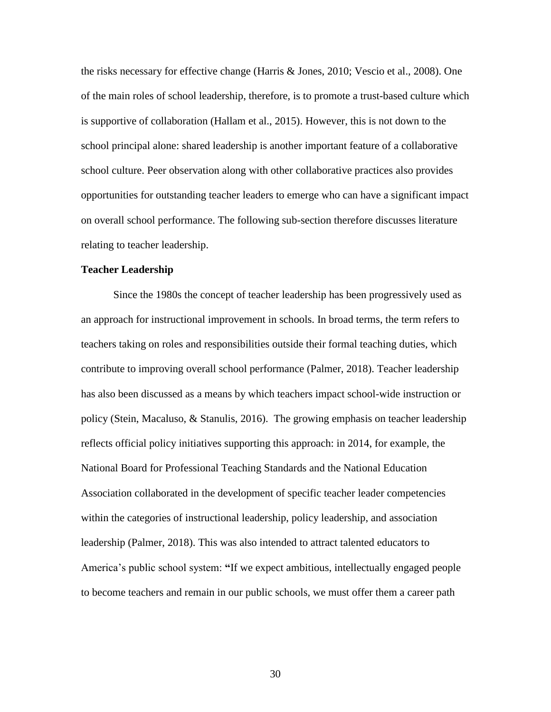the risks necessary for effective change (Harris & Jones, 2010; Vescio et al., 2008). One of the main roles of school leadership, therefore, is to promote a trust-based culture which is supportive of collaboration (Hallam et al., 2015). However, this is not down to the school principal alone: shared leadership is another important feature of a collaborative school culture. Peer observation along with other collaborative practices also provides opportunities for outstanding teacher leaders to emerge who can have a significant impact on overall school performance. The following sub-section therefore discusses literature relating to teacher leadership.

## **Teacher Leadership**

Since the 1980s the concept of teacher leadership has been progressively used as an approach for instructional improvement in schools. In broad terms, the term refers to teachers taking on roles and responsibilities outside their formal teaching duties, which contribute to improving overall school performance (Palmer, 2018). Teacher leadership has also been discussed as a means by which teachers impact school-wide instruction or policy (Stein, Macaluso, & Stanulis, 2016). The growing emphasis on teacher leadership reflects official policy initiatives supporting this approach: in 2014, for example, the National Board for Professional Teaching Standards and the National Education Association collaborated in the development of specific teacher leader competencies within the categories of instructional leadership, policy leadership, and association leadership (Palmer, 2018). This was also intended to attract talented educators to America's public school system: **"**If we expect ambitious, intellectually engaged people to become teachers and remain in our public schools, we must offer them a career path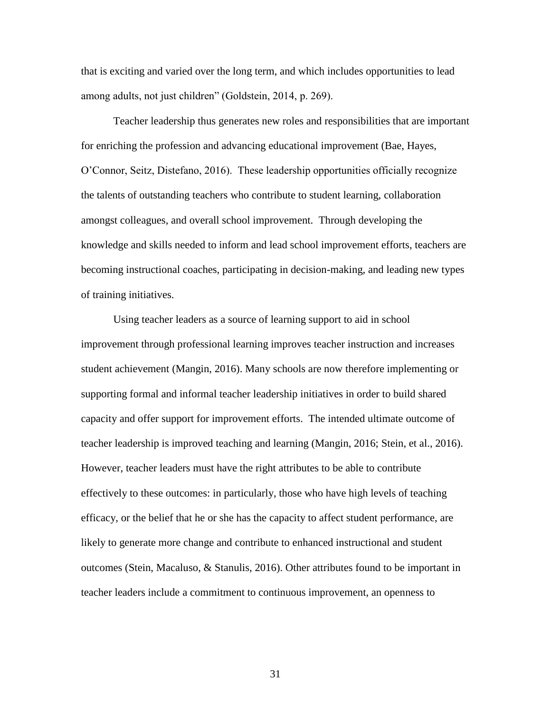that is exciting and varied over the long term, and which includes opportunities to lead among adults, not just children" (Goldstein, 2014, p. 269).

Teacher leadership thus generates new roles and responsibilities that are important for enriching the profession and advancing educational improvement (Bae, Hayes, O'Connor, Seitz, Distefano, 2016). These leadership opportunities officially recognize the talents of outstanding teachers who contribute to student learning, collaboration amongst colleagues, and overall school improvement. Through developing the knowledge and skills needed to inform and lead school improvement efforts, teachers are becoming instructional coaches, participating in decision-making, and leading new types of training initiatives.

Using teacher leaders as a source of learning support to aid in school improvement through professional learning improves teacher instruction and increases student achievement (Mangin, 2016). Many schools are now therefore implementing or supporting formal and informal teacher leadership initiatives in order to build shared capacity and offer support for improvement efforts. The intended ultimate outcome of teacher leadership is improved teaching and learning (Mangin, 2016; Stein, et al., 2016). However, teacher leaders must have the right attributes to be able to contribute effectively to these outcomes: in particularly, those who have high levels of teaching efficacy, or the belief that he or she has the capacity to affect student performance, are likely to generate more change and contribute to enhanced instructional and student outcomes (Stein, Macaluso, & Stanulis, 2016). Other attributes found to be important in teacher leaders include a commitment to continuous improvement, an openness to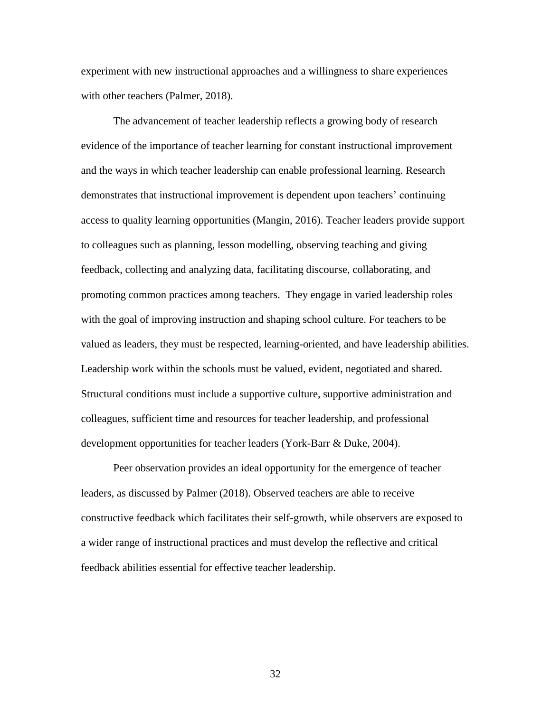experiment with new instructional approaches and a willingness to share experiences with other teachers (Palmer, 2018).

The advancement of teacher leadership reflects a growing body of research evidence of the importance of teacher learning for constant instructional improvement and the ways in which teacher leadership can enable professional learning. Research demonstrates that instructional improvement is dependent upon teachers' continuing access to quality learning opportunities (Mangin, 2016). Teacher leaders provide support to colleagues such as planning, lesson modelling, observing teaching and giving feedback, collecting and analyzing data, facilitating discourse, collaborating, and promoting common practices among teachers. They engage in varied leadership roles with the goal of improving instruction and shaping school culture. For teachers to be valued as leaders, they must be respected, learning-oriented, and have leadership abilities. Leadership work within the schools must be valued, evident, negotiated and shared. Structural conditions must include a supportive culture, supportive administration and colleagues, sufficient time and resources for teacher leadership, and professional development opportunities for teacher leaders (York-Barr & Duke, 2004).

Peer observation provides an ideal opportunity for the emergence of teacher leaders, as discussed by Palmer (2018). Observed teachers are able to receive constructive feedback which facilitates their self-growth, while observers are exposed to a wider range of instructional practices and must develop the reflective and critical feedback abilities essential for effective teacher leadership.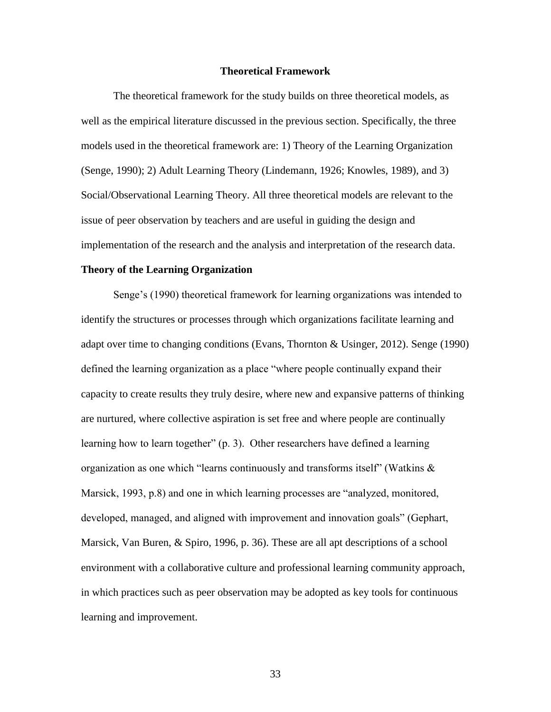## **Theoretical Framework**

The theoretical framework for the study builds on three theoretical models, as well as the empirical literature discussed in the previous section. Specifically, the three models used in the theoretical framework are: 1) Theory of the Learning Organization (Senge, 1990); 2) Adult Learning Theory (Lindemann, 1926; Knowles, 1989), and 3) Social/Observational Learning Theory. All three theoretical models are relevant to the issue of peer observation by teachers and are useful in guiding the design and implementation of the research and the analysis and interpretation of the research data.

# **Theory of the Learning Organization**

Senge's (1990) theoretical framework for learning organizations was intended to identify the structures or processes through which organizations facilitate learning and adapt over time to changing conditions (Evans, Thornton & Usinger, 2012). Senge (1990) defined the learning organization as a place "where people continually expand their capacity to create results they truly desire, where new and expansive patterns of thinking are nurtured, where collective aspiration is set free and where people are continually learning how to learn together" (p. 3). Other researchers have defined a learning organization as one which "learns continuously and transforms itself" (Watkins  $\&$ Marsick, 1993, p.8) and one in which learning processes are "analyzed, monitored, developed, managed, and aligned with improvement and innovation goals" (Gephart, Marsick, Van Buren, & Spiro, 1996, p. 36). These are all apt descriptions of a school environment with a collaborative culture and professional learning community approach, in which practices such as peer observation may be adopted as key tools for continuous learning and improvement.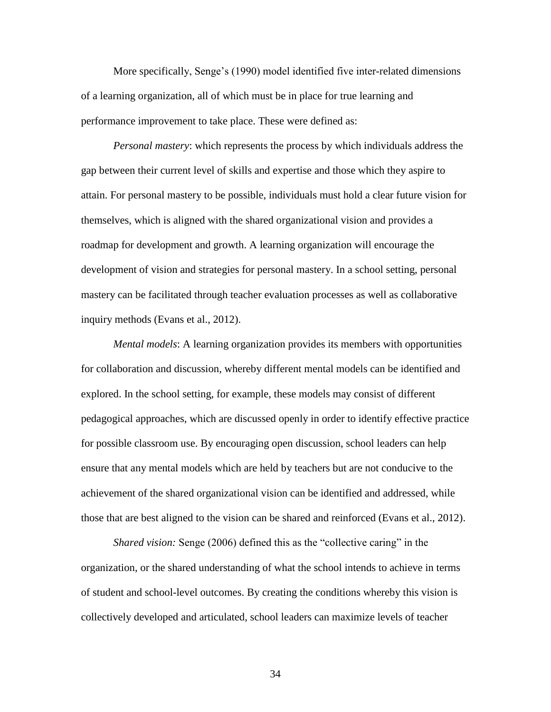More specifically, Senge's (1990) model identified five inter-related dimensions of a learning organization, all of which must be in place for true learning and performance improvement to take place. These were defined as:

*Personal mastery*: which represents the process by which individuals address the gap between their current level of skills and expertise and those which they aspire to attain. For personal mastery to be possible, individuals must hold a clear future vision for themselves, which is aligned with the shared organizational vision and provides a roadmap for development and growth. A learning organization will encourage the development of vision and strategies for personal mastery. In a school setting, personal mastery can be facilitated through teacher evaluation processes as well as collaborative inquiry methods (Evans et al., 2012).

*Mental models*: A learning organization provides its members with opportunities for collaboration and discussion, whereby different mental models can be identified and explored. In the school setting, for example, these models may consist of different pedagogical approaches, which are discussed openly in order to identify effective practice for possible classroom use. By encouraging open discussion, school leaders can help ensure that any mental models which are held by teachers but are not conducive to the achievement of the shared organizational vision can be identified and addressed, while those that are best aligned to the vision can be shared and reinforced (Evans et al., 2012).

*Shared vision:* Senge (2006) defined this as the "collective caring" in the organization, or the shared understanding of what the school intends to achieve in terms of student and school-level outcomes. By creating the conditions whereby this vision is collectively developed and articulated, school leaders can maximize levels of teacher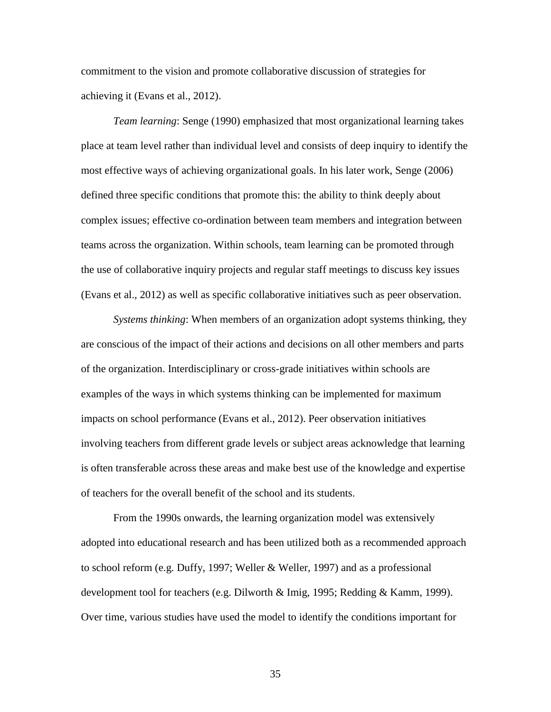commitment to the vision and promote collaborative discussion of strategies for achieving it (Evans et al., 2012).

*Team learning*: Senge (1990) emphasized that most organizational learning takes place at team level rather than individual level and consists of deep inquiry to identify the most effective ways of achieving organizational goals. In his later work, Senge (2006) defined three specific conditions that promote this: the ability to think deeply about complex issues; effective co-ordination between team members and integration between teams across the organization. Within schools, team learning can be promoted through the use of collaborative inquiry projects and regular staff meetings to discuss key issues (Evans et al., 2012) as well as specific collaborative initiatives such as peer observation.

*Systems thinking*: When members of an organization adopt systems thinking, they are conscious of the impact of their actions and decisions on all other members and parts of the organization. Interdisciplinary or cross-grade initiatives within schools are examples of the ways in which systems thinking can be implemented for maximum impacts on school performance (Evans et al., 2012). Peer observation initiatives involving teachers from different grade levels or subject areas acknowledge that learning is often transferable across these areas and make best use of the knowledge and expertise of teachers for the overall benefit of the school and its students.

From the 1990s onwards, the learning organization model was extensively adopted into educational research and has been utilized both as a recommended approach to school reform (e.g. Duffy, 1997; Weller & Weller, 1997) and as a professional development tool for teachers (e.g. Dilworth & Imig, 1995; Redding & Kamm, 1999). Over time, various studies have used the model to identify the conditions important for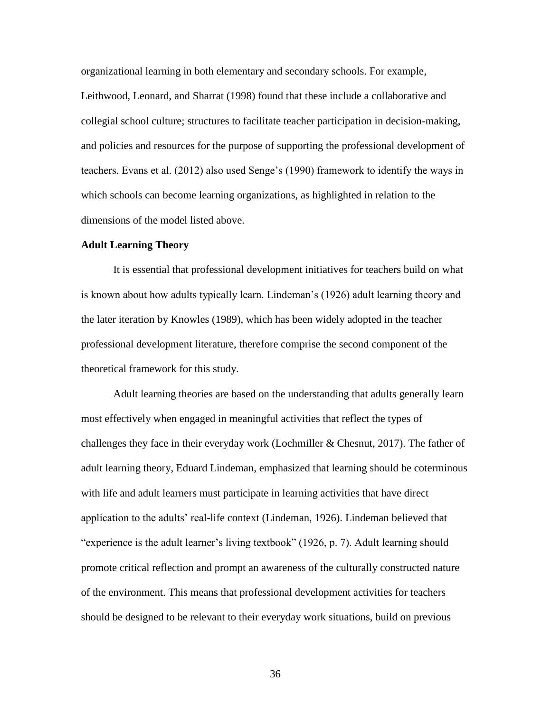organizational learning in both elementary and secondary schools. For example, Leithwood, Leonard, and Sharrat (1998) found that these include a collaborative and collegial school culture; structures to facilitate teacher participation in decision-making, and policies and resources for the purpose of supporting the professional development of teachers. Evans et al. (2012) also used Senge's (1990) framework to identify the ways in which schools can become learning organizations, as highlighted in relation to the dimensions of the model listed above.

## **Adult Learning Theory**

It is essential that professional development initiatives for teachers build on what is known about how adults typically learn. Lindeman's (1926) adult learning theory and the later iteration by Knowles (1989), which has been widely adopted in the teacher professional development literature, therefore comprise the second component of the theoretical framework for this study.

Adult learning theories are based on the understanding that adults generally learn most effectively when engaged in meaningful activities that reflect the types of challenges they face in their everyday work (Lochmiller & Chesnut, 2017). The father of adult learning theory, Eduard Lindeman, emphasized that learning should be coterminous with life and adult learners must participate in learning activities that have direct application to the adults' real-life context (Lindeman, 1926). Lindeman believed that "experience is the adult learner's living textbook" (1926, p. 7). Adult learning should promote critical reflection and prompt an awareness of the culturally constructed nature of the environment. This means that professional development activities for teachers should be designed to be relevant to their everyday work situations, build on previous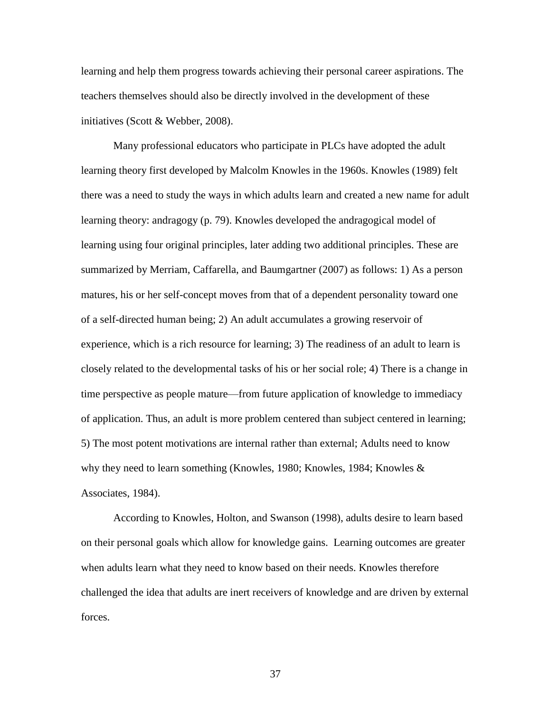learning and help them progress towards achieving their personal career aspirations. The teachers themselves should also be directly involved in the development of these initiatives (Scott & Webber, 2008).

Many professional educators who participate in PLCs have adopted the adult learning theory first developed by Malcolm Knowles in the 1960s. Knowles (1989) felt there was a need to study the ways in which adults learn and created a new name for adult learning theory: andragogy (p. 79). Knowles developed the andragogical model of learning using four original principles, later adding two additional principles. These are summarized by Merriam, Caffarella, and Baumgartner (2007) as follows: 1) As a person matures, his or her self-concept moves from that of a dependent personality toward one of a self-directed human being; 2) An adult accumulates a growing reservoir of experience, which is a rich resource for learning; 3) The readiness of an adult to learn is closely related to the developmental tasks of his or her social role; 4) There is a change in time perspective as people mature—from future application of knowledge to immediacy of application. Thus, an adult is more problem centered than subject centered in learning; 5) The most potent motivations are internal rather than external; Adults need to know why they need to learn something (Knowles, 1980; Knowles, 1984; Knowles & Associates, 1984).

According to Knowles, Holton, and Swanson (1998), adults desire to learn based on their personal goals which allow for knowledge gains. Learning outcomes are greater when adults learn what they need to know based on their needs. Knowles therefore challenged the idea that adults are inert receivers of knowledge and are driven by external forces.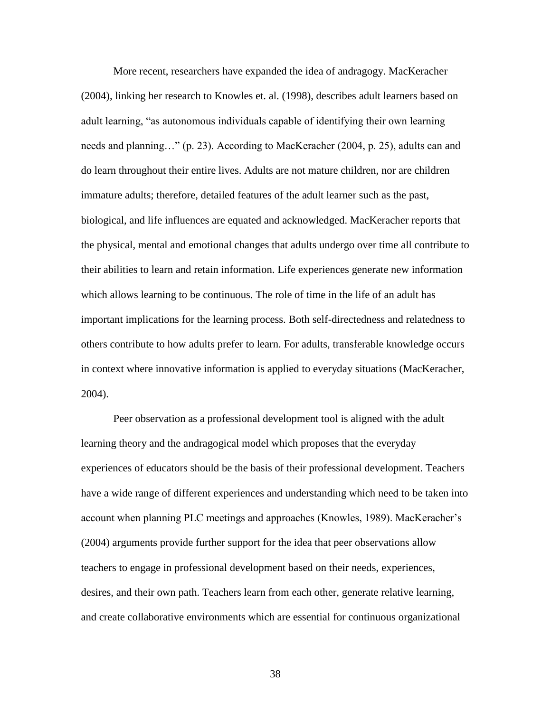More recent, researchers have expanded the idea of andragogy. MacKeracher (2004), linking her research to Knowles et. al. (1998), describes adult learners based on adult learning, "as autonomous individuals capable of identifying their own learning needs and planning…" (p. 23). According to MacKeracher (2004, p. 25), adults can and do learn throughout their entire lives. Adults are not mature children, nor are children immature adults; therefore, detailed features of the adult learner such as the past, biological, and life influences are equated and acknowledged. MacKeracher reports that the physical, mental and emotional changes that adults undergo over time all contribute to their abilities to learn and retain information. Life experiences generate new information which allows learning to be continuous. The role of time in the life of an adult has important implications for the learning process. Both self-directedness and relatedness to others contribute to how adults prefer to learn. For adults, transferable knowledge occurs in context where innovative information is applied to everyday situations (MacKeracher, 2004).

Peer observation as a professional development tool is aligned with the adult learning theory and the andragogical model which proposes that the everyday experiences of educators should be the basis of their professional development. Teachers have a wide range of different experiences and understanding which need to be taken into account when planning PLC meetings and approaches (Knowles, 1989). MacKeracher's (2004) arguments provide further support for the idea that peer observations allow teachers to engage in professional development based on their needs, experiences, desires, and their own path. Teachers learn from each other, generate relative learning, and create collaborative environments which are essential for continuous organizational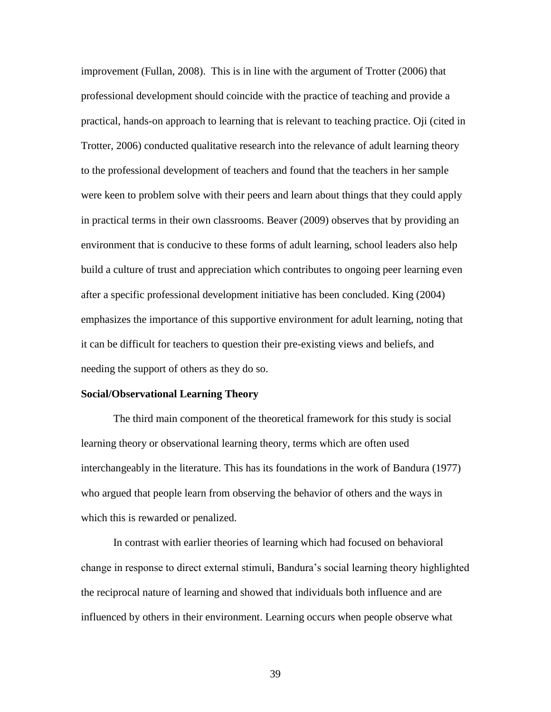improvement (Fullan, 2008). This is in line with the argument of Trotter (2006) that professional development should coincide with the practice of teaching and provide a practical, hands-on approach to learning that is relevant to teaching practice. Oji (cited in Trotter, 2006) conducted qualitative research into the relevance of adult learning theory to the professional development of teachers and found that the teachers in her sample were keen to problem solve with their peers and learn about things that they could apply in practical terms in their own classrooms. Beaver (2009) observes that by providing an environment that is conducive to these forms of adult learning, school leaders also help build a culture of trust and appreciation which contributes to ongoing peer learning even after a specific professional development initiative has been concluded. King (2004) emphasizes the importance of this supportive environment for adult learning, noting that it can be difficult for teachers to question their pre-existing views and beliefs, and needing the support of others as they do so.

## **Social/Observational Learning Theory**

The third main component of the theoretical framework for this study is social learning theory or observational learning theory, terms which are often used interchangeably in the literature. This has its foundations in the work of Bandura (1977) who argued that people learn from observing the behavior of others and the ways in which this is rewarded or penalized.

In contrast with earlier theories of learning which had focused on behavioral change in response to direct external stimuli, Bandura's social learning theory highlighted the reciprocal nature of learning and showed that individuals both influence and are influenced by others in their environment. Learning occurs when people observe what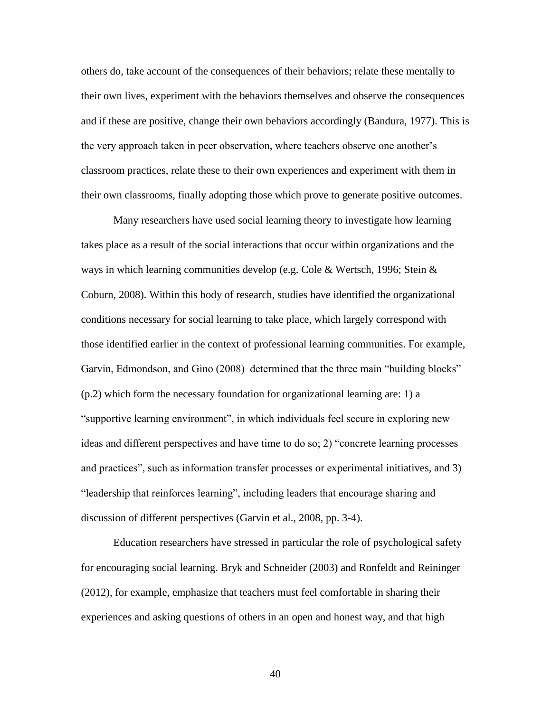others do, take account of the consequences of their behaviors; relate these mentally to their own lives, experiment with the behaviors themselves and observe the consequences and if these are positive, change their own behaviors accordingly (Bandura, 1977). This is the very approach taken in peer observation, where teachers observe one another's classroom practices, relate these to their own experiences and experiment with them in their own classrooms, finally adopting those which prove to generate positive outcomes.

Many researchers have used social learning theory to investigate how learning takes place as a result of the social interactions that occur within organizations and the ways in which learning communities develop (e.g. Cole & Wertsch, 1996; Stein & Coburn, 2008). Within this body of research, studies have identified the organizational conditions necessary for social learning to take place, which largely correspond with those identified earlier in the context of professional learning communities. For example, Garvin, Edmondson, and Gino (2008) determined that the three main "building blocks" (p.2) which form the necessary foundation for organizational learning are: 1) a "supportive learning environment", in which individuals feel secure in exploring new ideas and different perspectives and have time to do so; 2) "concrete learning processes and practices", such as information transfer processes or experimental initiatives, and 3) "leadership that reinforces learning", including leaders that encourage sharing and discussion of different perspectives (Garvin et al., 2008, pp. 3-4).

Education researchers have stressed in particular the role of psychological safety for encouraging social learning. Bryk and Schneider (2003) and Ronfeldt and Reininger (2012), for example, emphasize that teachers must feel comfortable in sharing their experiences and asking questions of others in an open and honest way, and that high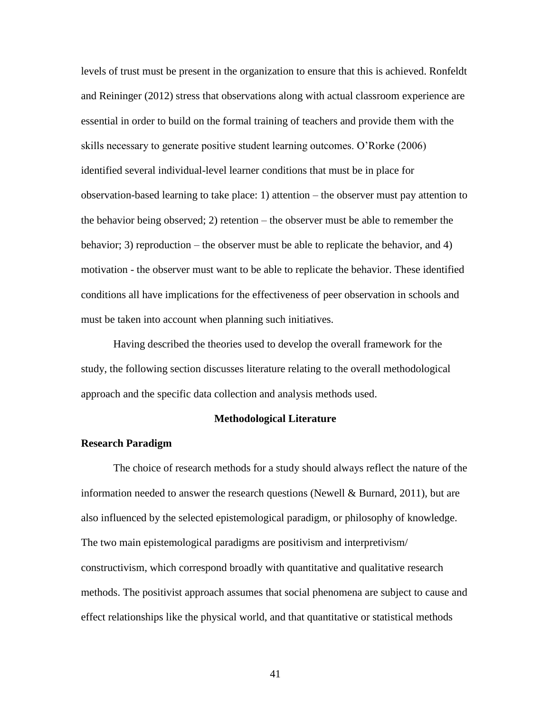levels of trust must be present in the organization to ensure that this is achieved. Ronfeldt and Reininger (2012) stress that observations along with actual classroom experience are essential in order to build on the formal training of teachers and provide them with the skills necessary to generate positive student learning outcomes. O'Rorke (2006) identified several individual-level learner conditions that must be in place for observation-based learning to take place: 1) attention – the observer must pay attention to the behavior being observed; 2) retention – the observer must be able to remember the behavior; 3) reproduction – the observer must be able to replicate the behavior, and 4) motivation - the observer must want to be able to replicate the behavior. These identified conditions all have implications for the effectiveness of peer observation in schools and must be taken into account when planning such initiatives.

Having described the theories used to develop the overall framework for the study, the following section discusses literature relating to the overall methodological approach and the specific data collection and analysis methods used.

# **Methodological Literature**

# **Research Paradigm**

The choice of research methods for a study should always reflect the nature of the information needed to answer the research questions (Newell & Burnard, 2011), but are also influenced by the selected epistemological paradigm, or philosophy of knowledge. The two main epistemological paradigms are positivism and interpretivism/ constructivism, which correspond broadly with quantitative and qualitative research methods. The positivist approach assumes that social phenomena are subject to cause and effect relationships like the physical world, and that quantitative or statistical methods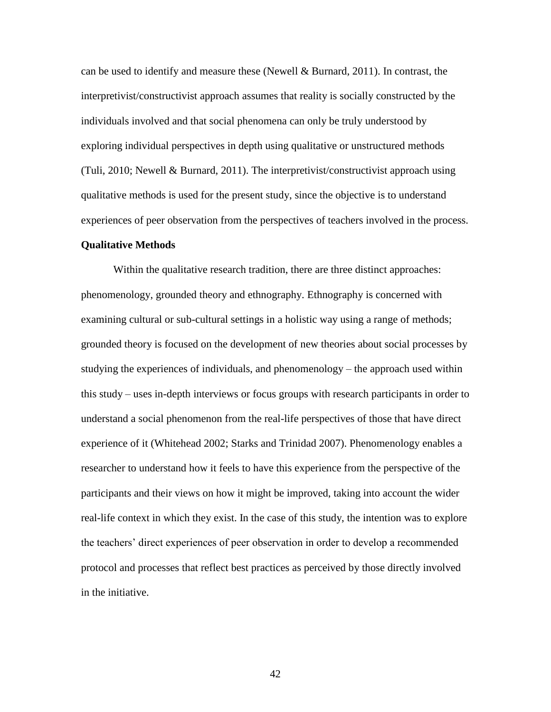can be used to identify and measure these (Newell  $& Burnard, 2011$ ). In contrast, the interpretivist/constructivist approach assumes that reality is socially constructed by the individuals involved and that social phenomena can only be truly understood by exploring individual perspectives in depth using qualitative or unstructured methods (Tuli, 2010; Newell & Burnard, 2011). The interpretivist/constructivist approach using qualitative methods is used for the present study, since the objective is to understand experiences of peer observation from the perspectives of teachers involved in the process.

## **Qualitative Methods**

Within the qualitative research tradition, there are three distinct approaches: phenomenology, grounded theory and ethnography. Ethnography is concerned with examining cultural or sub-cultural settings in a holistic way using a range of methods; grounded theory is focused on the development of new theories about social processes by studying the experiences of individuals, and phenomenology – the approach used within this study – uses in-depth interviews or focus groups with research participants in order to understand a social phenomenon from the real-life perspectives of those that have direct experience of it (Whitehead 2002; Starks and Trinidad 2007). Phenomenology enables a researcher to understand how it feels to have this experience from the perspective of the participants and their views on how it might be improved, taking into account the wider real-life context in which they exist. In the case of this study, the intention was to explore the teachers' direct experiences of peer observation in order to develop a recommended protocol and processes that reflect best practices as perceived by those directly involved in the initiative.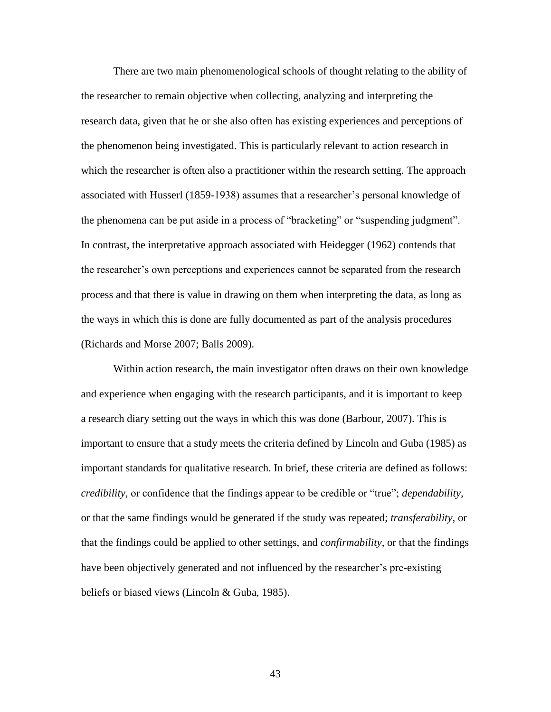There are two main phenomenological schools of thought relating to the ability of the researcher to remain objective when collecting, analyzing and interpreting the research data, given that he or she also often has existing experiences and perceptions of the phenomenon being investigated. This is particularly relevant to action research in which the researcher is often also a practitioner within the research setting. The approach associated with Husserl (1859-1938) assumes that a researcher's personal knowledge of the phenomena can be put aside in a process of "bracketing" or "suspending judgment". In contrast, the interpretative approach associated with Heidegger (1962) contends that the researcher's own perceptions and experiences cannot be separated from the research process and that there is value in drawing on them when interpreting the data, as long as the ways in which this is done are fully documented as part of the analysis procedures (Richards and Morse 2007; Balls 2009).

Within action research, the main investigator often draws on their own knowledge and experience when engaging with the research participants, and it is important to keep a research diary setting out the ways in which this was done (Barbour, 2007). This is important to ensure that a study meets the criteria defined by Lincoln and Guba (1985) as important standards for qualitative research. In brief, these criteria are defined as follows: *credibility,* or confidence that the findings appear to be credible or "true"; *dependability,* or that the same findings would be generated if the study was repeated; *transferability*, or that the findings could be applied to other settings, and *confirmability*, or that the findings have been objectively generated and not influenced by the researcher's pre-existing beliefs or biased views (Lincoln & Guba, 1985).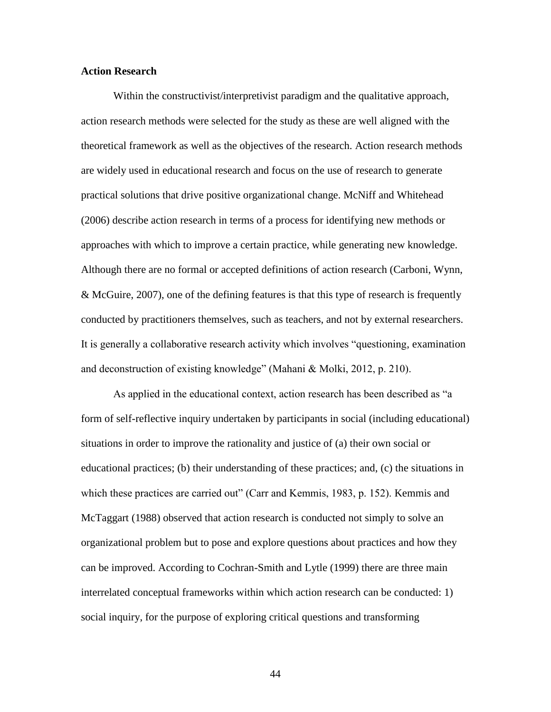# **Action Research**

Within the constructivist/interpretivist paradigm and the qualitative approach, action research methods were selected for the study as these are well aligned with the theoretical framework as well as the objectives of the research. Action research methods are widely used in educational research and focus on the use of research to generate practical solutions that drive positive organizational change. McNiff and Whitehead (2006) describe action research in terms of a process for identifying new methods or approaches with which to improve a certain practice, while generating new knowledge. Although there are no formal or accepted definitions of action research (Carboni, Wynn, & McGuire, 2007), one of the defining features is that this type of research is frequently conducted by practitioners themselves, such as teachers, and not by external researchers. It is generally a collaborative research activity which involves "questioning, examination and deconstruction of existing knowledge" (Mahani & Molki, 2012, p. 210).

As applied in the educational context, action research has been described as "a form of self-reflective inquiry undertaken by participants in social (including educational) situations in order to improve the rationality and justice of (a) their own social or educational practices; (b) their understanding of these practices; and, (c) the situations in which these practices are carried out" (Carr and Kemmis, 1983, p. 152). Kemmis and McTaggart (1988) observed that action research is conducted not simply to solve an organizational problem but to pose and explore questions about practices and how they can be improved. According to Cochran-Smith and Lytle (1999) there are three main interrelated conceptual frameworks within which action research can be conducted: 1) social inquiry, for the purpose of exploring critical questions and transforming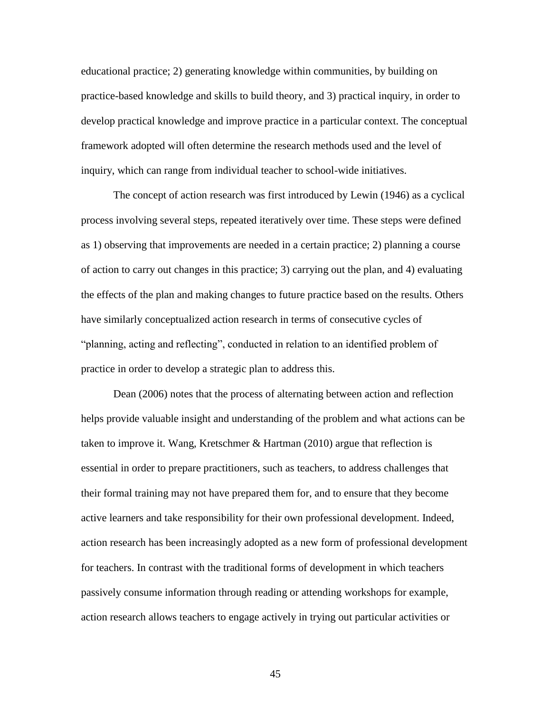educational practice; 2) generating knowledge within communities, by building on practice-based knowledge and skills to build theory, and 3) practical inquiry, in order to develop practical knowledge and improve practice in a particular context. The conceptual framework adopted will often determine the research methods used and the level of inquiry, which can range from individual teacher to school-wide initiatives.

The concept of action research was first introduced by Lewin (1946) as a cyclical process involving several steps, repeated iteratively over time. These steps were defined as 1) observing that improvements are needed in a certain practice; 2) planning a course of action to carry out changes in this practice; 3) carrying out the plan, and 4) evaluating the effects of the plan and making changes to future practice based on the results. Others have similarly conceptualized action research in terms of consecutive cycles of "planning, acting and reflecting", conducted in relation to an identified problem of practice in order to develop a strategic plan to address this.

Dean (2006) notes that the process of alternating between action and reflection helps provide valuable insight and understanding of the problem and what actions can be taken to improve it. Wang, Kretschmer & Hartman (2010) argue that reflection is essential in order to prepare practitioners, such as teachers, to address challenges that their formal training may not have prepared them for, and to ensure that they become active learners and take responsibility for their own professional development. Indeed, action research has been increasingly adopted as a new form of professional development for teachers. In contrast with the traditional forms of development in which teachers passively consume information through reading or attending workshops for example, action research allows teachers to engage actively in trying out particular activities or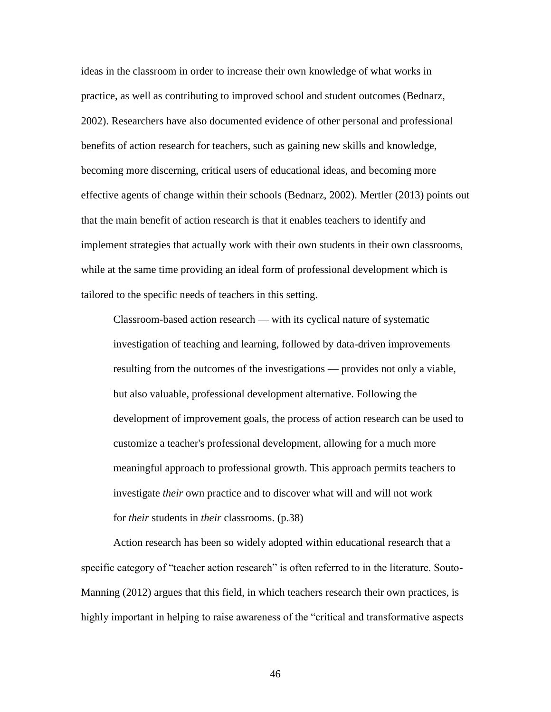ideas in the classroom in order to increase their own knowledge of what works in practice, as well as contributing to improved school and student outcomes (Bednarz, 2002). Researchers have also documented evidence of other personal and professional benefits of action research for teachers, such as gaining new skills and knowledge, becoming more discerning, critical users of educational ideas, and becoming more effective agents of change within their schools (Bednarz, 2002). Mertler (2013) points out that the main benefit of action research is that it enables teachers to identify and implement strategies that actually work with their own students in their own classrooms, while at the same time providing an ideal form of professional development which is tailored to the specific needs of teachers in this setting.

Classroom-based action research — with its cyclical nature of systematic investigation of teaching and learning, followed by data-driven improvements resulting from the outcomes of the investigations — provides not only a viable, but also valuable, professional development alternative. Following the development of improvement goals, the process of action research can be used to customize a teacher's professional development, allowing for a much more meaningful approach to professional growth. This approach permits teachers to investigate *their* own practice and to discover what will and will not work for *their* students in *their* classrooms. (p.38)

Action research has been so widely adopted within educational research that a specific category of "teacher action research" is often referred to in the literature. Souto-Manning (2012) argues that this field, in which teachers research their own practices, is highly important in helping to raise awareness of the "critical and transformative aspects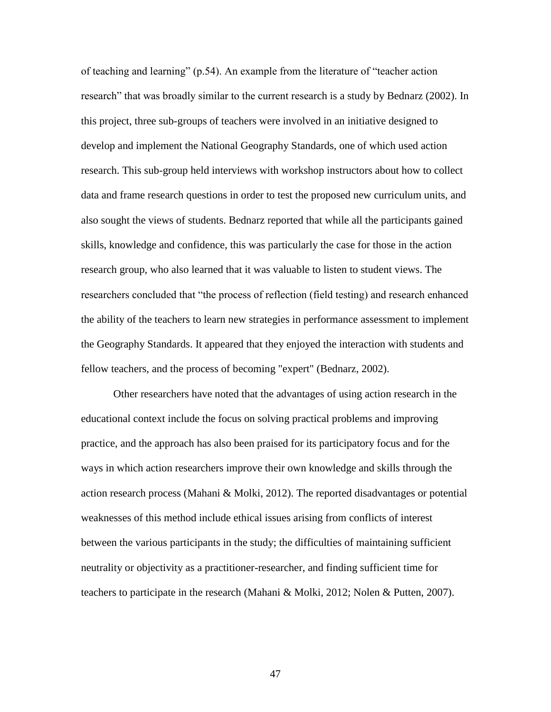of teaching and learning" (p.54). An example from the literature of "teacher action research" that was broadly similar to the current research is a study by Bednarz (2002). In this project, three sub-groups of teachers were involved in an initiative designed to develop and implement the National Geography Standards, one of which used action research. This sub-group held interviews with workshop instructors about how to collect data and frame research questions in order to test the proposed new curriculum units, and also sought the views of students. Bednarz reported that while all the participants gained skills, knowledge and confidence, this was particularly the case for those in the action research group, who also learned that it was valuable to listen to student views. The researchers concluded that "the process of reflection (field testing) and research enhanced the ability of the teachers to learn new strategies in performance assessment to implement the Geography Standards. It appeared that they enjoyed the interaction with students and fellow teachers, and the process of becoming "expert" (Bednarz, 2002).

Other researchers have noted that the advantages of using action research in the educational context include the focus on solving practical problems and improving practice, and the approach has also been praised for its participatory focus and for the ways in which action researchers improve their own knowledge and skills through the action research process (Mahani & Molki, 2012). The reported disadvantages or potential weaknesses of this method include ethical issues arising from conflicts of interest between the various participants in the study; the difficulties of maintaining sufficient neutrality or objectivity as a practitioner-researcher, and finding sufficient time for teachers to participate in the research (Mahani & Molki, 2012; Nolen & Putten, 2007).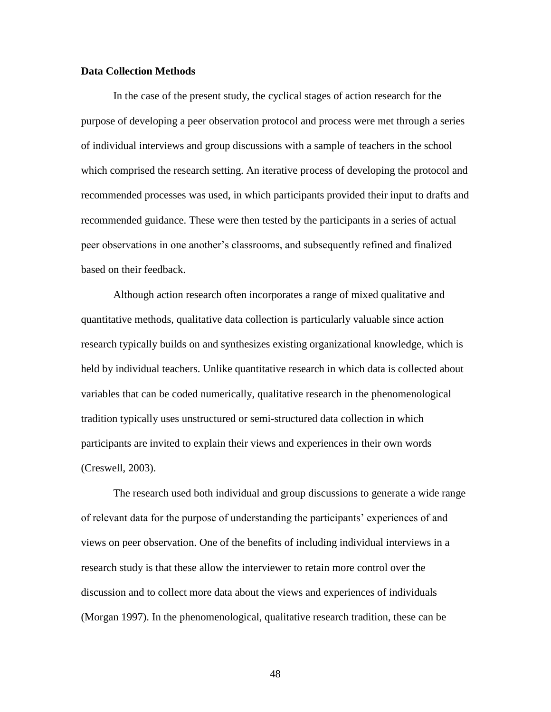# **Data Collection Methods**

In the case of the present study, the cyclical stages of action research for the purpose of developing a peer observation protocol and process were met through a series of individual interviews and group discussions with a sample of teachers in the school which comprised the research setting. An iterative process of developing the protocol and recommended processes was used, in which participants provided their input to drafts and recommended guidance. These were then tested by the participants in a series of actual peer observations in one another's classrooms, and subsequently refined and finalized based on their feedback.

Although action research often incorporates a range of mixed qualitative and quantitative methods, qualitative data collection is particularly valuable since action research typically builds on and synthesizes existing organizational knowledge, which is held by individual teachers. Unlike quantitative research in which data is collected about variables that can be coded numerically, qualitative research in the phenomenological tradition typically uses unstructured or semi-structured data collection in which participants are invited to explain their views and experiences in their own words (Creswell, 2003).

The research used both individual and group discussions to generate a wide range of relevant data for the purpose of understanding the participants' experiences of and views on peer observation. One of the benefits of including individual interviews in a research study is that these allow the interviewer to retain more control over the discussion and to collect more data about the views and experiences of individuals (Morgan 1997). In the phenomenological, qualitative research tradition, these can be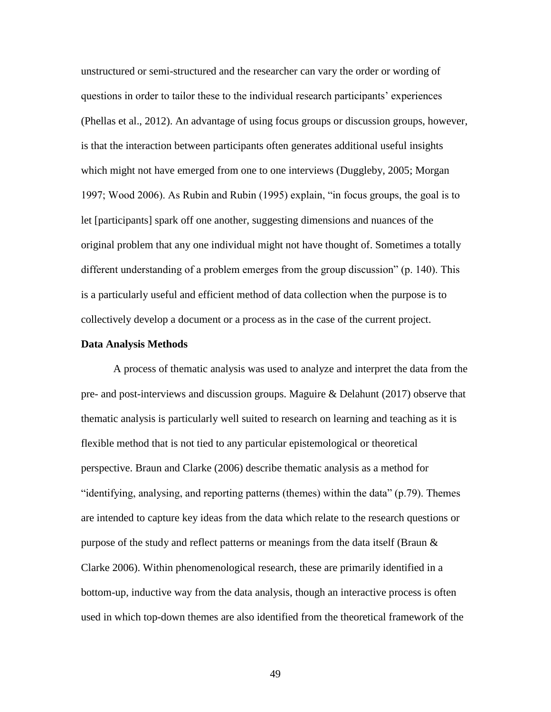unstructured or semi-structured and the researcher can vary the order or wording of questions in order to tailor these to the individual research participants' experiences (Phellas et al., 2012). An advantage of using focus groups or discussion groups, however, is that the interaction between participants often generates additional useful insights which might not have emerged from one to one interviews (Duggleby, 2005; Morgan 1997; Wood 2006). As Rubin and Rubin (1995) explain, "in focus groups, the goal is to let [participants] spark off one another, suggesting dimensions and nuances of the original problem that any one individual might not have thought of. Sometimes a totally different understanding of a problem emerges from the group discussion" (p. 140). This is a particularly useful and efficient method of data collection when the purpose is to collectively develop a document or a process as in the case of the current project.

### **Data Analysis Methods**

A process of thematic analysis was used to analyze and interpret the data from the pre- and post-interviews and discussion groups. Maguire & Delahunt (2017) observe that thematic analysis is particularly well suited to research on learning and teaching as it is flexible method that is not tied to any particular epistemological or theoretical perspective. Braun and Clarke (2006) describe thematic analysis as a method for "identifying, analysing, and reporting patterns (themes) within the data" (p.79). Themes are intended to capture key ideas from the data which relate to the research questions or purpose of the study and reflect patterns or meanings from the data itself (Braun & Clarke 2006). Within phenomenological research, these are primarily identified in a bottom-up, inductive way from the data analysis, though an interactive process is often used in which top-down themes are also identified from the theoretical framework of the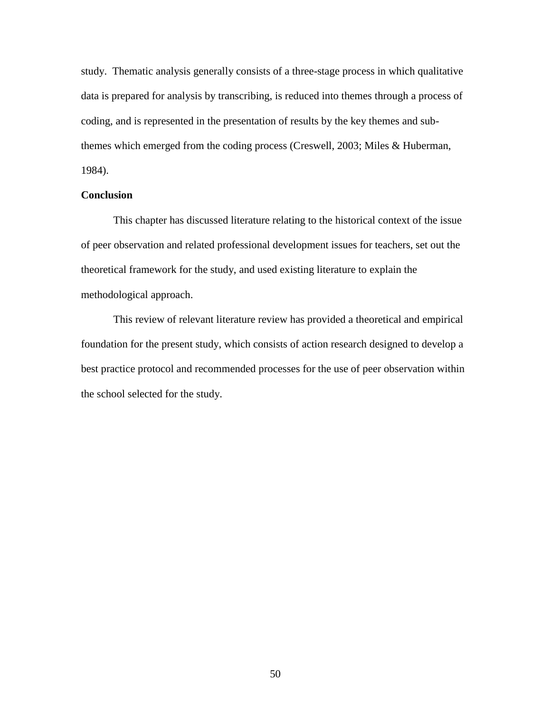study. Thematic analysis generally consists of a three-stage process in which qualitative data is prepared for analysis by transcribing, is reduced into themes through a process of coding, and is represented in the presentation of results by the key themes and subthemes which emerged from the coding process (Creswell, 2003; Miles & Huberman, 1984).

# **Conclusion**

This chapter has discussed literature relating to the historical context of the issue of peer observation and related professional development issues for teachers, set out the theoretical framework for the study, and used existing literature to explain the methodological approach.

This review of relevant literature review has provided a theoretical and empirical foundation for the present study, which consists of action research designed to develop a best practice protocol and recommended processes for the use of peer observation within the school selected for the study.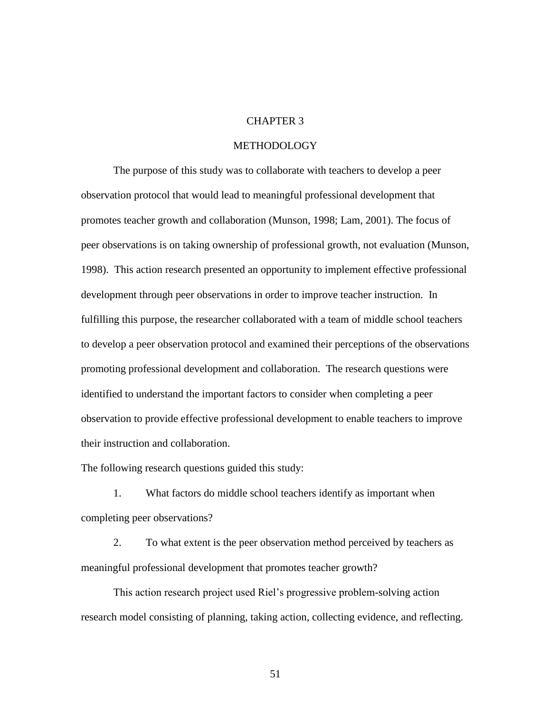# CHAPTER 3

# METHODOLOGY

The purpose of this study was to collaborate with teachers to develop a peer observation protocol that would lead to meaningful professional development that promotes teacher growth and collaboration (Munson, 1998; Lam, 2001). The focus of peer observations is on taking ownership of professional growth, not evaluation (Munson, 1998). This action research presented an opportunity to implement effective professional development through peer observations in order to improve teacher instruction. In fulfilling this purpose, the researcher collaborated with a team of middle school teachers to develop a peer observation protocol and examined their perceptions of the observations promoting professional development and collaboration. The research questions were identified to understand the important factors to consider when completing a peer observation to provide effective professional development to enable teachers to improve their instruction and collaboration.

The following research questions guided this study:

1. What factors do middle school teachers identify as important when completing peer observations?

2. To what extent is the peer observation method perceived by teachers as meaningful professional development that promotes teacher growth?

This action research project used Riel's progressive problem-solving action research model consisting of planning, taking action, collecting evidence, and reflecting.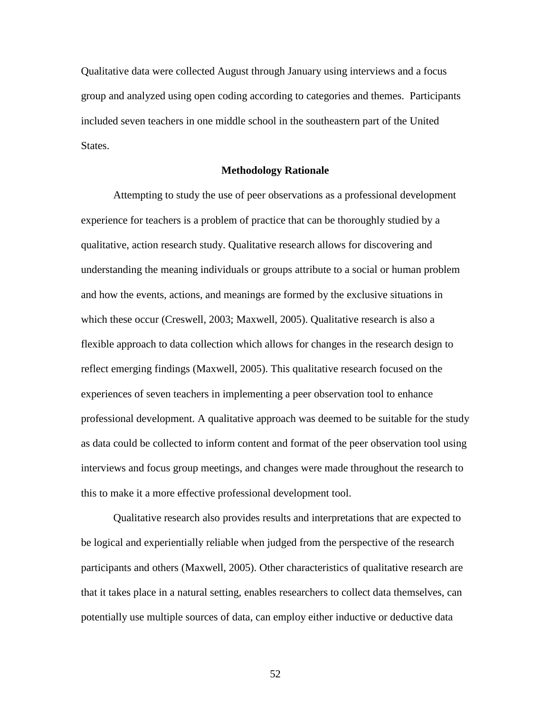Qualitative data were collected August through January using interviews and a focus group and analyzed using open coding according to categories and themes. Participants included seven teachers in one middle school in the southeastern part of the United States.

## **Methodology Rationale**

Attempting to study the use of peer observations as a professional development experience for teachers is a problem of practice that can be thoroughly studied by a qualitative, action research study. Qualitative research allows for discovering and understanding the meaning individuals or groups attribute to a social or human problem and how the events, actions, and meanings are formed by the exclusive situations in which these occur (Creswell, 2003; Maxwell, 2005). Qualitative research is also a flexible approach to data collection which allows for changes in the research design to reflect emerging findings (Maxwell, 2005). This qualitative research focused on the experiences of seven teachers in implementing a peer observation tool to enhance professional development. A qualitative approach was deemed to be suitable for the study as data could be collected to inform content and format of the peer observation tool using interviews and focus group meetings, and changes were made throughout the research to this to make it a more effective professional development tool.

Qualitative research also provides results and interpretations that are expected to be logical and experientially reliable when judged from the perspective of the research participants and others (Maxwell, 2005). Other characteristics of qualitative research are that it takes place in a natural setting, enables researchers to collect data themselves, can potentially use multiple sources of data, can employ either inductive or deductive data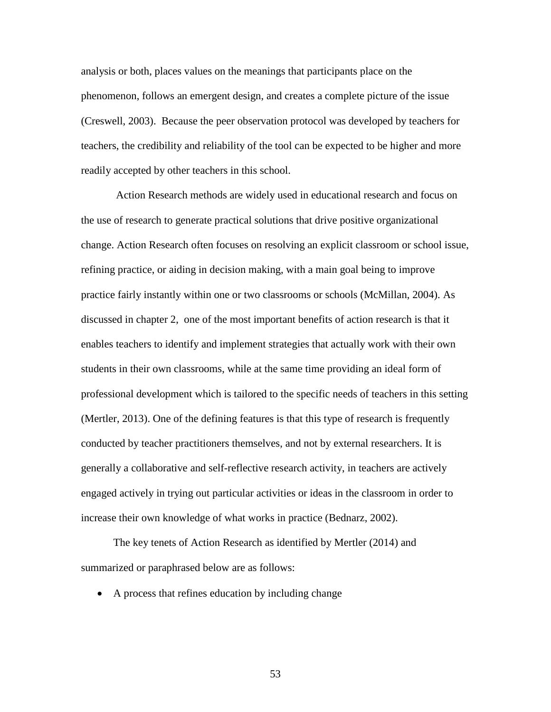analysis or both, places values on the meanings that participants place on the phenomenon, follows an emergent design, and creates a complete picture of the issue (Creswell, 2003). Because the peer observation protocol was developed by teachers for teachers, the credibility and reliability of the tool can be expected to be higher and more readily accepted by other teachers in this school.

Action Research methods are widely used in educational research and focus on the use of research to generate practical solutions that drive positive organizational change. Action Research often focuses on resolving an explicit classroom or school issue, refining practice, or aiding in decision making, with a main goal being to improve practice fairly instantly within one or two classrooms or schools (McMillan, 2004). As discussed in chapter 2, one of the most important benefits of action research is that it enables teachers to identify and implement strategies that actually work with their own students in their own classrooms, while at the same time providing an ideal form of professional development which is tailored to the specific needs of teachers in this setting (Mertler, 2013). One of the defining features is that this type of research is frequently conducted by teacher practitioners themselves, and not by external researchers. It is generally a collaborative and self-reflective research activity, in teachers are actively engaged actively in trying out particular activities or ideas in the classroom in order to increase their own knowledge of what works in practice (Bednarz, 2002).

The key tenets of Action Research as identified by Mertler (2014) and summarized or paraphrased below are as follows:

• A process that refines education by including change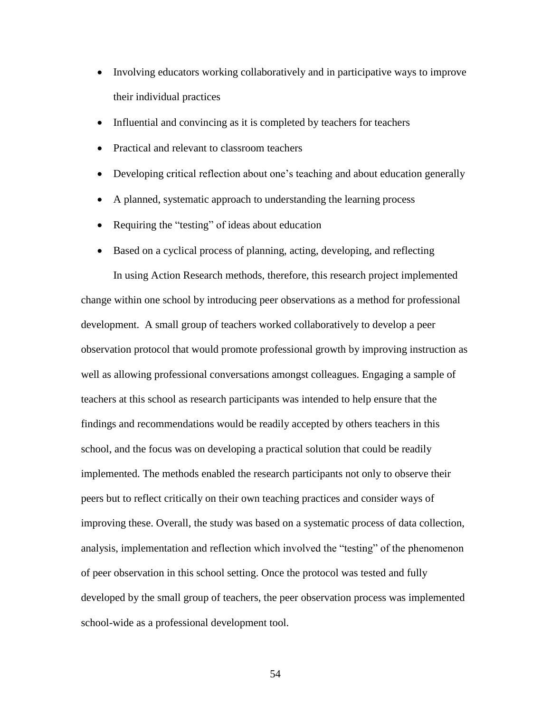- Involving educators working collaboratively and in participative ways to improve their individual practices
- Influential and convincing as it is completed by teachers for teachers
- Practical and relevant to classroom teachers
- Developing critical reflection about one's teaching and about education generally
- A planned, systematic approach to understanding the learning process
- Requiring the "testing" of ideas about education
- Based on a cyclical process of planning, acting, developing, and reflecting

In using Action Research methods, therefore, this research project implemented change within one school by introducing peer observations as a method for professional development. A small group of teachers worked collaboratively to develop a peer observation protocol that would promote professional growth by improving instruction as well as allowing professional conversations amongst colleagues. Engaging a sample of teachers at this school as research participants was intended to help ensure that the findings and recommendations would be readily accepted by others teachers in this school, and the focus was on developing a practical solution that could be readily implemented. The methods enabled the research participants not only to observe their peers but to reflect critically on their own teaching practices and consider ways of improving these. Overall, the study was based on a systematic process of data collection, analysis, implementation and reflection which involved the "testing" of the phenomenon of peer observation in this school setting. Once the protocol was tested and fully developed by the small group of teachers, the peer observation process was implemented school-wide as a professional development tool.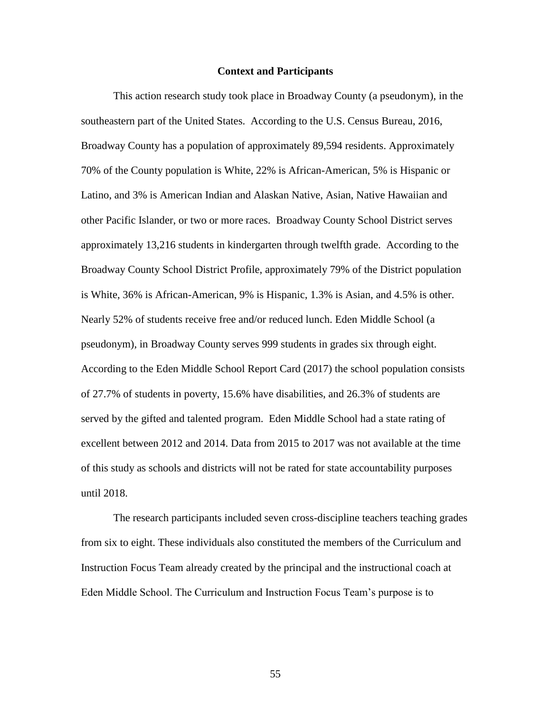### **Context and Participants**

This action research study took place in Broadway County (a pseudonym), in the southeastern part of the United States. According to the U.S. Census Bureau, 2016, Broadway County has a population of approximately 89,594 residents. Approximately 70% of the County population is White, 22% is African-American, 5% is Hispanic or Latino, and 3% is American Indian and Alaskan Native, Asian, Native Hawaiian and other Pacific Islander, or two or more races. Broadway County School District serves approximately 13,216 students in kindergarten through twelfth grade. According to the Broadway County School District Profile, approximately 79% of the District population is White, 36% is African-American, 9% is Hispanic, 1.3% is Asian, and 4.5% is other. Nearly 52% of students receive free and/or reduced lunch. Eden Middle School (a pseudonym), in Broadway County serves 999 students in grades six through eight. According to the Eden Middle School Report Card (2017) the school population consists of 27.7% of students in poverty, 15.6% have disabilities, and 26.3% of students are served by the gifted and talented program. Eden Middle School had a state rating of excellent between 2012 and 2014. Data from 2015 to 2017 was not available at the time of this study as schools and districts will not be rated for state accountability purposes until 2018.

The research participants included seven cross-discipline teachers teaching grades from six to eight. These individuals also constituted the members of the Curriculum and Instruction Focus Team already created by the principal and the instructional coach at Eden Middle School. The Curriculum and Instruction Focus Team's purpose is to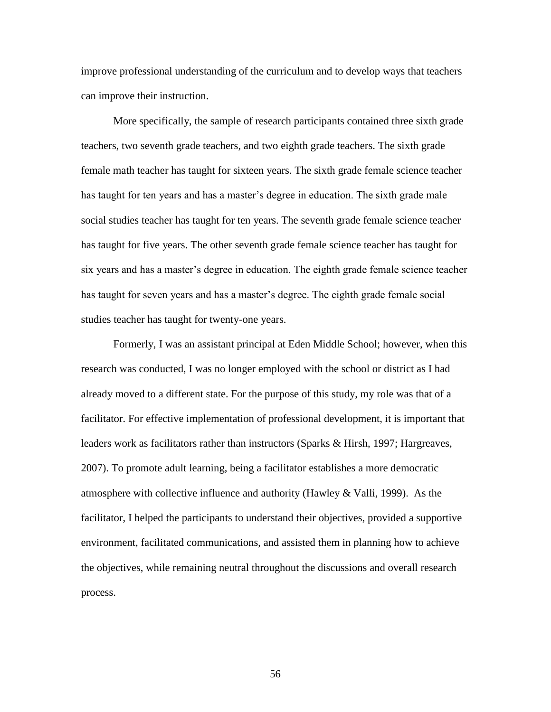improve professional understanding of the curriculum and to develop ways that teachers can improve their instruction.

More specifically, the sample of research participants contained three sixth grade teachers, two seventh grade teachers, and two eighth grade teachers. The sixth grade female math teacher has taught for sixteen years. The sixth grade female science teacher has taught for ten years and has a master's degree in education. The sixth grade male social studies teacher has taught for ten years. The seventh grade female science teacher has taught for five years. The other seventh grade female science teacher has taught for six years and has a master's degree in education. The eighth grade female science teacher has taught for seven years and has a master's degree. The eighth grade female social studies teacher has taught for twenty-one years.

Formerly, I was an assistant principal at Eden Middle School; however, when this research was conducted, I was no longer employed with the school or district as I had already moved to a different state. For the purpose of this study, my role was that of a facilitator. For effective implementation of professional development, it is important that leaders work as facilitators rather than instructors (Sparks & Hirsh, 1997; Hargreaves, 2007). To promote adult learning, being a facilitator establishes a more democratic atmosphere with collective influence and authority (Hawley & Valli, 1999). As the facilitator, I helped the participants to understand their objectives, provided a supportive environment, facilitated communications, and assisted them in planning how to achieve the objectives, while remaining neutral throughout the discussions and overall research process.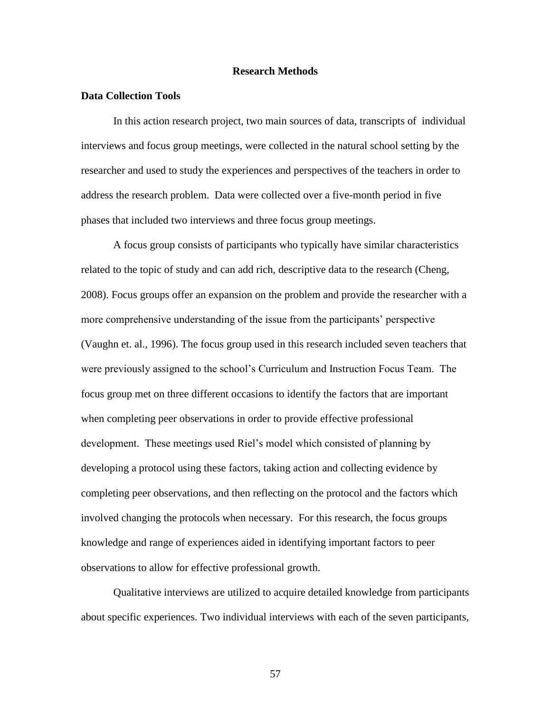# **Research Methods**

## **Data Collection Tools**

In this action research project, two main sources of data, transcripts of individual interviews and focus group meetings, were collected in the natural school setting by the researcher and used to study the experiences and perspectives of the teachers in order to address the research problem. Data were collected over a five-month period in five phases that included two interviews and three focus group meetings.

A focus group consists of participants who typically have similar characteristics related to the topic of study and can add rich, descriptive data to the research (Cheng, 2008). Focus groups offer an expansion on the problem and provide the researcher with a more comprehensive understanding of the issue from the participants' perspective (Vaughn et. al., 1996). The focus group used in this research included seven teachers that were previously assigned to the school's Curriculum and Instruction Focus Team. The focus group met on three different occasions to identify the factors that are important when completing peer observations in order to provide effective professional development. These meetings used Riel's model which consisted of planning by developing a protocol using these factors, taking action and collecting evidence by completing peer observations, and then reflecting on the protocol and the factors which involved changing the protocols when necessary. For this research, the focus groups knowledge and range of experiences aided in identifying important factors to peer observations to allow for effective professional growth.

Qualitative interviews are utilized to acquire detailed knowledge from participants about specific experiences. Two individual interviews with each of the seven participants,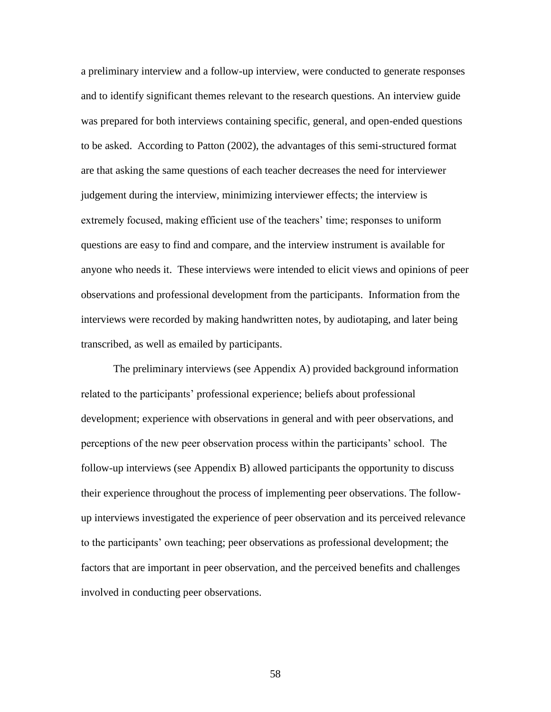a preliminary interview and a follow-up interview, were conducted to generate responses and to identify significant themes relevant to the research questions. An interview guide was prepared for both interviews containing specific, general, and open-ended questions to be asked. According to Patton (2002), the advantages of this semi-structured format are that asking the same questions of each teacher decreases the need for interviewer judgement during the interview, minimizing interviewer effects; the interview is extremely focused, making efficient use of the teachers' time; responses to uniform questions are easy to find and compare, and the interview instrument is available for anyone who needs it. These interviews were intended to elicit views and opinions of peer observations and professional development from the participants. Information from the interviews were recorded by making handwritten notes, by audiotaping, and later being transcribed, as well as emailed by participants.

The preliminary interviews (see Appendix A) provided background information related to the participants' professional experience; beliefs about professional development; experience with observations in general and with peer observations, and perceptions of the new peer observation process within the participants' school. The follow-up interviews (see Appendix B) allowed participants the opportunity to discuss their experience throughout the process of implementing peer observations. The followup interviews investigated the experience of peer observation and its perceived relevance to the participants' own teaching; peer observations as professional development; the factors that are important in peer observation, and the perceived benefits and challenges involved in conducting peer observations.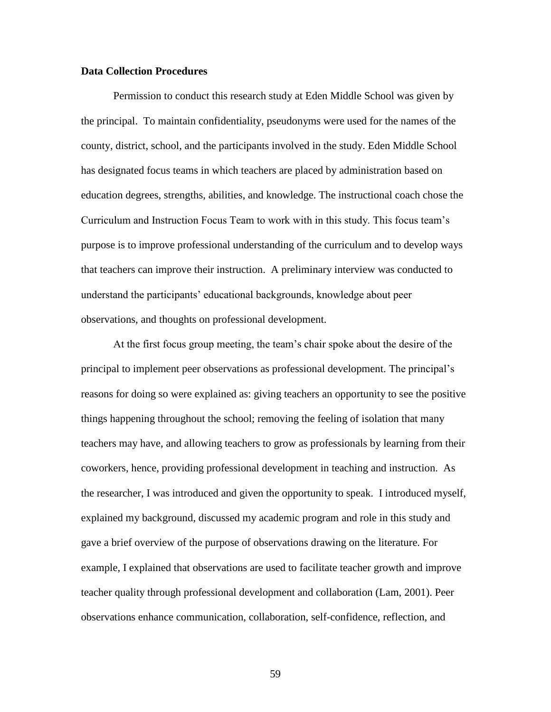# **Data Collection Procedures**

Permission to conduct this research study at Eden Middle School was given by the principal. To maintain confidentiality, pseudonyms were used for the names of the county, district, school, and the participants involved in the study. Eden Middle School has designated focus teams in which teachers are placed by administration based on education degrees, strengths, abilities, and knowledge. The instructional coach chose the Curriculum and Instruction Focus Team to work with in this study. This focus team's purpose is to improve professional understanding of the curriculum and to develop ways that teachers can improve their instruction. A preliminary interview was conducted to understand the participants' educational backgrounds, knowledge about peer observations, and thoughts on professional development.

At the first focus group meeting, the team's chair spoke about the desire of the principal to implement peer observations as professional development. The principal's reasons for doing so were explained as: giving teachers an opportunity to see the positive things happening throughout the school; removing the feeling of isolation that many teachers may have, and allowing teachers to grow as professionals by learning from their coworkers, hence, providing professional development in teaching and instruction. As the researcher, I was introduced and given the opportunity to speak. I introduced myself, explained my background, discussed my academic program and role in this study and gave a brief overview of the purpose of observations drawing on the literature. For example, I explained that observations are used to facilitate teacher growth and improve teacher quality through professional development and collaboration (Lam, 2001). Peer observations enhance communication, collaboration, self-confidence, reflection, and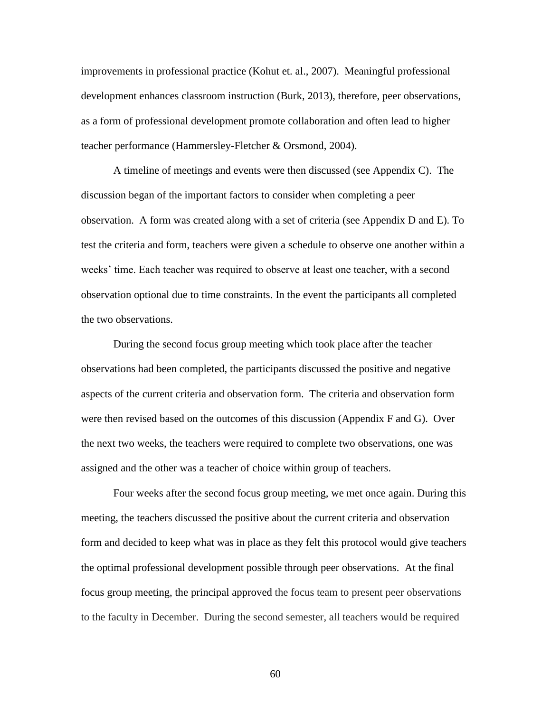improvements in professional practice (Kohut et. al., 2007). Meaningful professional development enhances classroom instruction (Burk, 2013), therefore, peer observations, as a form of professional development promote collaboration and often lead to higher teacher performance (Hammersley-Fletcher & Orsmond, 2004).

A timeline of meetings and events were then discussed (see Appendix C). The discussion began of the important factors to consider when completing a peer observation. A form was created along with a set of criteria (see Appendix D and E). To test the criteria and form, teachers were given a schedule to observe one another within a weeks' time. Each teacher was required to observe at least one teacher, with a second observation optional due to time constraints. In the event the participants all completed the two observations.

During the second focus group meeting which took place after the teacher observations had been completed, the participants discussed the positive and negative aspects of the current criteria and observation form. The criteria and observation form were then revised based on the outcomes of this discussion (Appendix F and G). Over the next two weeks, the teachers were required to complete two observations, one was assigned and the other was a teacher of choice within group of teachers.

Four weeks after the second focus group meeting, we met once again. During this meeting, the teachers discussed the positive about the current criteria and observation form and decided to keep what was in place as they felt this protocol would give teachers the optimal professional development possible through peer observations. At the final focus group meeting, the principal approved the focus team to present peer observations to the faculty in December. During the second semester, all teachers would be required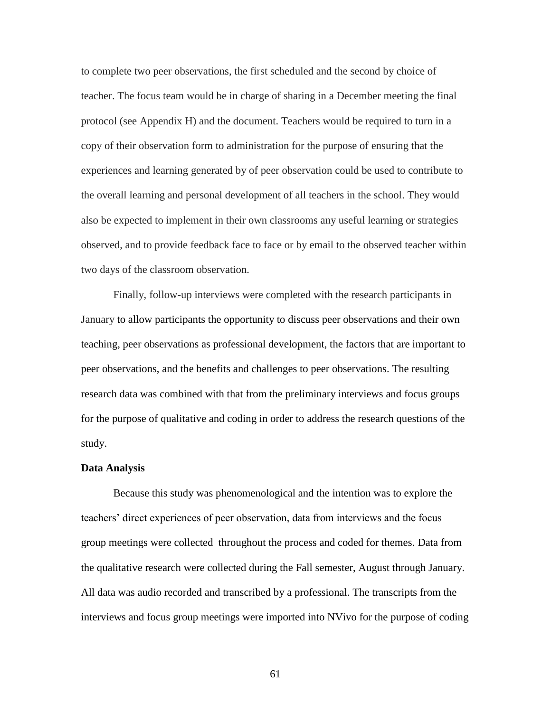to complete two peer observations, the first scheduled and the second by choice of teacher. The focus team would be in charge of sharing in a December meeting the final protocol (see Appendix H) and the document. Teachers would be required to turn in a copy of their observation form to administration for the purpose of ensuring that the experiences and learning generated by of peer observation could be used to contribute to the overall learning and personal development of all teachers in the school. They would also be expected to implement in their own classrooms any useful learning or strategies observed, and to provide feedback face to face or by email to the observed teacher within two days of the classroom observation.

Finally, follow-up interviews were completed with the research participants in January to allow participants the opportunity to discuss peer observations and their own teaching, peer observations as professional development, the factors that are important to peer observations, and the benefits and challenges to peer observations. The resulting research data was combined with that from the preliminary interviews and focus groups for the purpose of qualitative and coding in order to address the research questions of the study.

### **Data Analysis**

Because this study was phenomenological and the intention was to explore the teachers' direct experiences of peer observation, data from interviews and the focus group meetings were collected throughout the process and coded for themes. Data from the qualitative research were collected during the Fall semester, August through January. All data was audio recorded and transcribed by a professional. The transcripts from the interviews and focus group meetings were imported into NVivo for the purpose of coding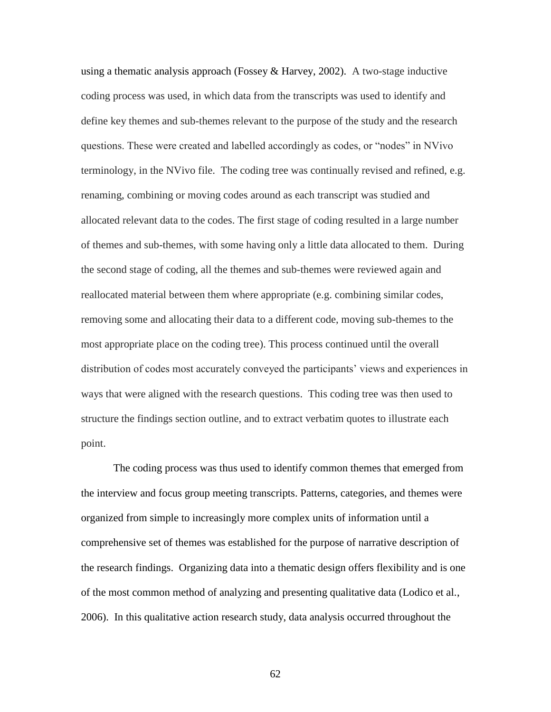using a thematic analysis approach (Fossey & Harvey, 2002). A two-stage inductive coding process was used, in which data from the transcripts was used to identify and define key themes and sub-themes relevant to the purpose of the study and the research questions. These were created and labelled accordingly as codes, or "nodes" in NVivo terminology, in the NVivo file. The coding tree was continually revised and refined, e.g. renaming, combining or moving codes around as each transcript was studied and allocated relevant data to the codes. The first stage of coding resulted in a large number of themes and sub-themes, with some having only a little data allocated to them. During the second stage of coding, all the themes and sub-themes were reviewed again and reallocated material between them where appropriate (e.g. combining similar codes, removing some and allocating their data to a different code, moving sub-themes to the most appropriate place on the coding tree). This process continued until the overall distribution of codes most accurately conveyed the participants' views and experiences in ways that were aligned with the research questions. This coding tree was then used to structure the findings section outline, and to extract verbatim quotes to illustrate each point.

The coding process was thus used to identify common themes that emerged from the interview and focus group meeting transcripts. Patterns, categories, and themes were organized from simple to increasingly more complex units of information until a comprehensive set of themes was established for the purpose of narrative description of the research findings. Organizing data into a thematic design offers flexibility and is one of the most common method of analyzing and presenting qualitative data (Lodico et al., 2006). In this qualitative action research study, data analysis occurred throughout the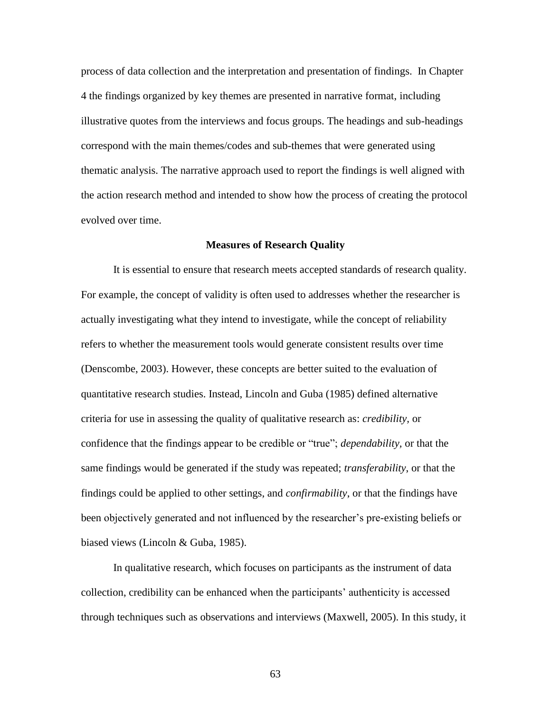process of data collection and the interpretation and presentation of findings. In Chapter 4 the findings organized by key themes are presented in narrative format, including illustrative quotes from the interviews and focus groups. The headings and sub-headings correspond with the main themes/codes and sub-themes that were generated using thematic analysis. The narrative approach used to report the findings is well aligned with the action research method and intended to show how the process of creating the protocol evolved over time.

#### **Measures of Research Quality**

It is essential to ensure that research meets accepted standards of research quality. For example, the concept of validity is often used to addresses whether the researcher is actually investigating what they intend to investigate, while the concept of reliability refers to whether the measurement tools would generate consistent results over time (Denscombe, 2003). However, these concepts are better suited to the evaluation of quantitative research studies. Instead, Lincoln and Guba (1985) defined alternative criteria for use in assessing the quality of qualitative research as: *credibility,* or confidence that the findings appear to be credible or "true"; *dependability,* or that the same findings would be generated if the study was repeated; *transferability*, or that the findings could be applied to other settings, and *confirmability*, or that the findings have been objectively generated and not influenced by the researcher's pre-existing beliefs or biased views (Lincoln & Guba, 1985).

In qualitative research, which focuses on participants as the instrument of data collection, credibility can be enhanced when the participants' authenticity is accessed through techniques such as observations and interviews (Maxwell, 2005). In this study, it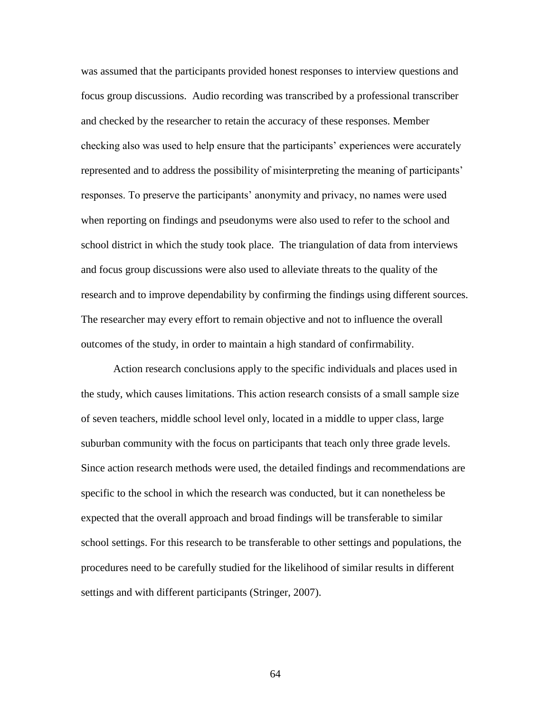was assumed that the participants provided honest responses to interview questions and focus group discussions. Audio recording was transcribed by a professional transcriber and checked by the researcher to retain the accuracy of these responses. Member checking also was used to help ensure that the participants' experiences were accurately represented and to address the possibility of misinterpreting the meaning of participants' responses. To preserve the participants' anonymity and privacy, no names were used when reporting on findings and pseudonyms were also used to refer to the school and school district in which the study took place. The triangulation of data from interviews and focus group discussions were also used to alleviate threats to the quality of the research and to improve dependability by confirming the findings using different sources. The researcher may every effort to remain objective and not to influence the overall outcomes of the study, in order to maintain a high standard of confirmability.

Action research conclusions apply to the specific individuals and places used in the study, which causes limitations. This action research consists of a small sample size of seven teachers, middle school level only, located in a middle to upper class, large suburban community with the focus on participants that teach only three grade levels. Since action research methods were used, the detailed findings and recommendations are specific to the school in which the research was conducted, but it can nonetheless be expected that the overall approach and broad findings will be transferable to similar school settings. For this research to be transferable to other settings and populations, the procedures need to be carefully studied for the likelihood of similar results in different settings and with different participants (Stringer, 2007).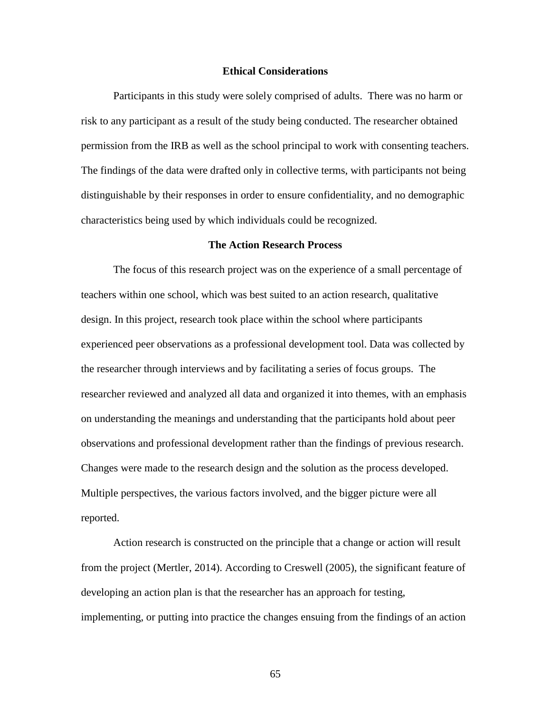## **Ethical Considerations**

Participants in this study were solely comprised of adults. There was no harm or risk to any participant as a result of the study being conducted. The researcher obtained permission from the IRB as well as the school principal to work with consenting teachers. The findings of the data were drafted only in collective terms, with participants not being distinguishable by their responses in order to ensure confidentiality, and no demographic characteristics being used by which individuals could be recognized.

## **The Action Research Process**

The focus of this research project was on the experience of a small percentage of teachers within one school, which was best suited to an action research, qualitative design. In this project, research took place within the school where participants experienced peer observations as a professional development tool. Data was collected by the researcher through interviews and by facilitating a series of focus groups. The researcher reviewed and analyzed all data and organized it into themes, with an emphasis on understanding the meanings and understanding that the participants hold about peer observations and professional development rather than the findings of previous research. Changes were made to the research design and the solution as the process developed. Multiple perspectives, the various factors involved, and the bigger picture were all reported.

Action research is constructed on the principle that a change or action will result from the project (Mertler, 2014). According to Creswell (2005), the significant feature of developing an action plan is that the researcher has an approach for testing, implementing, or putting into practice the changes ensuing from the findings of an action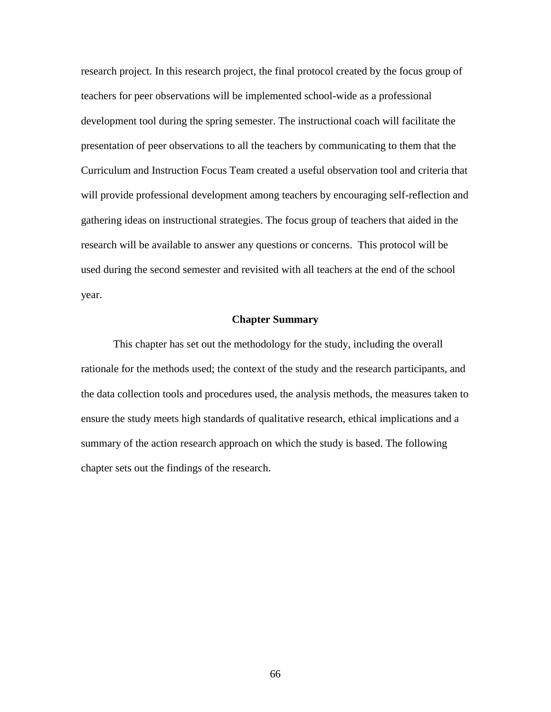research project. In this research project, the final protocol created by the focus group of teachers for peer observations will be implemented school-wide as a professional development tool during the spring semester. The instructional coach will facilitate the presentation of peer observations to all the teachers by communicating to them that the Curriculum and Instruction Focus Team created a useful observation tool and criteria that will provide professional development among teachers by encouraging self-reflection and gathering ideas on instructional strategies. The focus group of teachers that aided in the research will be available to answer any questions or concerns. This protocol will be used during the second semester and revisited with all teachers at the end of the school year.

# **Chapter Summary**

This chapter has set out the methodology for the study, including the overall rationale for the methods used; the context of the study and the research participants, and the data collection tools and procedures used, the analysis methods, the measures taken to ensure the study meets high standards of qualitative research, ethical implications and a summary of the action research approach on which the study is based. The following chapter sets out the findings of the research.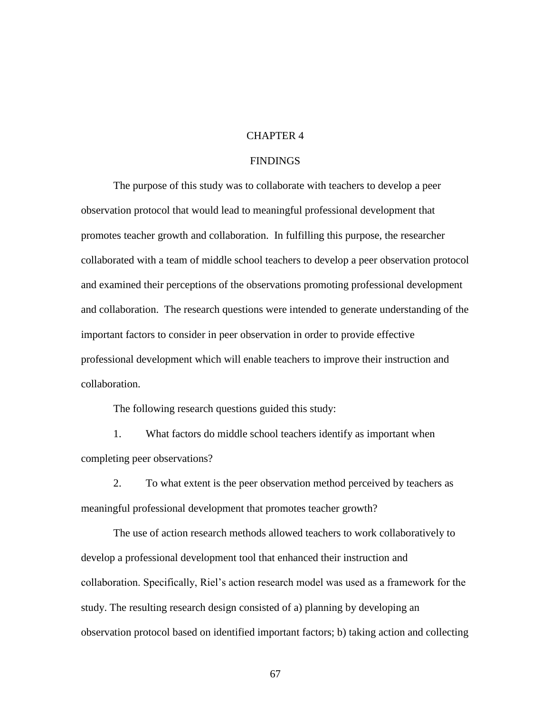# CHAPTER 4

# FINDINGS

The purpose of this study was to collaborate with teachers to develop a peer observation protocol that would lead to meaningful professional development that promotes teacher growth and collaboration. In fulfilling this purpose, the researcher collaborated with a team of middle school teachers to develop a peer observation protocol and examined their perceptions of the observations promoting professional development and collaboration. The research questions were intended to generate understanding of the important factors to consider in peer observation in order to provide effective professional development which will enable teachers to improve their instruction and collaboration.

The following research questions guided this study:

1. What factors do middle school teachers identify as important when completing peer observations?

2. To what extent is the peer observation method perceived by teachers as meaningful professional development that promotes teacher growth?

The use of action research methods allowed teachers to work collaboratively to develop a professional development tool that enhanced their instruction and collaboration. Specifically, Riel's action research model was used as a framework for the study. The resulting research design consisted of a) planning by developing an observation protocol based on identified important factors; b) taking action and collecting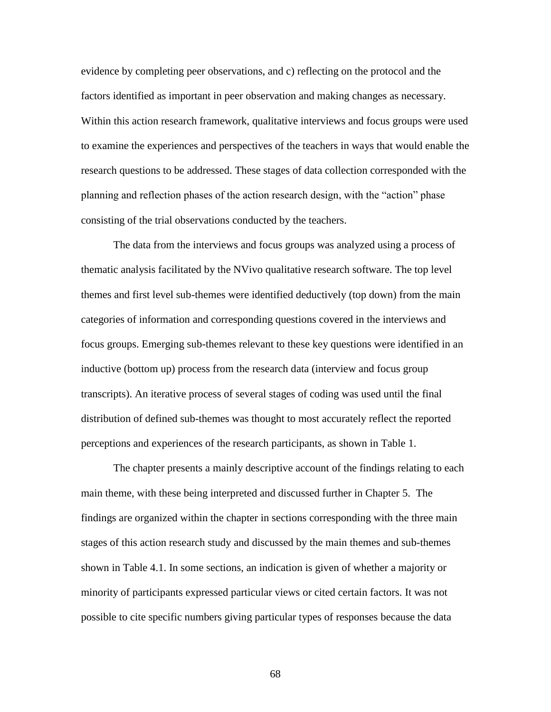evidence by completing peer observations, and c) reflecting on the protocol and the factors identified as important in peer observation and making changes as necessary. Within this action research framework, qualitative interviews and focus groups were used to examine the experiences and perspectives of the teachers in ways that would enable the research questions to be addressed. These stages of data collection corresponded with the planning and reflection phases of the action research design, with the "action" phase consisting of the trial observations conducted by the teachers.

The data from the interviews and focus groups was analyzed using a process of thematic analysis facilitated by the NVivo qualitative research software. The top level themes and first level sub-themes were identified deductively (top down) from the main categories of information and corresponding questions covered in the interviews and focus groups. Emerging sub-themes relevant to these key questions were identified in an inductive (bottom up) process from the research data (interview and focus group transcripts). An iterative process of several stages of coding was used until the final distribution of defined sub-themes was thought to most accurately reflect the reported perceptions and experiences of the research participants, as shown in Table 1.

The chapter presents a mainly descriptive account of the findings relating to each main theme, with these being interpreted and discussed further in Chapter 5. The findings are organized within the chapter in sections corresponding with the three main stages of this action research study and discussed by the main themes and sub-themes shown in Table 4.1. In some sections, an indication is given of whether a majority or minority of participants expressed particular views or cited certain factors. It was not possible to cite specific numbers giving particular types of responses because the data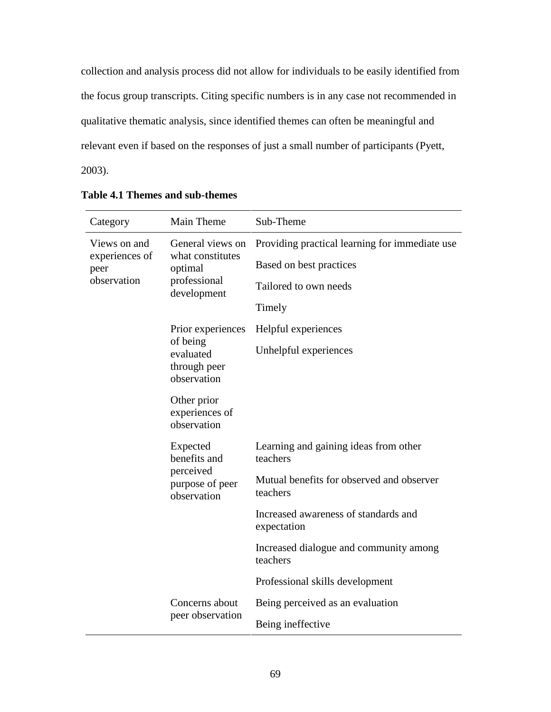collection and analysis process did not allow for individuals to be easily identified from the focus group transcripts. Citing specific numbers is in any case not recommended in qualitative thematic analysis, since identified themes can often be meaningful and relevant even if based on the responses of just a small number of participants (Pyett, 2003).

| Category                                              | Main Theme                                                                     | Sub-Theme                                             |
|-------------------------------------------------------|--------------------------------------------------------------------------------|-------------------------------------------------------|
| Views on and<br>experiences of<br>peer<br>observation | General views on<br>what constitutes<br>optimal<br>professional<br>development | Providing practical learning for immediate use        |
|                                                       |                                                                                | Based on best practices                               |
|                                                       |                                                                                | Tailored to own needs                                 |
|                                                       |                                                                                | Timely                                                |
|                                                       | Prior experiences                                                              | Helpful experiences                                   |
|                                                       | of being<br>evaluated<br>through peer<br>observation                           | Unhelpful experiences                                 |
|                                                       | Other prior<br>experiences of<br>observation                                   |                                                       |
|                                                       | Expected<br>benefits and<br>perceived<br>purpose of peer<br>observation        | Learning and gaining ideas from other<br>teachers     |
|                                                       |                                                                                | Mutual benefits for observed and observer<br>teachers |
|                                                       |                                                                                | Increased awareness of standards and<br>expectation   |
|                                                       |                                                                                | Increased dialogue and community among<br>teachers    |
|                                                       |                                                                                | Professional skills development                       |
|                                                       | Concerns about                                                                 | Being perceived as an evaluation                      |
|                                                       | peer observation                                                               | Being ineffective                                     |

| Table 4.1 Themes and sub-themes |  |  |  |  |
|---------------------------------|--|--|--|--|
|---------------------------------|--|--|--|--|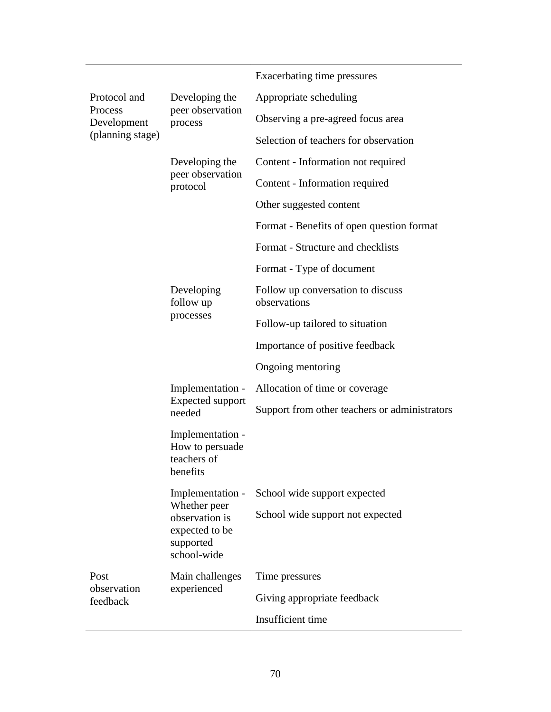|                                                            |                                                                                                  | Exacerbating time pressures                       |
|------------------------------------------------------------|--------------------------------------------------------------------------------------------------|---------------------------------------------------|
| Protocol and<br>Process<br>Development<br>(planning stage) | Developing the<br>peer observation<br>process                                                    | Appropriate scheduling                            |
|                                                            |                                                                                                  | Observing a pre-agreed focus area                 |
|                                                            |                                                                                                  | Selection of teachers for observation             |
|                                                            | Developing the<br>peer observation<br>protocol                                                   | Content - Information not required                |
|                                                            |                                                                                                  | Content - Information required                    |
|                                                            |                                                                                                  | Other suggested content                           |
|                                                            |                                                                                                  | Format - Benefits of open question format         |
|                                                            |                                                                                                  | Format - Structure and checklists                 |
|                                                            |                                                                                                  | Format - Type of document                         |
|                                                            | Developing<br>follow up<br>processes                                                             | Follow up conversation to discuss<br>observations |
|                                                            |                                                                                                  | Follow-up tailored to situation                   |
|                                                            |                                                                                                  | Importance of positive feedback                   |
|                                                            |                                                                                                  | Ongoing mentoring                                 |
|                                                            | Implementation -<br>Expected support<br>needed                                                   | Allocation of time or coverage                    |
|                                                            |                                                                                                  | Support from other teachers or administrators     |
|                                                            | Implementation -<br>How to persuade<br>teachers of<br>benefits                                   |                                                   |
|                                                            | Implementation -<br>Whether peer<br>observation is<br>expected to be<br>supported<br>school-wide | School wide support expected                      |
|                                                            |                                                                                                  | School wide support not expected                  |
| Post                                                       | Main challenges<br>experienced                                                                   | Time pressures                                    |
| observation<br>feedback                                    |                                                                                                  | Giving appropriate feedback                       |
|                                                            |                                                                                                  | Insufficient time                                 |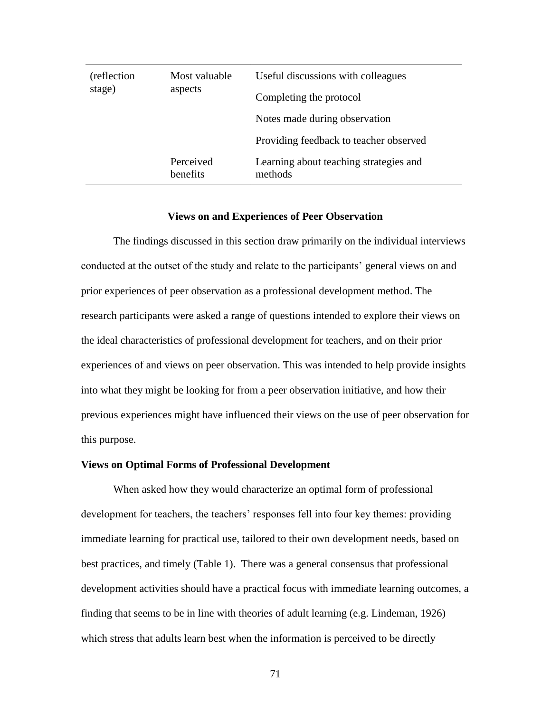| (reflection)<br>stage) | Most valuable<br>aspects     | Useful discussions with colleagues<br>Completing the protocol |
|------------------------|------------------------------|---------------------------------------------------------------|
|                        |                              | Notes made during observation                                 |
|                        |                              | Providing feedback to teacher observed                        |
|                        | Perceived<br><b>benefits</b> | Learning about teaching strategies and<br>methods             |

#### **Views on and Experiences of Peer Observation**

The findings discussed in this section draw primarily on the individual interviews conducted at the outset of the study and relate to the participants' general views on and prior experiences of peer observation as a professional development method. The research participants were asked a range of questions intended to explore their views on the ideal characteristics of professional development for teachers, and on their prior experiences of and views on peer observation. This was intended to help provide insights into what they might be looking for from a peer observation initiative, and how their previous experiences might have influenced their views on the use of peer observation for this purpose.

## **Views on Optimal Forms of Professional Development**

When asked how they would characterize an optimal form of professional development for teachers, the teachers' responses fell into four key themes: providing immediate learning for practical use, tailored to their own development needs, based on best practices, and timely (Table 1). There was a general consensus that professional development activities should have a practical focus with immediate learning outcomes, a finding that seems to be in line with theories of adult learning (e.g. Lindeman, 1926) which stress that adults learn best when the information is perceived to be directly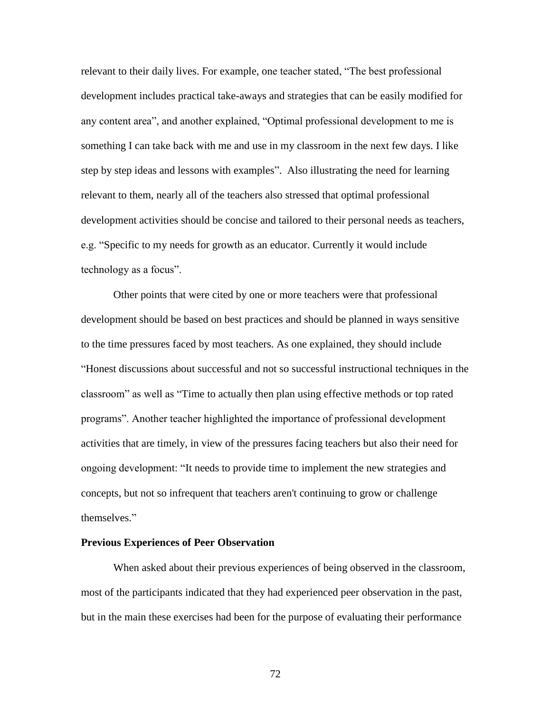relevant to their daily lives. For example, one teacher stated, "The best professional development includes practical take-aways and strategies that can be easily modified for any content area", and another explained, "Optimal professional development to me is something I can take back with me and use in my classroom in the next few days. I like step by step ideas and lessons with examples". Also illustrating the need for learning relevant to them, nearly all of the teachers also stressed that optimal professional development activities should be concise and tailored to their personal needs as teachers, e.g. "Specific to my needs for growth as an educator. Currently it would include technology as a focus".

Other points that were cited by one or more teachers were that professional development should be based on best practices and should be planned in ways sensitive to the time pressures faced by most teachers. As one explained, they should include "Honest discussions about successful and not so successful instructional techniques in the classroom" as well as "Time to actually then plan using effective methods or top rated programs". Another teacher highlighted the importance of professional development activities that are timely, in view of the pressures facing teachers but also their need for ongoing development: "It needs to provide time to implement the new strategies and concepts, but not so infrequent that teachers aren't continuing to grow or challenge themselves."

#### **Previous Experiences of Peer Observation**

When asked about their previous experiences of being observed in the classroom, most of the participants indicated that they had experienced peer observation in the past, but in the main these exercises had been for the purpose of evaluating their performance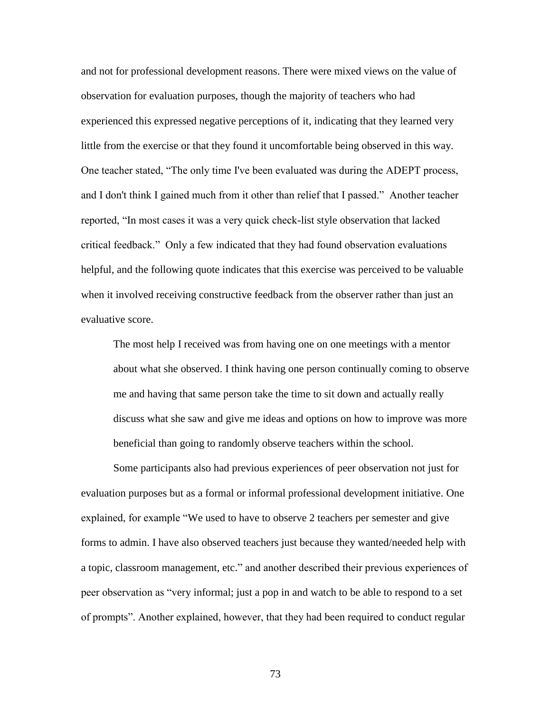and not for professional development reasons. There were mixed views on the value of observation for evaluation purposes, though the majority of teachers who had experienced this expressed negative perceptions of it, indicating that they learned very little from the exercise or that they found it uncomfortable being observed in this way. One teacher stated, "The only time I've been evaluated was during the ADEPT process, and I don't think I gained much from it other than relief that I passed." Another teacher reported, "In most cases it was a very quick check-list style observation that lacked critical feedback." Only a few indicated that they had found observation evaluations helpful, and the following quote indicates that this exercise was perceived to be valuable when it involved receiving constructive feedback from the observer rather than just an evaluative score.

The most help I received was from having one on one meetings with a mentor about what she observed. I think having one person continually coming to observe me and having that same person take the time to sit down and actually really discuss what she saw and give me ideas and options on how to improve was more beneficial than going to randomly observe teachers within the school.

Some participants also had previous experiences of peer observation not just for evaluation purposes but as a formal or informal professional development initiative. One explained, for example "We used to have to observe 2 teachers per semester and give forms to admin. I have also observed teachers just because they wanted/needed help with a topic, classroom management, etc." and another described their previous experiences of peer observation as "very informal; just a pop in and watch to be able to respond to a set of prompts". Another explained, however, that they had been required to conduct regular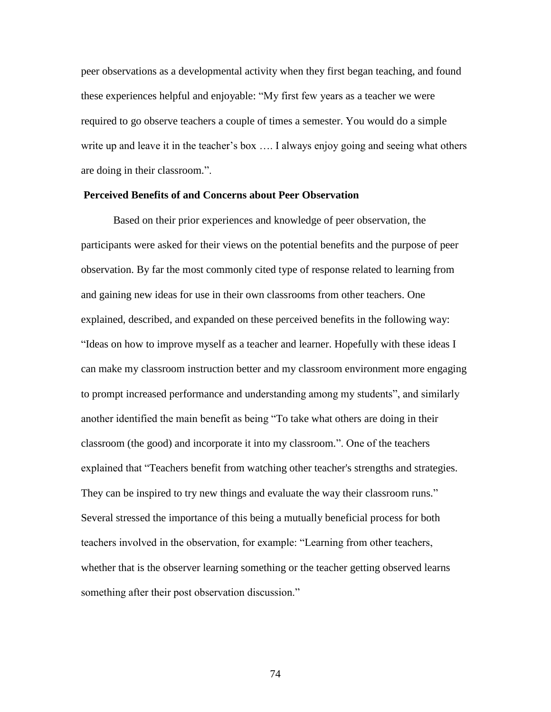peer observations as a developmental activity when they first began teaching, and found these experiences helpful and enjoyable: "My first few years as a teacher we were required to go observe teachers a couple of times a semester. You would do a simple write up and leave it in the teacher's box .... I always enjoy going and seeing what others are doing in their classroom.".

## **Perceived Benefits of and Concerns about Peer Observation**

 Based on their prior experiences and knowledge of peer observation, the participants were asked for their views on the potential benefits and the purpose of peer observation. By far the most commonly cited type of response related to learning from and gaining new ideas for use in their own classrooms from other teachers. One explained, described, and expanded on these perceived benefits in the following way: "Ideas on how to improve myself as a teacher and learner. Hopefully with these ideas I can make my classroom instruction better and my classroom environment more engaging to prompt increased performance and understanding among my students", and similarly another identified the main benefit as being "To take what others are doing in their classroom (the good) and incorporate it into my classroom.". One of the teachers explained that "Teachers benefit from watching other teacher's strengths and strategies. They can be inspired to try new things and evaluate the way their classroom runs." Several stressed the importance of this being a mutually beneficial process for both teachers involved in the observation, for example: "Learning from other teachers, whether that is the observer learning something or the teacher getting observed learns something after their post observation discussion."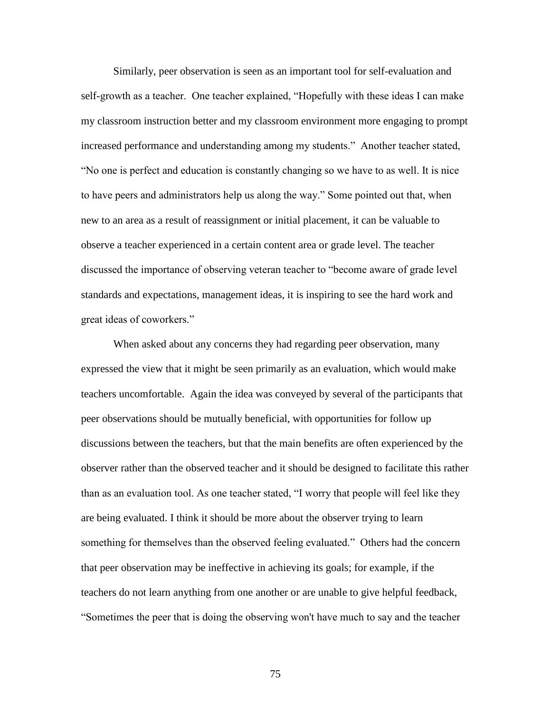Similarly, peer observation is seen as an important tool for self-evaluation and self-growth as a teacher. One teacher explained, "Hopefully with these ideas I can make my classroom instruction better and my classroom environment more engaging to prompt increased performance and understanding among my students." Another teacher stated, "No one is perfect and education is constantly changing so we have to as well. It is nice to have peers and administrators help us along the way." Some pointed out that, when new to an area as a result of reassignment or initial placement, it can be valuable to observe a teacher experienced in a certain content area or grade level. The teacher discussed the importance of observing veteran teacher to "become aware of grade level standards and expectations, management ideas, it is inspiring to see the hard work and great ideas of coworkers."

 When asked about any concerns they had regarding peer observation, many expressed the view that it might be seen primarily as an evaluation, which would make teachers uncomfortable. Again the idea was conveyed by several of the participants that peer observations should be mutually beneficial, with opportunities for follow up discussions between the teachers, but that the main benefits are often experienced by the observer rather than the observed teacher and it should be designed to facilitate this rather than as an evaluation tool. As one teacher stated, "I worry that people will feel like they are being evaluated. I think it should be more about the observer trying to learn something for themselves than the observed feeling evaluated." Others had the concern that peer observation may be ineffective in achieving its goals; for example, if the teachers do not learn anything from one another or are unable to give helpful feedback, "Sometimes the peer that is doing the observing won't have much to say and the teacher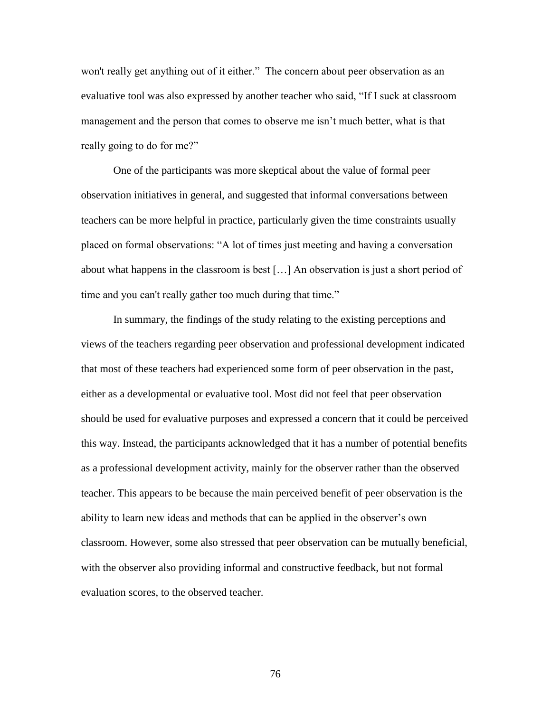won't really get anything out of it either." The concern about peer observation as an evaluative tool was also expressed by another teacher who said, "If I suck at classroom management and the person that comes to observe me isn't much better, what is that really going to do for me?"

One of the participants was more skeptical about the value of formal peer observation initiatives in general, and suggested that informal conversations between teachers can be more helpful in practice, particularly given the time constraints usually placed on formal observations: "A lot of times just meeting and having a conversation about what happens in the classroom is best […] An observation is just a short period of time and you can't really gather too much during that time."

In summary, the findings of the study relating to the existing perceptions and views of the teachers regarding peer observation and professional development indicated that most of these teachers had experienced some form of peer observation in the past, either as a developmental or evaluative tool. Most did not feel that peer observation should be used for evaluative purposes and expressed a concern that it could be perceived this way. Instead, the participants acknowledged that it has a number of potential benefits as a professional development activity, mainly for the observer rather than the observed teacher. This appears to be because the main perceived benefit of peer observation is the ability to learn new ideas and methods that can be applied in the observer's own classroom. However, some also stressed that peer observation can be mutually beneficial, with the observer also providing informal and constructive feedback, but not formal evaluation scores, to the observed teacher.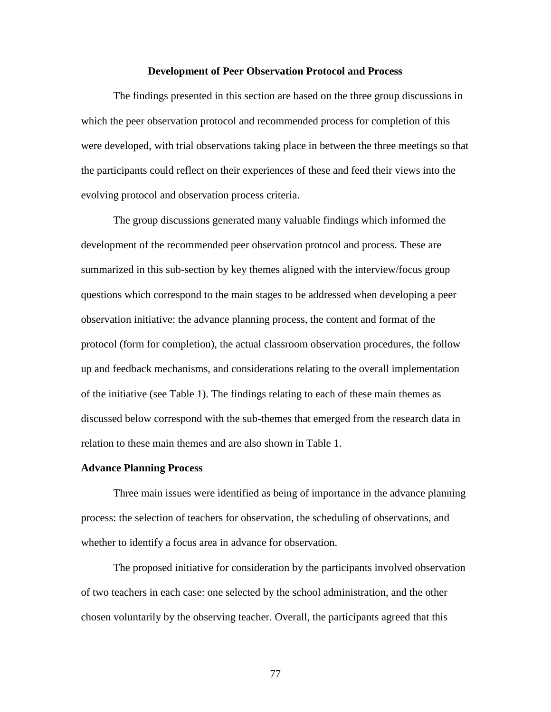#### **Development of Peer Observation Protocol and Process**

The findings presented in this section are based on the three group discussions in which the peer observation protocol and recommended process for completion of this were developed, with trial observations taking place in between the three meetings so that the participants could reflect on their experiences of these and feed their views into the evolving protocol and observation process criteria.

The group discussions generated many valuable findings which informed the development of the recommended peer observation protocol and process. These are summarized in this sub-section by key themes aligned with the interview/focus group questions which correspond to the main stages to be addressed when developing a peer observation initiative: the advance planning process, the content and format of the protocol (form for completion), the actual classroom observation procedures, the follow up and feedback mechanisms, and considerations relating to the overall implementation of the initiative (see Table 1). The findings relating to each of these main themes as discussed below correspond with the sub-themes that emerged from the research data in relation to these main themes and are also shown in Table 1.

#### **Advance Planning Process**

Three main issues were identified as being of importance in the advance planning process: the selection of teachers for observation, the scheduling of observations, and whether to identify a focus area in advance for observation.

The proposed initiative for consideration by the participants involved observation of two teachers in each case: one selected by the school administration, and the other chosen voluntarily by the observing teacher. Overall, the participants agreed that this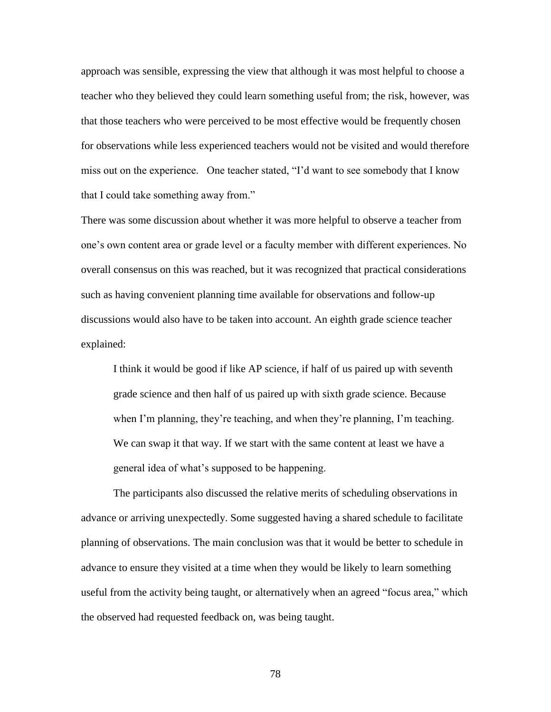approach was sensible, expressing the view that although it was most helpful to choose a teacher who they believed they could learn something useful from; the risk, however, was that those teachers who were perceived to be most effective would be frequently chosen for observations while less experienced teachers would not be visited and would therefore miss out on the experience. One teacher stated, "I'd want to see somebody that I know that I could take something away from."

There was some discussion about whether it was more helpful to observe a teacher from one's own content area or grade level or a faculty member with different experiences. No overall consensus on this was reached, but it was recognized that practical considerations such as having convenient planning time available for observations and follow-up discussions would also have to be taken into account. An eighth grade science teacher explained:

I think it would be good if like AP science, if half of us paired up with seventh grade science and then half of us paired up with sixth grade science. Because when I'm planning, they're teaching, and when they're planning, I'm teaching. We can swap it that way. If we start with the same content at least we have a general idea of what's supposed to be happening.

The participants also discussed the relative merits of scheduling observations in advance or arriving unexpectedly. Some suggested having a shared schedule to facilitate planning of observations. The main conclusion was that it would be better to schedule in advance to ensure they visited at a time when they would be likely to learn something useful from the activity being taught, or alternatively when an agreed "focus area," which the observed had requested feedback on, was being taught.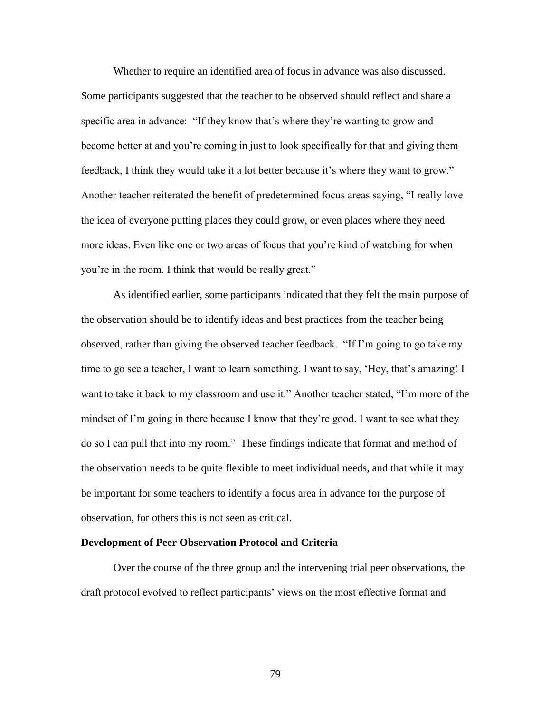Whether to require an identified area of focus in advance was also discussed. Some participants suggested that the teacher to be observed should reflect and share a specific area in advance: "If they know that's where they're wanting to grow and become better at and you're coming in just to look specifically for that and giving them feedback, I think they would take it a lot better because it's where they want to grow." Another teacher reiterated the benefit of predetermined focus areas saying, "I really love the idea of everyone putting places they could grow, or even places where they need more ideas. Even like one or two areas of focus that you're kind of watching for when you're in the room. I think that would be really great."

 As identified earlier, some participants indicated that they felt the main purpose of the observation should be to identify ideas and best practices from the teacher being observed, rather than giving the observed teacher feedback. "If I'm going to go take my time to go see a teacher, I want to learn something. I want to say, 'Hey, that's amazing! I want to take it back to my classroom and use it." Another teacher stated, "I'm more of the mindset of I'm going in there because I know that they're good. I want to see what they do so I can pull that into my room." These findings indicate that format and method of the observation needs to be quite flexible to meet individual needs, and that while it may be important for some teachers to identify a focus area in advance for the purpose of observation, for others this is not seen as critical.

## **Development of Peer Observation Protocol and Criteria**

Over the course of the three group and the intervening trial peer observations, the draft protocol evolved to reflect participants' views on the most effective format and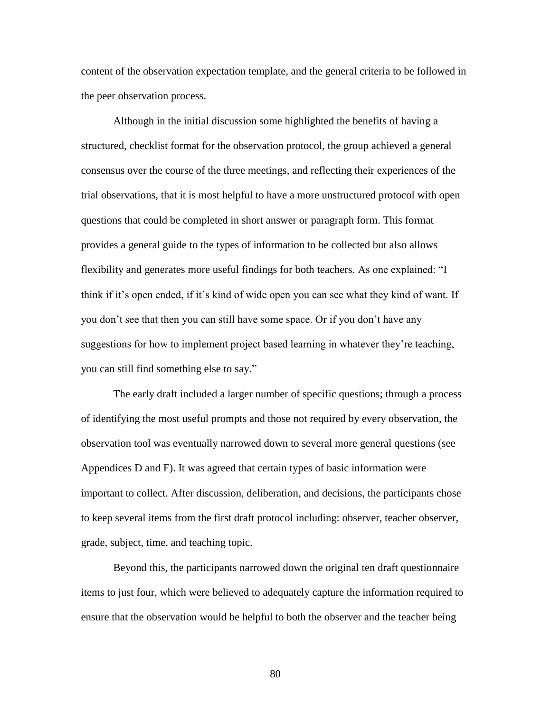content of the observation expectation template, and the general criteria to be followed in the peer observation process.

Although in the initial discussion some highlighted the benefits of having a structured, checklist format for the observation protocol, the group achieved a general consensus over the course of the three meetings, and reflecting their experiences of the trial observations, that it is most helpful to have a more unstructured protocol with open questions that could be completed in short answer or paragraph form. This format provides a general guide to the types of information to be collected but also allows flexibility and generates more useful findings for both teachers. As one explained: "I think if it's open ended, if it's kind of wide open you can see what they kind of want. If you don't see that then you can still have some space. Or if you don't have any suggestions for how to implement project based learning in whatever they're teaching, you can still find something else to say."

The early draft included a larger number of specific questions; through a process of identifying the most useful prompts and those not required by every observation, the observation tool was eventually narrowed down to several more general questions (see Appendices D and F). It was agreed that certain types of basic information were important to collect. After discussion, deliberation, and decisions, the participants chose to keep several items from the first draft protocol including: observer, teacher observer, grade, subject, time, and teaching topic.

Beyond this, the participants narrowed down the original ten draft questionnaire items to just four, which were believed to adequately capture the information required to ensure that the observation would be helpful to both the observer and the teacher being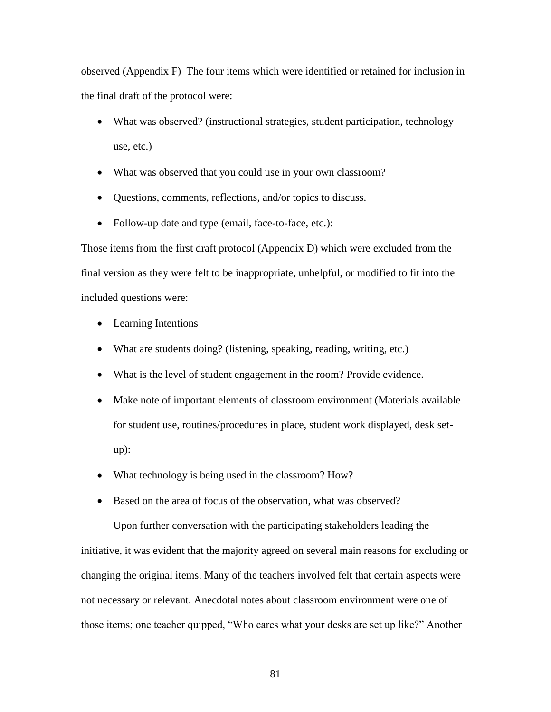observed (Appendix F) The four items which were identified or retained for inclusion in the final draft of the protocol were:

- What was observed? (instructional strategies, student participation, technology use, etc.)
- What was observed that you could use in your own classroom?
- Questions, comments, reflections, and/or topics to discuss.
- Follow-up date and type (email, face-to-face, etc.):

Those items from the first draft protocol (Appendix D) which were excluded from the final version as they were felt to be inappropriate, unhelpful, or modified to fit into the included questions were:

- Learning Intentions
- What are students doing? (listening, speaking, reading, writing, etc.)
- What is the level of student engagement in the room? Provide evidence.
- Make note of important elements of classroom environment (Materials available for student use, routines/procedures in place, student work displayed, desk setup):
- What technology is being used in the classroom? How?
- Based on the area of focus of the observation, what was observed?

Upon further conversation with the participating stakeholders leading the initiative, it was evident that the majority agreed on several main reasons for excluding or changing the original items. Many of the teachers involved felt that certain aspects were not necessary or relevant. Anecdotal notes about classroom environment were one of those items; one teacher quipped, "Who cares what your desks are set up like?" Another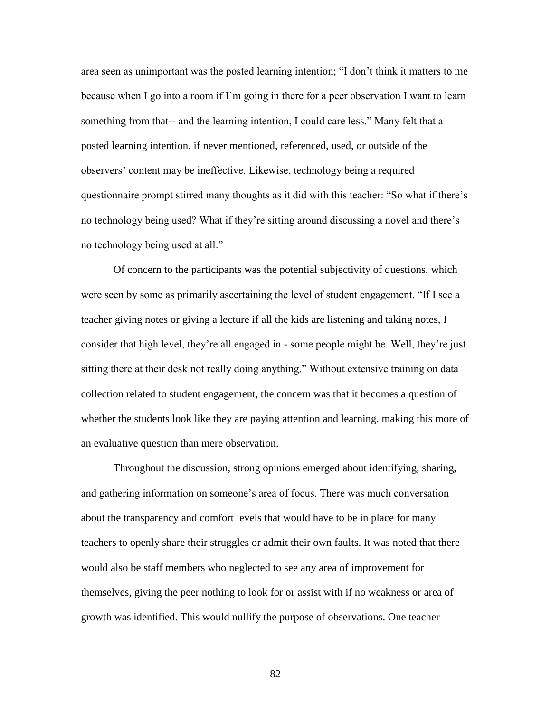area seen as unimportant was the posted learning intention; "I don't think it matters to me because when I go into a room if I'm going in there for a peer observation I want to learn something from that-- and the learning intention, I could care less." Many felt that a posted learning intention, if never mentioned, referenced, used, or outside of the observers' content may be ineffective. Likewise, technology being a required questionnaire prompt stirred many thoughts as it did with this teacher: "So what if there's no technology being used? What if they're sitting around discussing a novel and there's no technology being used at all."

Of concern to the participants was the potential subjectivity of questions, which were seen by some as primarily ascertaining the level of student engagement. "If I see a teacher giving notes or giving a lecture if all the kids are listening and taking notes, I consider that high level, they're all engaged in - some people might be. Well, they're just sitting there at their desk not really doing anything." Without extensive training on data collection related to student engagement, the concern was that it becomes a question of whether the students look like they are paying attention and learning, making this more of an evaluative question than mere observation.

Throughout the discussion, strong opinions emerged about identifying, sharing, and gathering information on someone's area of focus. There was much conversation about the transparency and comfort levels that would have to be in place for many teachers to openly share their struggles or admit their own faults. It was noted that there would also be staff members who neglected to see any area of improvement for themselves, giving the peer nothing to look for or assist with if no weakness or area of growth was identified. This would nullify the purpose of observations. One teacher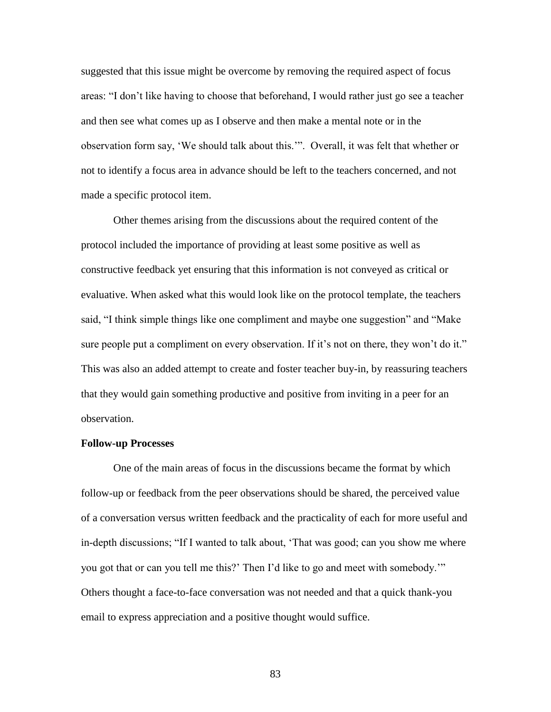suggested that this issue might be overcome by removing the required aspect of focus areas: "I don't like having to choose that beforehand, I would rather just go see a teacher and then see what comes up as I observe and then make a mental note or in the observation form say, 'We should talk about this.'". Overall, it was felt that whether or not to identify a focus area in advance should be left to the teachers concerned, and not made a specific protocol item.

Other themes arising from the discussions about the required content of the protocol included the importance of providing at least some positive as well as constructive feedback yet ensuring that this information is not conveyed as critical or evaluative. When asked what this would look like on the protocol template, the teachers said, "I think simple things like one compliment and maybe one suggestion" and "Make sure people put a compliment on every observation. If it's not on there, they won't do it." This was also an added attempt to create and foster teacher buy-in, by reassuring teachers that they would gain something productive and positive from inviting in a peer for an observation.

#### **Follow-up Processes**

One of the main areas of focus in the discussions became the format by which follow-up or feedback from the peer observations should be shared, the perceived value of a conversation versus written feedback and the practicality of each for more useful and in-depth discussions; "If I wanted to talk about, 'That was good; can you show me where you got that or can you tell me this?' Then I'd like to go and meet with somebody.'" Others thought a face-to-face conversation was not needed and that a quick thank-you email to express appreciation and a positive thought would suffice.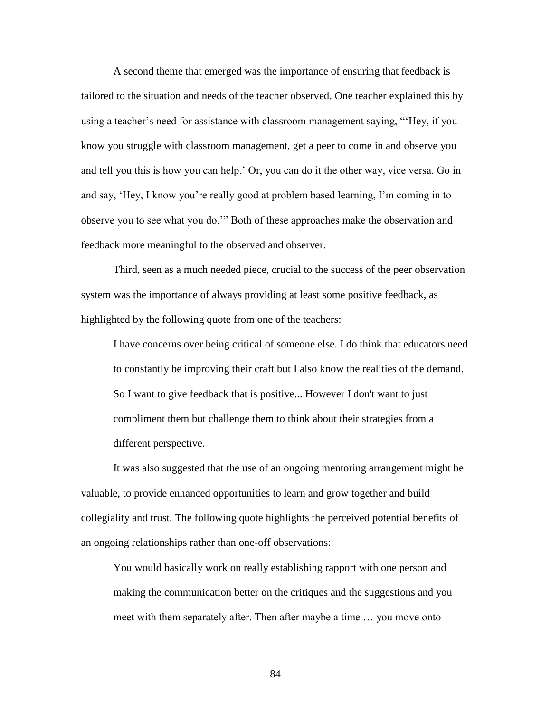A second theme that emerged was the importance of ensuring that feedback is tailored to the situation and needs of the teacher observed. One teacher explained this by using a teacher's need for assistance with classroom management saying, "'Hey, if you know you struggle with classroom management, get a peer to come in and observe you and tell you this is how you can help.' Or, you can do it the other way, vice versa. Go in and say, 'Hey, I know you're really good at problem based learning, I'm coming in to observe you to see what you do.'" Both of these approaches make the observation and feedback more meaningful to the observed and observer.

Third, seen as a much needed piece, crucial to the success of the peer observation system was the importance of always providing at least some positive feedback, as highlighted by the following quote from one of the teachers:

I have concerns over being critical of someone else. I do think that educators need to constantly be improving their craft but I also know the realities of the demand. So I want to give feedback that is positive... However I don't want to just compliment them but challenge them to think about their strategies from a different perspective.

It was also suggested that the use of an ongoing mentoring arrangement might be valuable, to provide enhanced opportunities to learn and grow together and build collegiality and trust. The following quote highlights the perceived potential benefits of an ongoing relationships rather than one-off observations:

You would basically work on really establishing rapport with one person and making the communication better on the critiques and the suggestions and you meet with them separately after. Then after maybe a time … you move onto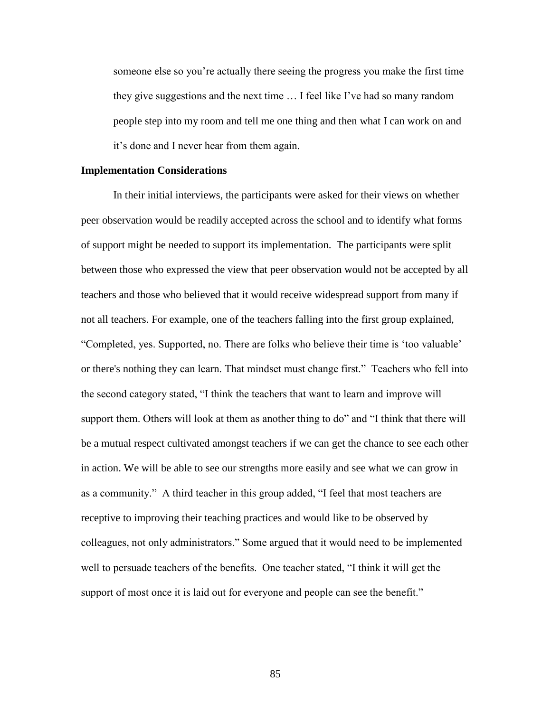someone else so you're actually there seeing the progress you make the first time they give suggestions and the next time … I feel like I've had so many random people step into my room and tell me one thing and then what I can work on and it's done and I never hear from them again.

#### **Implementation Considerations**

In their initial interviews, the participants were asked for their views on whether peer observation would be readily accepted across the school and to identify what forms of support might be needed to support its implementation. The participants were split between those who expressed the view that peer observation would not be accepted by all teachers and those who believed that it would receive widespread support from many if not all teachers. For example, one of the teachers falling into the first group explained, "Completed, yes. Supported, no. There are folks who believe their time is 'too valuable' or there's nothing they can learn. That mindset must change first." Teachers who fell into the second category stated, "I think the teachers that want to learn and improve will support them. Others will look at them as another thing to do" and "I think that there will be a mutual respect cultivated amongst teachers if we can get the chance to see each other in action. We will be able to see our strengths more easily and see what we can grow in as a community." A third teacher in this group added, "I feel that most teachers are receptive to improving their teaching practices and would like to be observed by colleagues, not only administrators." Some argued that it would need to be implemented well to persuade teachers of the benefits. One teacher stated, "I think it will get the support of most once it is laid out for everyone and people can see the benefit."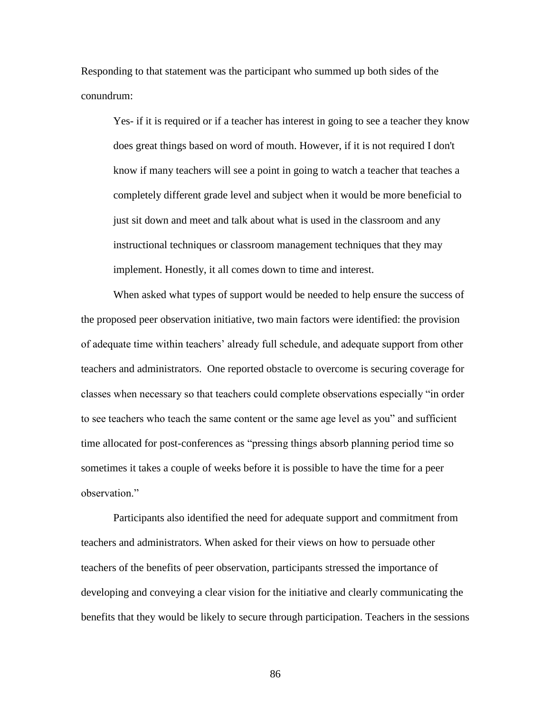Responding to that statement was the participant who summed up both sides of the conundrum:

Yes- if it is required or if a teacher has interest in going to see a teacher they know does great things based on word of mouth. However, if it is not required I don't know if many teachers will see a point in going to watch a teacher that teaches a completely different grade level and subject when it would be more beneficial to just sit down and meet and talk about what is used in the classroom and any instructional techniques or classroom management techniques that they may implement. Honestly, it all comes down to time and interest.

When asked what types of support would be needed to help ensure the success of the proposed peer observation initiative, two main factors were identified: the provision of adequate time within teachers' already full schedule, and adequate support from other teachers and administrators. One reported obstacle to overcome is securing coverage for classes when necessary so that teachers could complete observations especially "in order to see teachers who teach the same content or the same age level as you" and sufficient time allocated for post-conferences as "pressing things absorb planning period time so sometimes it takes a couple of weeks before it is possible to have the time for a peer observation."

 Participants also identified the need for adequate support and commitment from teachers and administrators. When asked for their views on how to persuade other teachers of the benefits of peer observation, participants stressed the importance of developing and conveying a clear vision for the initiative and clearly communicating the benefits that they would be likely to secure through participation. Teachers in the sessions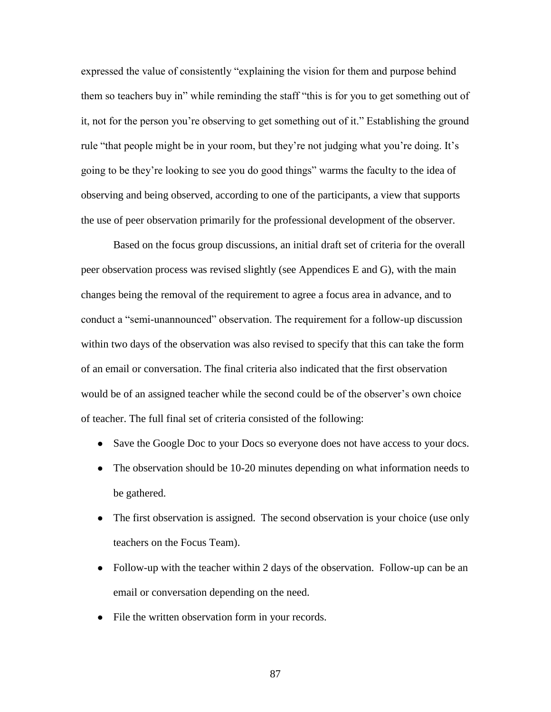expressed the value of consistently "explaining the vision for them and purpose behind them so teachers buy in" while reminding the staff "this is for you to get something out of it, not for the person you're observing to get something out of it." Establishing the ground rule "that people might be in your room, but they're not judging what you're doing. It's going to be they're looking to see you do good things" warms the faculty to the idea of observing and being observed, according to one of the participants, a view that supports the use of peer observation primarily for the professional development of the observer.

Based on the focus group discussions, an initial draft set of criteria for the overall peer observation process was revised slightly (see Appendices E and G), with the main changes being the removal of the requirement to agree a focus area in advance, and to conduct a "semi-unannounced" observation. The requirement for a follow-up discussion within two days of the observation was also revised to specify that this can take the form of an email or conversation. The final criteria also indicated that the first observation would be of an assigned teacher while the second could be of the observer's own choice of teacher. The full final set of criteria consisted of the following:

- Save the Google Doc to your Docs so everyone does not have access to your docs.
- The observation should be 10-20 minutes depending on what information needs to be gathered.
- The first observation is assigned. The second observation is your choice (use only teachers on the Focus Team).
- Follow-up with the teacher within 2 days of the observation. Follow-up can be an email or conversation depending on the need.
- File the written observation form in your records.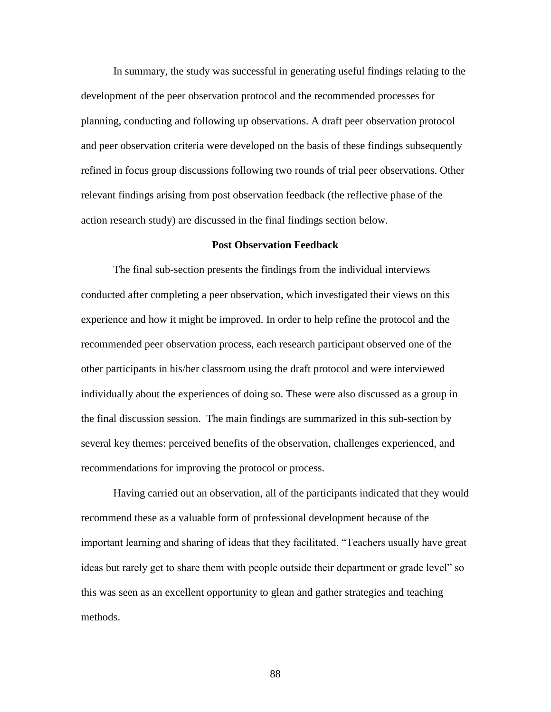In summary, the study was successful in generating useful findings relating to the development of the peer observation protocol and the recommended processes for planning, conducting and following up observations. A draft peer observation protocol and peer observation criteria were developed on the basis of these findings subsequently refined in focus group discussions following two rounds of trial peer observations. Other relevant findings arising from post observation feedback (the reflective phase of the action research study) are discussed in the final findings section below.

## **Post Observation Feedback**

The final sub-section presents the findings from the individual interviews conducted after completing a peer observation, which investigated their views on this experience and how it might be improved. In order to help refine the protocol and the recommended peer observation process, each research participant observed one of the other participants in his/her classroom using the draft protocol and were interviewed individually about the experiences of doing so. These were also discussed as a group in the final discussion session. The main findings are summarized in this sub-section by several key themes: perceived benefits of the observation, challenges experienced, and recommendations for improving the protocol or process.

Having carried out an observation, all of the participants indicated that they would recommend these as a valuable form of professional development because of the important learning and sharing of ideas that they facilitated. "Teachers usually have great ideas but rarely get to share them with people outside their department or grade level" so this was seen as an excellent opportunity to glean and gather strategies and teaching methods.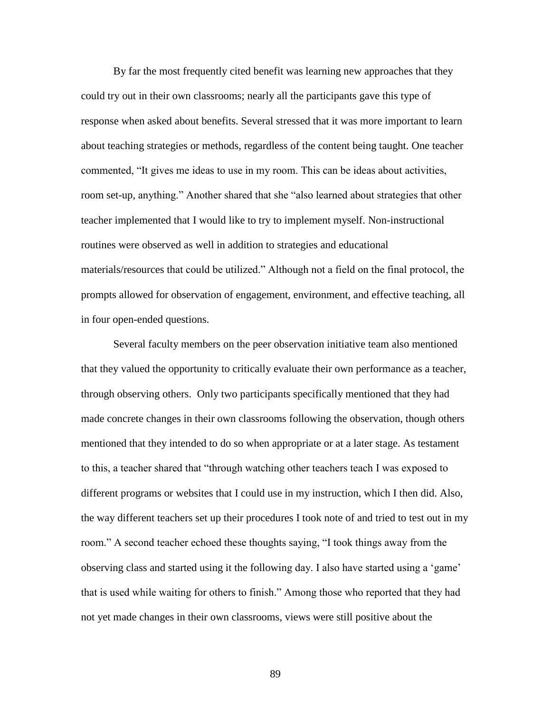By far the most frequently cited benefit was learning new approaches that they could try out in their own classrooms; nearly all the participants gave this type of response when asked about benefits. Several stressed that it was more important to learn about teaching strategies or methods, regardless of the content being taught. One teacher commented, "It gives me ideas to use in my room. This can be ideas about activities, room set-up, anything." Another shared that she "also learned about strategies that other teacher implemented that I would like to try to implement myself. Non-instructional routines were observed as well in addition to strategies and educational materials/resources that could be utilized." Although not a field on the final protocol, the prompts allowed for observation of engagement, environment, and effective teaching, all in four open-ended questions.

Several faculty members on the peer observation initiative team also mentioned that they valued the opportunity to critically evaluate their own performance as a teacher, through observing others. Only two participants specifically mentioned that they had made concrete changes in their own classrooms following the observation, though others mentioned that they intended to do so when appropriate or at a later stage. As testament to this, a teacher shared that "through watching other teachers teach I was exposed to different programs or websites that I could use in my instruction, which I then did. Also, the way different teachers set up their procedures I took note of and tried to test out in my room." A second teacher echoed these thoughts saying, "I took things away from the observing class and started using it the following day. I also have started using a 'game' that is used while waiting for others to finish." Among those who reported that they had not yet made changes in their own classrooms, views were still positive about the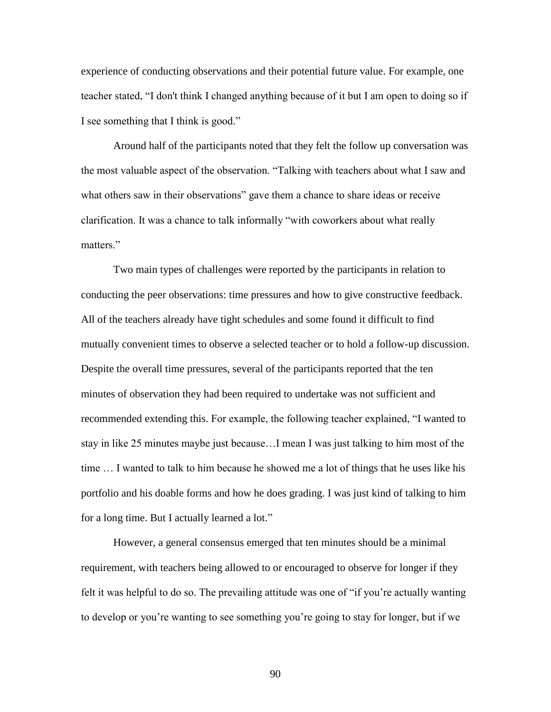experience of conducting observations and their potential future value. For example, one teacher stated, "I don't think I changed anything because of it but I am open to doing so if I see something that I think is good."

Around half of the participants noted that they felt the follow up conversation was the most valuable aspect of the observation. "Talking with teachers about what I saw and what others saw in their observations" gave them a chance to share ideas or receive clarification. It was a chance to talk informally "with coworkers about what really matters."

Two main types of challenges were reported by the participants in relation to conducting the peer observations: time pressures and how to give constructive feedback. All of the teachers already have tight schedules and some found it difficult to find mutually convenient times to observe a selected teacher or to hold a follow-up discussion. Despite the overall time pressures, several of the participants reported that the ten minutes of observation they had been required to undertake was not sufficient and recommended extending this. For example, the following teacher explained, "I wanted to stay in like 25 minutes maybe just because…I mean I was just talking to him most of the time … I wanted to talk to him because he showed me a lot of things that he uses like his portfolio and his doable forms and how he does grading. I was just kind of talking to him for a long time. But I actually learned a lot."

However, a general consensus emerged that ten minutes should be a minimal requirement, with teachers being allowed to or encouraged to observe for longer if they felt it was helpful to do so. The prevailing attitude was one of "if you're actually wanting to develop or you're wanting to see something you're going to stay for longer, but if we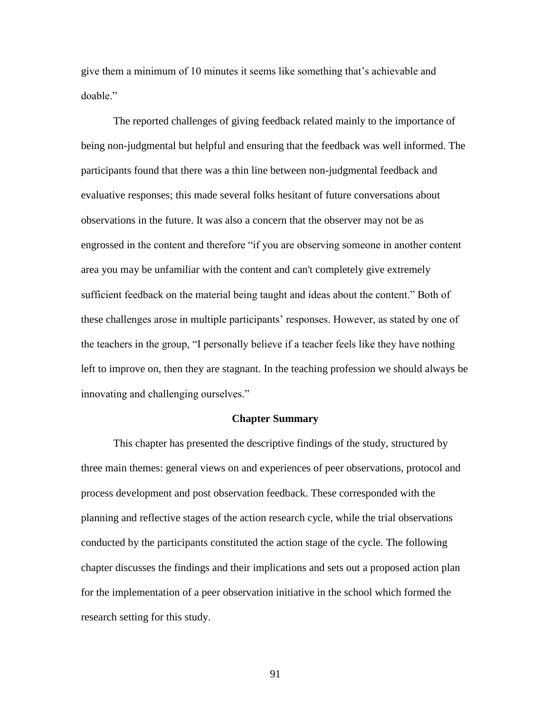give them a minimum of 10 minutes it seems like something that's achievable and doable."

The reported challenges of giving feedback related mainly to the importance of being non-judgmental but helpful and ensuring that the feedback was well informed. The participants found that there was a thin line between non-judgmental feedback and evaluative responses; this made several folks hesitant of future conversations about observations in the future. It was also a concern that the observer may not be as engrossed in the content and therefore "if you are observing someone in another content area you may be unfamiliar with the content and can't completely give extremely sufficient feedback on the material being taught and ideas about the content." Both of these challenges arose in multiple participants' responses. However, as stated by one of the teachers in the group, "I personally believe if a teacher feels like they have nothing left to improve on, then they are stagnant. In the teaching profession we should always be innovating and challenging ourselves."

## **Chapter Summary**

This chapter has presented the descriptive findings of the study, structured by three main themes: general views on and experiences of peer observations, protocol and process development and post observation feedback. These corresponded with the planning and reflective stages of the action research cycle, while the trial observations conducted by the participants constituted the action stage of the cycle. The following chapter discusses the findings and their implications and sets out a proposed action plan for the implementation of a peer observation initiative in the school which formed the research setting for this study.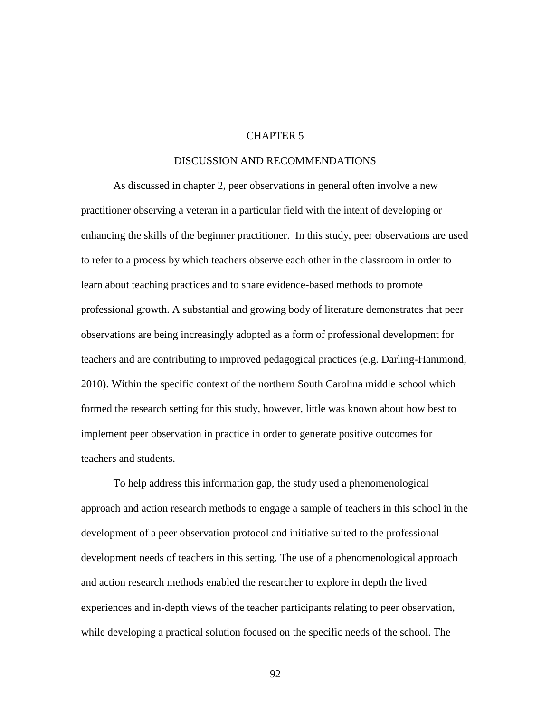# CHAPTER 5

# DISCUSSION AND RECOMMENDATIONS

As discussed in chapter 2, peer observations in general often involve a new practitioner observing a veteran in a particular field with the intent of developing or enhancing the skills of the beginner practitioner. In this study, peer observations are used to refer to a process by which teachers observe each other in the classroom in order to learn about teaching practices and to share evidence-based methods to promote professional growth. A substantial and growing body of literature demonstrates that peer observations are being increasingly adopted as a form of professional development for teachers and are contributing to improved pedagogical practices (e.g. Darling-Hammond, 2010). Within the specific context of the northern South Carolina middle school which formed the research setting for this study, however, little was known about how best to implement peer observation in practice in order to generate positive outcomes for teachers and students.

To help address this information gap, the study used a phenomenological approach and action research methods to engage a sample of teachers in this school in the development of a peer observation protocol and initiative suited to the professional development needs of teachers in this setting. The use of a phenomenological approach and action research methods enabled the researcher to explore in depth the lived experiences and in-depth views of the teacher participants relating to peer observation, while developing a practical solution focused on the specific needs of the school. The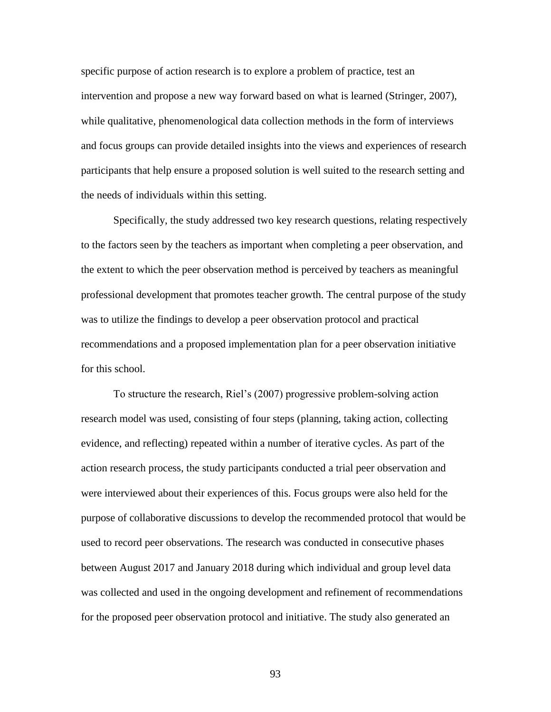specific purpose of action research is to explore a problem of practice, test an intervention and propose a new way forward based on what is learned (Stringer, 2007), while qualitative, phenomenological data collection methods in the form of interviews and focus groups can provide detailed insights into the views and experiences of research participants that help ensure a proposed solution is well suited to the research setting and the needs of individuals within this setting.

Specifically, the study addressed two key research questions, relating respectively to the factors seen by the teachers as important when completing a peer observation, and the extent to which the peer observation method is perceived by teachers as meaningful professional development that promotes teacher growth. The central purpose of the study was to utilize the findings to develop a peer observation protocol and practical recommendations and a proposed implementation plan for a peer observation initiative for this school.

To structure the research, Riel's (2007) progressive problem-solving action research model was used, consisting of four steps (planning, taking action, collecting evidence, and reflecting) repeated within a number of iterative cycles. As part of the action research process, the study participants conducted a trial peer observation and were interviewed about their experiences of this. Focus groups were also held for the purpose of collaborative discussions to develop the recommended protocol that would be used to record peer observations. The research was conducted in consecutive phases between August 2017 and January 2018 during which individual and group level data was collected and used in the ongoing development and refinement of recommendations for the proposed peer observation protocol and initiative. The study also generated an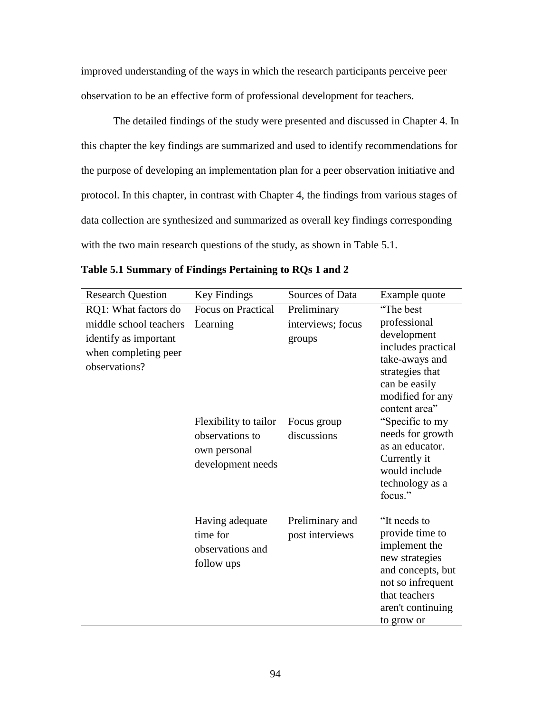improved understanding of the ways in which the research participants perceive peer observation to be an effective form of professional development for teachers.

The detailed findings of the study were presented and discussed in Chapter 4. In this chapter the key findings are summarized and used to identify recommendations for the purpose of developing an implementation plan for a peer observation initiative and protocol. In this chapter, in contrast with Chapter 4, the findings from various stages of data collection are synthesized and summarized as overall key findings corresponding with the two main research questions of the study, as shown in Table 5.1.

| <b>Research Question</b>                                                                 | Key Findings                                                                  | Sources of Data                    | Example quote                                                                                                                                                    |
|------------------------------------------------------------------------------------------|-------------------------------------------------------------------------------|------------------------------------|------------------------------------------------------------------------------------------------------------------------------------------------------------------|
| RQ1: What factors do                                                                     | Focus on Practical                                                            | Preliminary                        | "The best                                                                                                                                                        |
| middle school teachers<br>identify as important<br>when completing peer<br>observations? | Learning                                                                      | interviews; focus<br>groups        | professional<br>development<br>includes practical<br>take-aways and<br>strategies that<br>can be easily<br>modified for any<br>content area"                     |
|                                                                                          | Flexibility to tailor<br>observations to<br>own personal<br>development needs | Focus group<br>discussions         | "Specific to my<br>needs for growth<br>as an educator.<br>Currently it<br>would include<br>technology as a<br>focus."                                            |
|                                                                                          | Having adequate<br>time for<br>observations and<br>follow ups                 | Preliminary and<br>post interviews | "It needs to<br>provide time to<br>implement the<br>new strategies<br>and concepts, but<br>not so infrequent<br>that teachers<br>aren't continuing<br>to grow or |

|  | Table 5.1 Summary of Findings Pertaining to RQs 1 and 2 |  |  |
|--|---------------------------------------------------------|--|--|
|  |                                                         |  |  |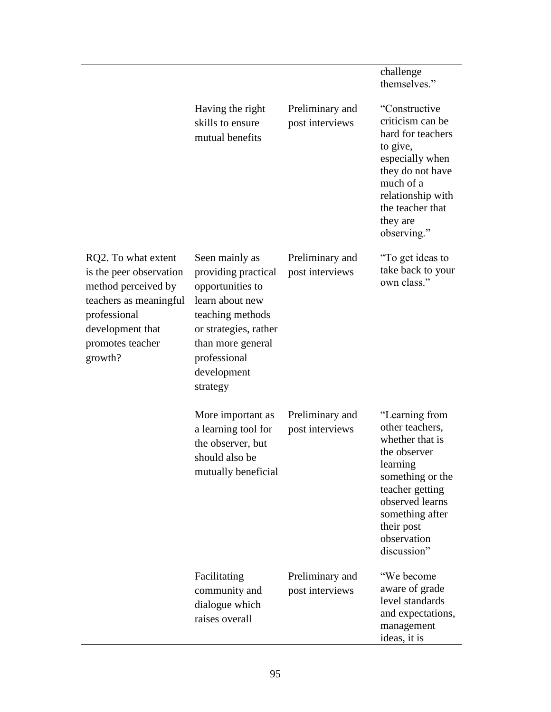|                                                                                                                                                                    |                                                                                                                                                                                           |                                    | challenge<br>themselves."                                                                                                                                                                                 |
|--------------------------------------------------------------------------------------------------------------------------------------------------------------------|-------------------------------------------------------------------------------------------------------------------------------------------------------------------------------------------|------------------------------------|-----------------------------------------------------------------------------------------------------------------------------------------------------------------------------------------------------------|
|                                                                                                                                                                    | Having the right<br>skills to ensure<br>mutual benefits                                                                                                                                   | Preliminary and<br>post interviews | "Constructive<br>criticism can be<br>hard for teachers<br>to give,<br>especially when<br>they do not have<br>much of a<br>relationship with<br>the teacher that<br>they are<br>observing."                |
| RQ2. To what extent<br>is the peer observation<br>method perceived by<br>teachers as meaningful<br>professional<br>development that<br>promotes teacher<br>growth? | Seen mainly as<br>providing practical<br>opportunities to<br>learn about new<br>teaching methods<br>or strategies, rather<br>than more general<br>professional<br>development<br>strategy | Preliminary and<br>post interviews | "To get ideas to<br>take back to your<br>own class."                                                                                                                                                      |
|                                                                                                                                                                    | More important as<br>a learning tool for<br>the observer, but<br>should also be<br>mutually beneficial                                                                                    | Preliminary and<br>post interviews | "Learning from<br>other teachers,<br>whether that is<br>the observer<br>learning<br>something or the<br>teacher getting<br>observed learns<br>something after<br>their post<br>observation<br>discussion" |
|                                                                                                                                                                    | Facilitating<br>community and<br>dialogue which<br>raises overall                                                                                                                         | Preliminary and<br>post interviews | "We become<br>aware of grade<br>level standards<br>and expectations,<br>management<br>ideas, it is                                                                                                        |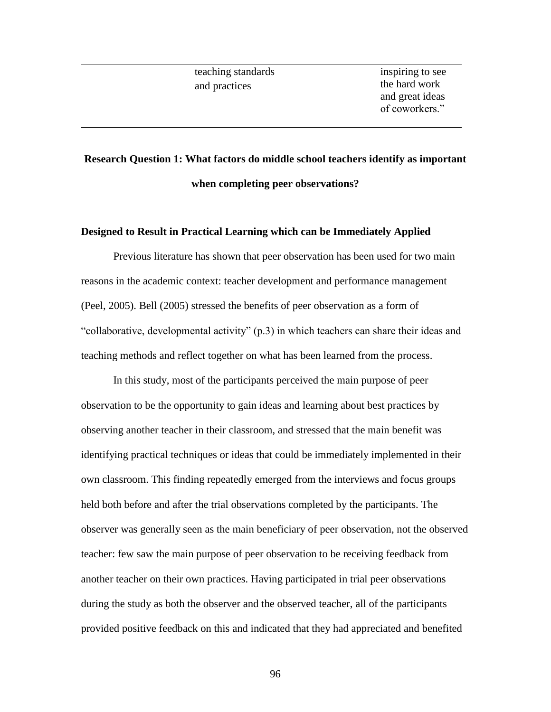# **Research Question 1: What factors do middle school teachers identify as important when completing peer observations?**

# **Designed to Result in Practical Learning which can be Immediately Applied**

Previous literature has shown that peer observation has been used for two main reasons in the academic context: teacher development and performance management (Peel, 2005). Bell (2005) stressed the benefits of peer observation as a form of "collaborative, developmental activity" (p.3) in which teachers can share their ideas and teaching methods and reflect together on what has been learned from the process.

In this study, most of the participants perceived the main purpose of peer observation to be the opportunity to gain ideas and learning about best practices by observing another teacher in their classroom, and stressed that the main benefit was identifying practical techniques or ideas that could be immediately implemented in their own classroom. This finding repeatedly emerged from the interviews and focus groups held both before and after the trial observations completed by the participants. The observer was generally seen as the main beneficiary of peer observation, not the observed teacher: few saw the main purpose of peer observation to be receiving feedback from another teacher on their own practices. Having participated in trial peer observations during the study as both the observer and the observed teacher, all of the participants provided positive feedback on this and indicated that they had appreciated and benefited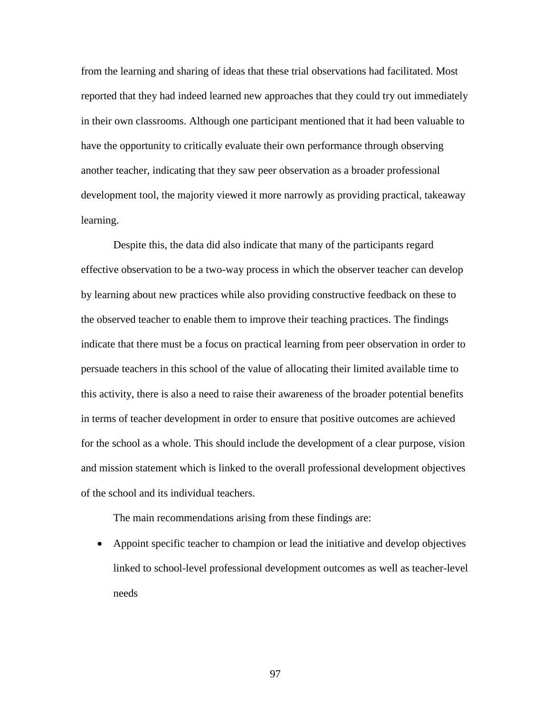from the learning and sharing of ideas that these trial observations had facilitated. Most reported that they had indeed learned new approaches that they could try out immediately in their own classrooms. Although one participant mentioned that it had been valuable to have the opportunity to critically evaluate their own performance through observing another teacher, indicating that they saw peer observation as a broader professional development tool, the majority viewed it more narrowly as providing practical, takeaway learning.

Despite this, the data did also indicate that many of the participants regard effective observation to be a two-way process in which the observer teacher can develop by learning about new practices while also providing constructive feedback on these to the observed teacher to enable them to improve their teaching practices. The findings indicate that there must be a focus on practical learning from peer observation in order to persuade teachers in this school of the value of allocating their limited available time to this activity, there is also a need to raise their awareness of the broader potential benefits in terms of teacher development in order to ensure that positive outcomes are achieved for the school as a whole. This should include the development of a clear purpose, vision and mission statement which is linked to the overall professional development objectives of the school and its individual teachers.

The main recommendations arising from these findings are:

• Appoint specific teacher to champion or lead the initiative and develop objectives linked to school-level professional development outcomes as well as teacher-level needs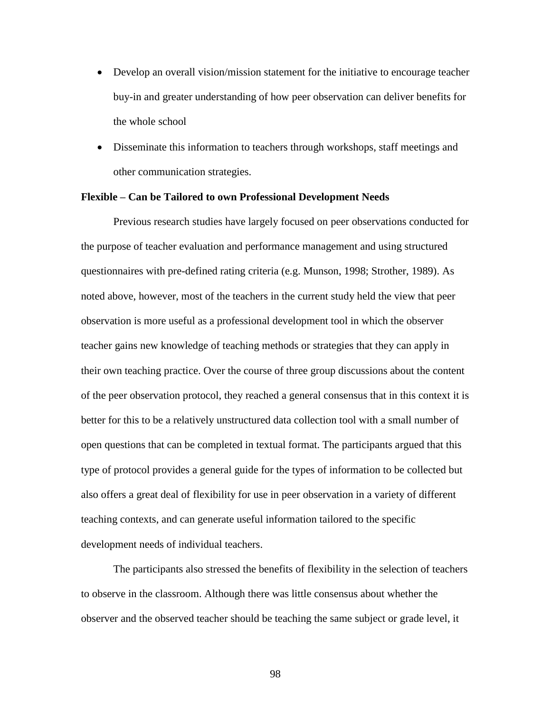- Develop an overall vision/mission statement for the initiative to encourage teacher buy-in and greater understanding of how peer observation can deliver benefits for the whole school
- Disseminate this information to teachers through workshops, staff meetings and other communication strategies.

#### **Flexible – Can be Tailored to own Professional Development Needs**

Previous research studies have largely focused on peer observations conducted for the purpose of teacher evaluation and performance management and using structured questionnaires with pre-defined rating criteria (e.g. Munson, 1998; Strother, 1989). As noted above, however, most of the teachers in the current study held the view that peer observation is more useful as a professional development tool in which the observer teacher gains new knowledge of teaching methods or strategies that they can apply in their own teaching practice. Over the course of three group discussions about the content of the peer observation protocol, they reached a general consensus that in this context it is better for this to be a relatively unstructured data collection tool with a small number of open questions that can be completed in textual format. The participants argued that this type of protocol provides a general guide for the types of information to be collected but also offers a great deal of flexibility for use in peer observation in a variety of different teaching contexts, and can generate useful information tailored to the specific development needs of individual teachers.

The participants also stressed the benefits of flexibility in the selection of teachers to observe in the classroom. Although there was little consensus about whether the observer and the observed teacher should be teaching the same subject or grade level, it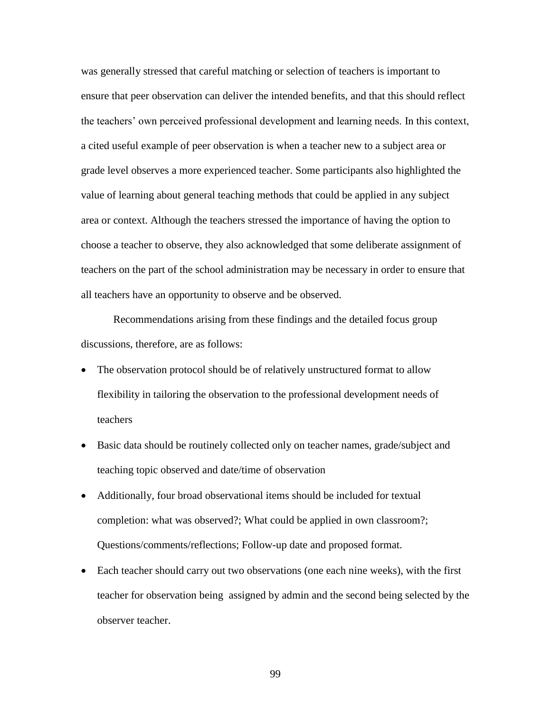was generally stressed that careful matching or selection of teachers is important to ensure that peer observation can deliver the intended benefits, and that this should reflect the teachers' own perceived professional development and learning needs. In this context, a cited useful example of peer observation is when a teacher new to a subject area or grade level observes a more experienced teacher. Some participants also highlighted the value of learning about general teaching methods that could be applied in any subject area or context. Although the teachers stressed the importance of having the option to choose a teacher to observe, they also acknowledged that some deliberate assignment of teachers on the part of the school administration may be necessary in order to ensure that all teachers have an opportunity to observe and be observed.

Recommendations arising from these findings and the detailed focus group discussions, therefore, are as follows:

- The observation protocol should be of relatively unstructured format to allow flexibility in tailoring the observation to the professional development needs of teachers
- Basic data should be routinely collected only on teacher names, grade/subject and teaching topic observed and date/time of observation
- Additionally, four broad observational items should be included for textual completion: what was observed?; What could be applied in own classroom?; Questions/comments/reflections; Follow-up date and proposed format.
- Each teacher should carry out two observations (one each nine weeks), with the first teacher for observation being assigned by admin and the second being selected by the observer teacher.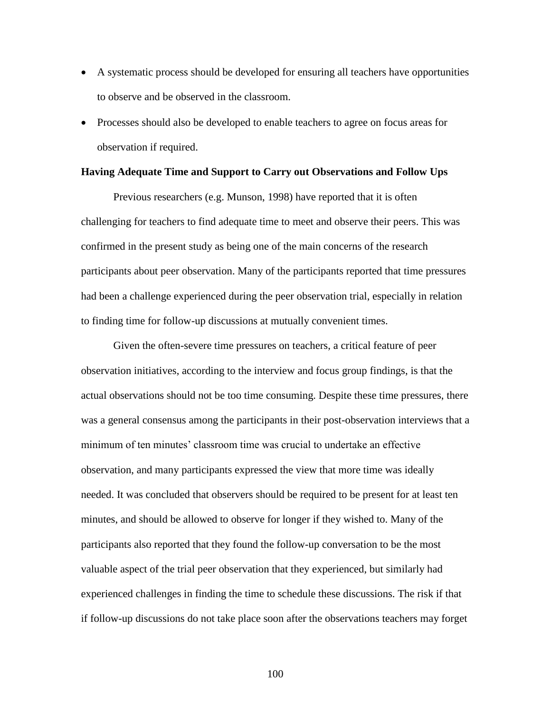- A systematic process should be developed for ensuring all teachers have opportunities to observe and be observed in the classroom.
- Processes should also be developed to enable teachers to agree on focus areas for observation if required.

#### **Having Adequate Time and Support to Carry out Observations and Follow Ups**

Previous researchers (e.g. Munson, 1998) have reported that it is often challenging for teachers to find adequate time to meet and observe their peers. This was confirmed in the present study as being one of the main concerns of the research participants about peer observation. Many of the participants reported that time pressures had been a challenge experienced during the peer observation trial, especially in relation to finding time for follow-up discussions at mutually convenient times.

Given the often-severe time pressures on teachers, a critical feature of peer observation initiatives, according to the interview and focus group findings, is that the actual observations should not be too time consuming. Despite these time pressures, there was a general consensus among the participants in their post-observation interviews that a minimum of ten minutes' classroom time was crucial to undertake an effective observation, and many participants expressed the view that more time was ideally needed. It was concluded that observers should be required to be present for at least ten minutes, and should be allowed to observe for longer if they wished to. Many of the participants also reported that they found the follow-up conversation to be the most valuable aspect of the trial peer observation that they experienced, but similarly had experienced challenges in finding the time to schedule these discussions. The risk if that if follow-up discussions do not take place soon after the observations teachers may forget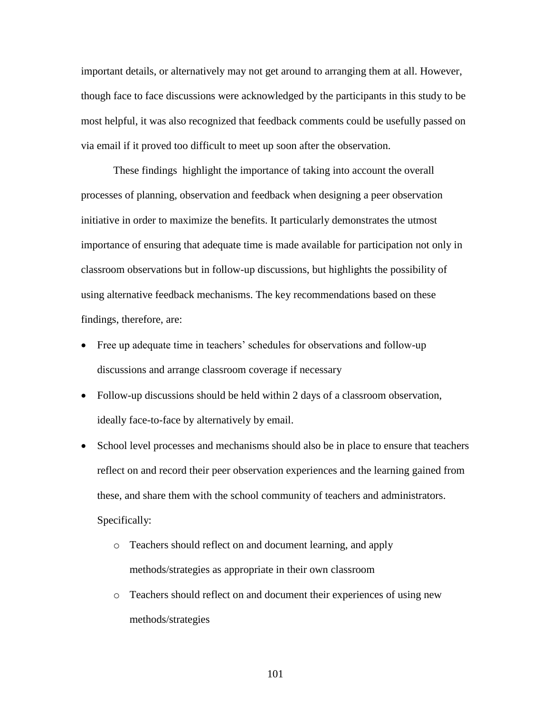important details, or alternatively may not get around to arranging them at all. However, though face to face discussions were acknowledged by the participants in this study to be most helpful, it was also recognized that feedback comments could be usefully passed on via email if it proved too difficult to meet up soon after the observation.

These findings highlight the importance of taking into account the overall processes of planning, observation and feedback when designing a peer observation initiative in order to maximize the benefits. It particularly demonstrates the utmost importance of ensuring that adequate time is made available for participation not only in classroom observations but in follow-up discussions, but highlights the possibility of using alternative feedback mechanisms. The key recommendations based on these findings, therefore, are:

- Free up adequate time in teachers' schedules for observations and follow-up discussions and arrange classroom coverage if necessary
- Follow-up discussions should be held within 2 days of a classroom observation, ideally face-to-face by alternatively by email.
- School level processes and mechanisms should also be in place to ensure that teachers reflect on and record their peer observation experiences and the learning gained from these, and share them with the school community of teachers and administrators. Specifically:
	- o Teachers should reflect on and document learning, and apply methods/strategies as appropriate in their own classroom
	- o Teachers should reflect on and document their experiences of using new methods/strategies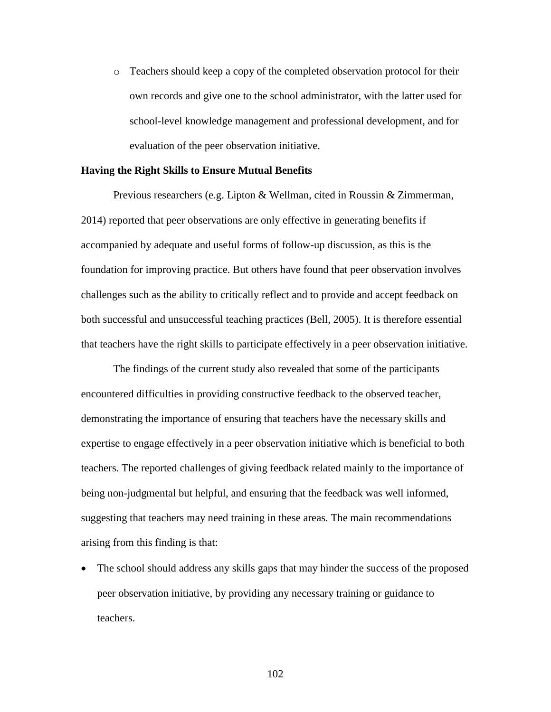o Teachers should keep a copy of the completed observation protocol for their own records and give one to the school administrator, with the latter used for school-level knowledge management and professional development, and for evaluation of the peer observation initiative.

#### **Having the Right Skills to Ensure Mutual Benefits**

Previous researchers (e.g. Lipton & Wellman, cited in Roussin & Zimmerman, 2014) reported that peer observations are only effective in generating benefits if accompanied by adequate and useful forms of follow-up discussion, as this is the foundation for improving practice. But others have found that peer observation involves challenges such as the ability to critically reflect and to provide and accept feedback on both successful and unsuccessful teaching practices (Bell, 2005). It is therefore essential that teachers have the right skills to participate effectively in a peer observation initiative.

The findings of the current study also revealed that some of the participants encountered difficulties in providing constructive feedback to the observed teacher, demonstrating the importance of ensuring that teachers have the necessary skills and expertise to engage effectively in a peer observation initiative which is beneficial to both teachers. The reported challenges of giving feedback related mainly to the importance of being non-judgmental but helpful, and ensuring that the feedback was well informed, suggesting that teachers may need training in these areas. The main recommendations arising from this finding is that:

• The school should address any skills gaps that may hinder the success of the proposed peer observation initiative, by providing any necessary training or guidance to teachers.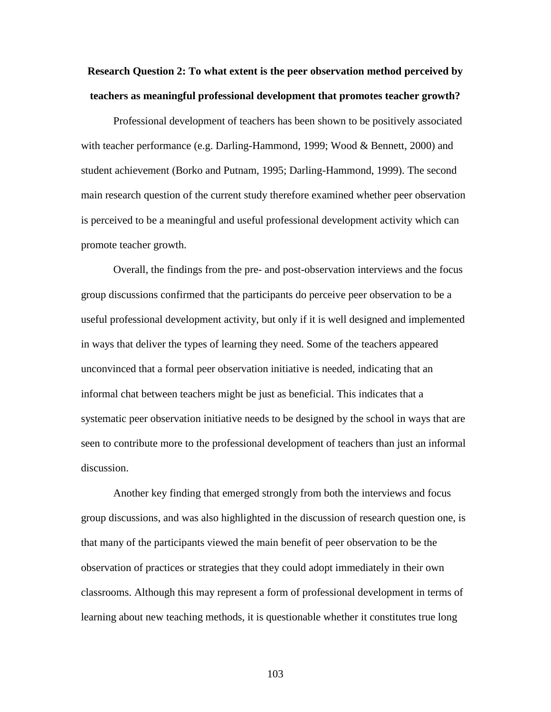**Research Question 2: To what extent is the peer observation method perceived by teachers as meaningful professional development that promotes teacher growth?**

Professional development of teachers has been shown to be positively associated with teacher performance (e.g. Darling-Hammond, 1999; Wood & Bennett, 2000) and student achievement (Borko and Putnam, 1995; Darling-Hammond, 1999). The second main research question of the current study therefore examined whether peer observation is perceived to be a meaningful and useful professional development activity which can promote teacher growth.

Overall, the findings from the pre- and post-observation interviews and the focus group discussions confirmed that the participants do perceive peer observation to be a useful professional development activity, but only if it is well designed and implemented in ways that deliver the types of learning they need. Some of the teachers appeared unconvinced that a formal peer observation initiative is needed, indicating that an informal chat between teachers might be just as beneficial. This indicates that a systematic peer observation initiative needs to be designed by the school in ways that are seen to contribute more to the professional development of teachers than just an informal discussion.

Another key finding that emerged strongly from both the interviews and focus group discussions, and was also highlighted in the discussion of research question one, is that many of the participants viewed the main benefit of peer observation to be the observation of practices or strategies that they could adopt immediately in their own classrooms. Although this may represent a form of professional development in terms of learning about new teaching methods, it is questionable whether it constitutes true long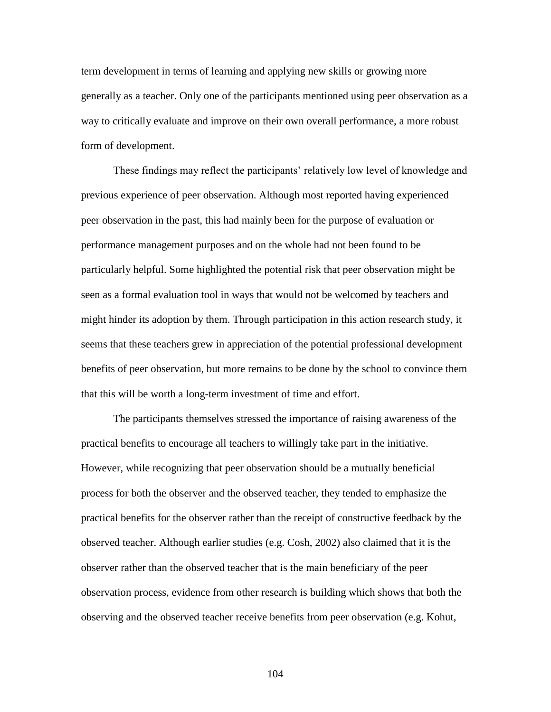term development in terms of learning and applying new skills or growing more generally as a teacher. Only one of the participants mentioned using peer observation as a way to critically evaluate and improve on their own overall performance, a more robust form of development.

These findings may reflect the participants' relatively low level of knowledge and previous experience of peer observation. Although most reported having experienced peer observation in the past, this had mainly been for the purpose of evaluation or performance management purposes and on the whole had not been found to be particularly helpful. Some highlighted the potential risk that peer observation might be seen as a formal evaluation tool in ways that would not be welcomed by teachers and might hinder its adoption by them. Through participation in this action research study, it seems that these teachers grew in appreciation of the potential professional development benefits of peer observation, but more remains to be done by the school to convince them that this will be worth a long-term investment of time and effort.

The participants themselves stressed the importance of raising awareness of the practical benefits to encourage all teachers to willingly take part in the initiative. However, while recognizing that peer observation should be a mutually beneficial process for both the observer and the observed teacher, they tended to emphasize the practical benefits for the observer rather than the receipt of constructive feedback by the observed teacher. Although earlier studies (e.g. Cosh, 2002) also claimed that it is the observer rather than the observed teacher that is the main beneficiary of the peer observation process, evidence from other research is building which shows that both the observing and the observed teacher receive benefits from peer observation (e.g. Kohut,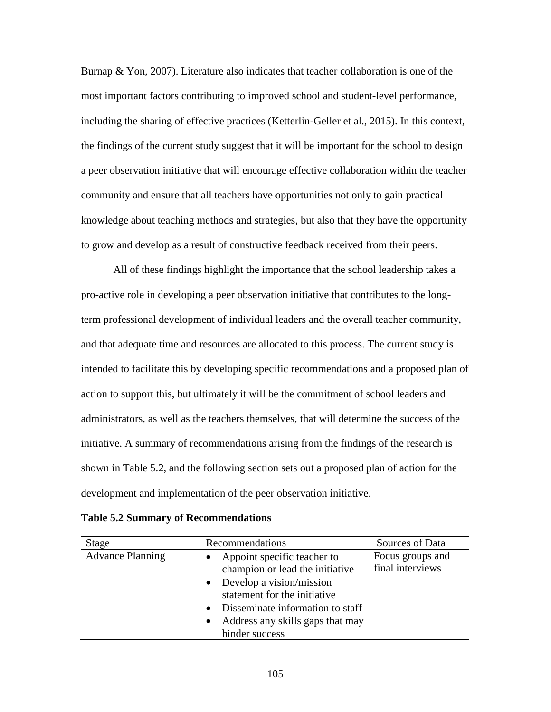Burnap & Yon, 2007). Literature also indicates that teacher collaboration is one of the most important factors contributing to improved school and student-level performance, including the sharing of effective practices (Ketterlin-Geller et al., 2015). In this context, the findings of the current study suggest that it will be important for the school to design a peer observation initiative that will encourage effective collaboration within the teacher community and ensure that all teachers have opportunities not only to gain practical knowledge about teaching methods and strategies, but also that they have the opportunity to grow and develop as a result of constructive feedback received from their peers.

All of these findings highlight the importance that the school leadership takes a pro-active role in developing a peer observation initiative that contributes to the longterm professional development of individual leaders and the overall teacher community, and that adequate time and resources are allocated to this process. The current study is intended to facilitate this by developing specific recommendations and a proposed plan of action to support this, but ultimately it will be the commitment of school leaders and administrators, as well as the teachers themselves, that will determine the success of the initiative. A summary of recommendations arising from the findings of the research is shown in Table 5.2, and the following section sets out a proposed plan of action for the development and implementation of the peer observation initiative.

|  |  |  |  | <b>Table 5.2 Summary of Recommendations</b> |
|--|--|--|--|---------------------------------------------|
|--|--|--|--|---------------------------------------------|

| Stage                   | Recommendations                                                                                                                                                                                                                                                       | Sources of Data                      |
|-------------------------|-----------------------------------------------------------------------------------------------------------------------------------------------------------------------------------------------------------------------------------------------------------------------|--------------------------------------|
| <b>Advance Planning</b> | Appoint specific teacher to<br>$\bullet$<br>champion or lead the initiative<br>$\bullet$ Develop a vision/mission<br>statement for the initiative<br>Disseminate information to staff<br>$\bullet$<br>Address any skills gaps that may<br>$\bullet$<br>hinder success | Focus groups and<br>final interviews |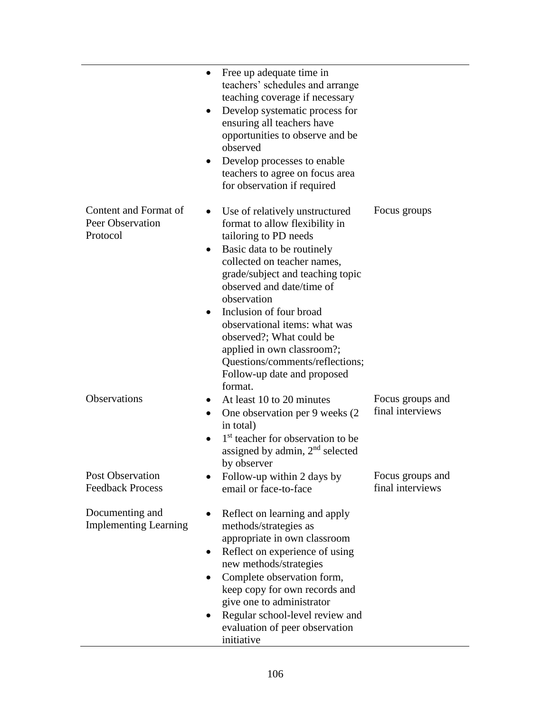|                                                       | $\bullet$              | Free up adequate time in<br>teachers' schedules and arrange<br>teaching coverage if necessary<br>Develop systematic process for<br>ensuring all teachers have<br>opportunities to observe and be<br>observed<br>Develop processes to enable<br>teachers to agree on focus area<br>for observation if required                                                                                                                             |                                      |
|-------------------------------------------------------|------------------------|-------------------------------------------------------------------------------------------------------------------------------------------------------------------------------------------------------------------------------------------------------------------------------------------------------------------------------------------------------------------------------------------------------------------------------------------|--------------------------------------|
| Content and Format of<br>Peer Observation<br>Protocol | $\bullet$<br>$\bullet$ | Use of relatively unstructured<br>format to allow flexibility in<br>tailoring to PD needs<br>Basic data to be routinely<br>collected on teacher names,<br>grade/subject and teaching topic<br>observed and date/time of<br>observation<br>Inclusion of four broad<br>observational items: what was<br>observed?; What could be<br>applied in own classroom?;<br>Questions/comments/reflections;<br>Follow-up date and proposed<br>format. | Focus groups                         |
| Observations                                          |                        | At least 10 to 20 minutes<br>One observation per 9 weeks (2)<br>in total)<br>1 <sup>st</sup> teacher for observation to be<br>assigned by admin, $2nd$ selected<br>by observer                                                                                                                                                                                                                                                            | Focus groups and<br>final interviews |
| <b>Post Observation</b><br><b>Feedback Process</b>    |                        | Follow-up within 2 days by<br>email or face-to-face                                                                                                                                                                                                                                                                                                                                                                                       | Focus groups and<br>final interviews |
| Documenting and<br><b>Implementing Learning</b>       |                        | Reflect on learning and apply<br>methods/strategies as<br>appropriate in own classroom<br>Reflect on experience of using<br>new methods/strategies<br>Complete observation form,<br>keep copy for own records and<br>give one to administrator<br>Regular school-level review and<br>evaluation of peer observation<br>initiative                                                                                                         |                                      |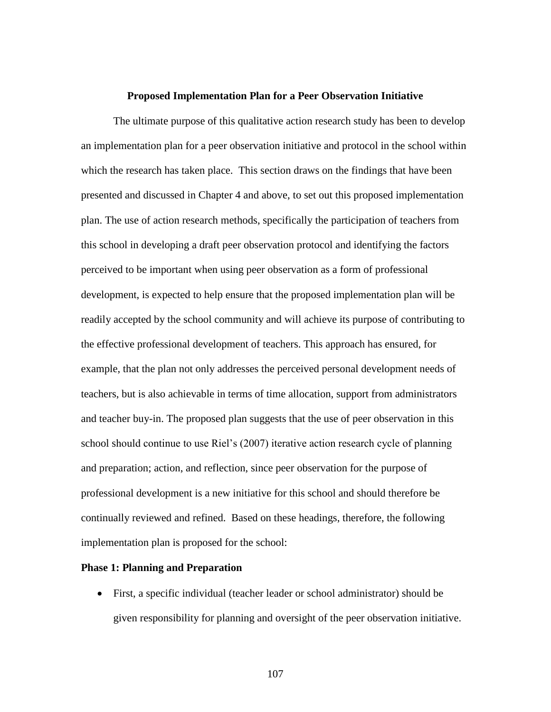#### **Proposed Implementation Plan for a Peer Observation Initiative**

The ultimate purpose of this qualitative action research study has been to develop an implementation plan for a peer observation initiative and protocol in the school within which the research has taken place. This section draws on the findings that have been presented and discussed in Chapter 4 and above, to set out this proposed implementation plan. The use of action research methods, specifically the participation of teachers from this school in developing a draft peer observation protocol and identifying the factors perceived to be important when using peer observation as a form of professional development, is expected to help ensure that the proposed implementation plan will be readily accepted by the school community and will achieve its purpose of contributing to the effective professional development of teachers. This approach has ensured, for example, that the plan not only addresses the perceived personal development needs of teachers, but is also achievable in terms of time allocation, support from administrators and teacher buy-in. The proposed plan suggests that the use of peer observation in this school should continue to use Riel's (2007) iterative action research cycle of planning and preparation; action, and reflection, since peer observation for the purpose of professional development is a new initiative for this school and should therefore be continually reviewed and refined. Based on these headings, therefore, the following implementation plan is proposed for the school:

#### **Phase 1: Planning and Preparation**

• First, a specific individual (teacher leader or school administrator) should be given responsibility for planning and oversight of the peer observation initiative.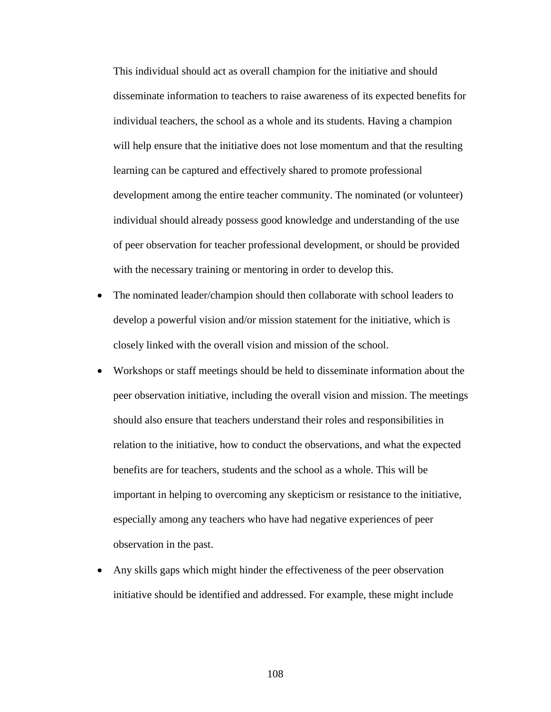This individual should act as overall champion for the initiative and should disseminate information to teachers to raise awareness of its expected benefits for individual teachers, the school as a whole and its students. Having a champion will help ensure that the initiative does not lose momentum and that the resulting learning can be captured and effectively shared to promote professional development among the entire teacher community. The nominated (or volunteer) individual should already possess good knowledge and understanding of the use of peer observation for teacher professional development, or should be provided with the necessary training or mentoring in order to develop this.

- The nominated leader/champion should then collaborate with school leaders to develop a powerful vision and/or mission statement for the initiative, which is closely linked with the overall vision and mission of the school.
- Workshops or staff meetings should be held to disseminate information about the peer observation initiative, including the overall vision and mission. The meetings should also ensure that teachers understand their roles and responsibilities in relation to the initiative, how to conduct the observations, and what the expected benefits are for teachers, students and the school as a whole. This will be important in helping to overcoming any skepticism or resistance to the initiative, especially among any teachers who have had negative experiences of peer observation in the past.
- Any skills gaps which might hinder the effectiveness of the peer observation initiative should be identified and addressed. For example, these might include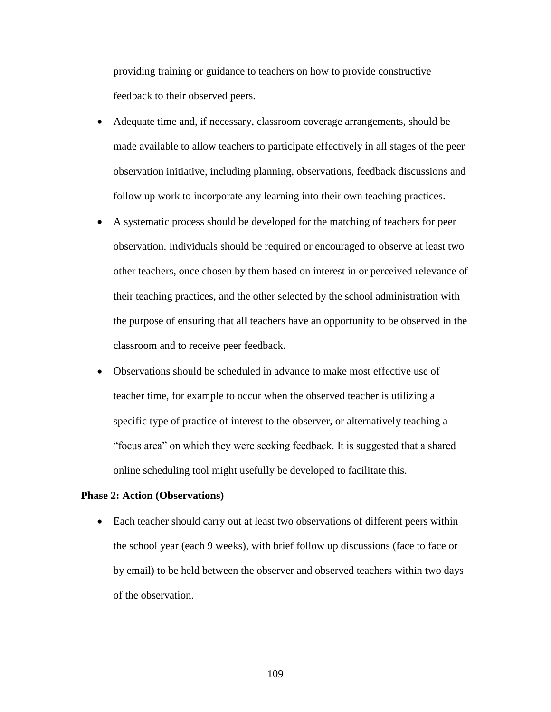providing training or guidance to teachers on how to provide constructive feedback to their observed peers.

- Adequate time and, if necessary, classroom coverage arrangements, should be made available to allow teachers to participate effectively in all stages of the peer observation initiative, including planning, observations, feedback discussions and follow up work to incorporate any learning into their own teaching practices.
- A systematic process should be developed for the matching of teachers for peer observation. Individuals should be required or encouraged to observe at least two other teachers, once chosen by them based on interest in or perceived relevance of their teaching practices, and the other selected by the school administration with the purpose of ensuring that all teachers have an opportunity to be observed in the classroom and to receive peer feedback.
- Observations should be scheduled in advance to make most effective use of teacher time, for example to occur when the observed teacher is utilizing a specific type of practice of interest to the observer, or alternatively teaching a "focus area" on which they were seeking feedback. It is suggested that a shared online scheduling tool might usefully be developed to facilitate this.

### **Phase 2: Action (Observations)**

• Each teacher should carry out at least two observations of different peers within the school year (each 9 weeks), with brief follow up discussions (face to face or by email) to be held between the observer and observed teachers within two days of the observation.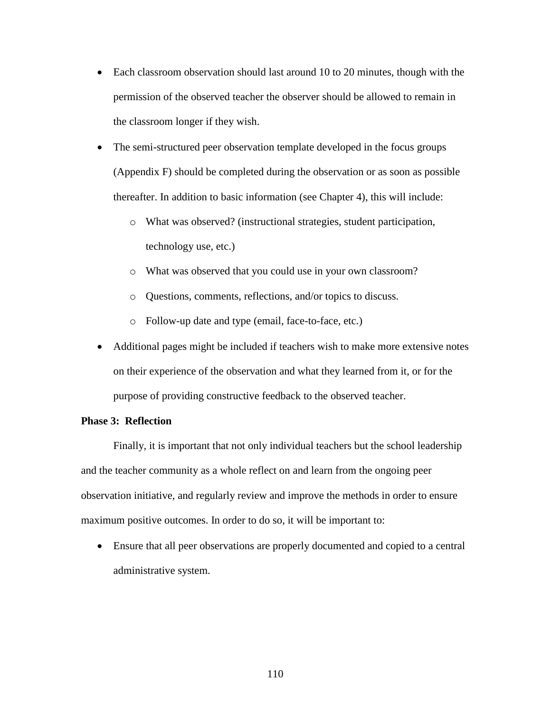- Each classroom observation should last around 10 to 20 minutes, though with the permission of the observed teacher the observer should be allowed to remain in the classroom longer if they wish.
- The semi-structured peer observation template developed in the focus groups (Appendix F) should be completed during the observation or as soon as possible thereafter. In addition to basic information (see Chapter 4), this will include:
	- o What was observed? (instructional strategies, student participation, technology use, etc.)
	- o What was observed that you could use in your own classroom?
	- o Questions, comments, reflections, and/or topics to discuss.
	- o Follow-up date and type (email, face-to-face, etc.)
- Additional pages might be included if teachers wish to make more extensive notes on their experience of the observation and what they learned from it, or for the purpose of providing constructive feedback to the observed teacher.

#### **Phase 3: Reflection**

Finally, it is important that not only individual teachers but the school leadership and the teacher community as a whole reflect on and learn from the ongoing peer observation initiative, and regularly review and improve the methods in order to ensure maximum positive outcomes. In order to do so, it will be important to:

• Ensure that all peer observations are properly documented and copied to a central administrative system.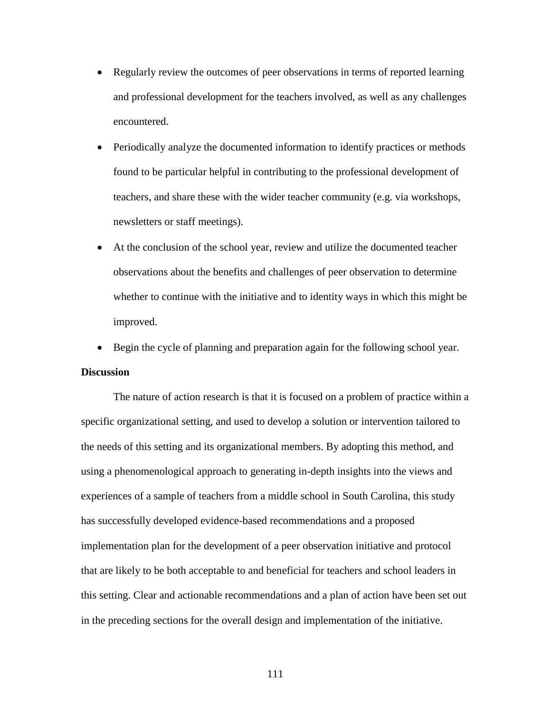- Regularly review the outcomes of peer observations in terms of reported learning and professional development for the teachers involved, as well as any challenges encountered.
- Periodically analyze the documented information to identify practices or methods found to be particular helpful in contributing to the professional development of teachers, and share these with the wider teacher community (e.g. via workshops, newsletters or staff meetings).
- At the conclusion of the school year, review and utilize the documented teacher observations about the benefits and challenges of peer observation to determine whether to continue with the initiative and to identity ways in which this might be improved.
- Begin the cycle of planning and preparation again for the following school year.

### **Discussion**

The nature of action research is that it is focused on a problem of practice within a specific organizational setting, and used to develop a solution or intervention tailored to the needs of this setting and its organizational members. By adopting this method, and using a phenomenological approach to generating in-depth insights into the views and experiences of a sample of teachers from a middle school in South Carolina, this study has successfully developed evidence-based recommendations and a proposed implementation plan for the development of a peer observation initiative and protocol that are likely to be both acceptable to and beneficial for teachers and school leaders in this setting. Clear and actionable recommendations and a plan of action have been set out in the preceding sections for the overall design and implementation of the initiative.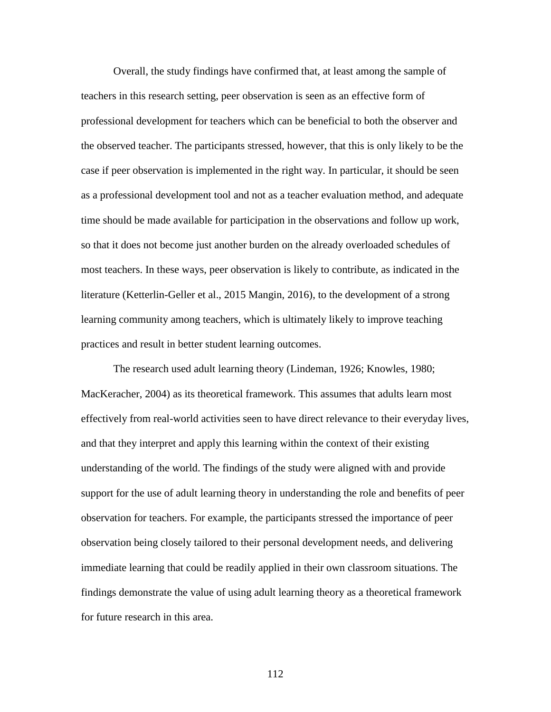Overall, the study findings have confirmed that, at least among the sample of teachers in this research setting, peer observation is seen as an effective form of professional development for teachers which can be beneficial to both the observer and the observed teacher. The participants stressed, however, that this is only likely to be the case if peer observation is implemented in the right way. In particular, it should be seen as a professional development tool and not as a teacher evaluation method, and adequate time should be made available for participation in the observations and follow up work, so that it does not become just another burden on the already overloaded schedules of most teachers. In these ways, peer observation is likely to contribute, as indicated in the literature (Ketterlin-Geller et al., 2015 Mangin, 2016), to the development of a strong learning community among teachers, which is ultimately likely to improve teaching practices and result in better student learning outcomes.

The research used adult learning theory (Lindeman, 1926; Knowles, 1980; MacKeracher, 2004) as its theoretical framework. This assumes that adults learn most effectively from real-world activities seen to have direct relevance to their everyday lives, and that they interpret and apply this learning within the context of their existing understanding of the world. The findings of the study were aligned with and provide support for the use of adult learning theory in understanding the role and benefits of peer observation for teachers. For example, the participants stressed the importance of peer observation being closely tailored to their personal development needs, and delivering immediate learning that could be readily applied in their own classroom situations. The findings demonstrate the value of using adult learning theory as a theoretical framework for future research in this area.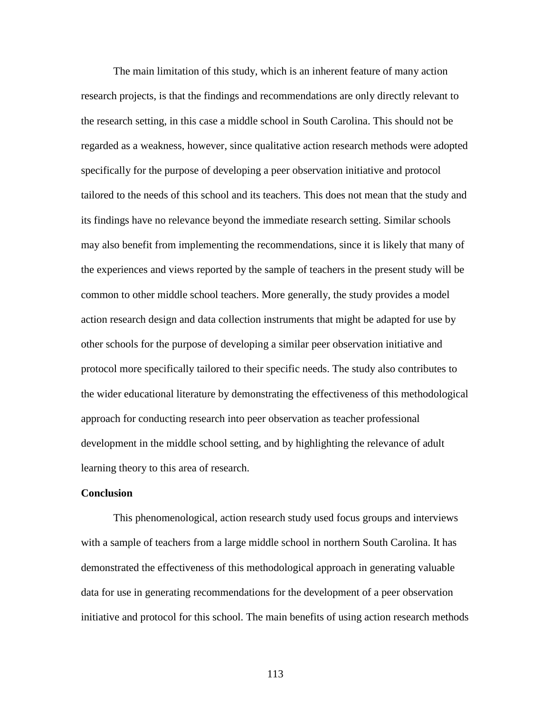The main limitation of this study, which is an inherent feature of many action research projects, is that the findings and recommendations are only directly relevant to the research setting, in this case a middle school in South Carolina. This should not be regarded as a weakness, however, since qualitative action research methods were adopted specifically for the purpose of developing a peer observation initiative and protocol tailored to the needs of this school and its teachers. This does not mean that the study and its findings have no relevance beyond the immediate research setting. Similar schools may also benefit from implementing the recommendations, since it is likely that many of the experiences and views reported by the sample of teachers in the present study will be common to other middle school teachers. More generally, the study provides a model action research design and data collection instruments that might be adapted for use by other schools for the purpose of developing a similar peer observation initiative and protocol more specifically tailored to their specific needs. The study also contributes to the wider educational literature by demonstrating the effectiveness of this methodological approach for conducting research into peer observation as teacher professional development in the middle school setting, and by highlighting the relevance of adult learning theory to this area of research.

#### **Conclusion**

 This phenomenological, action research study used focus groups and interviews with a sample of teachers from a large middle school in northern South Carolina. It has demonstrated the effectiveness of this methodological approach in generating valuable data for use in generating recommendations for the development of a peer observation initiative and protocol for this school. The main benefits of using action research methods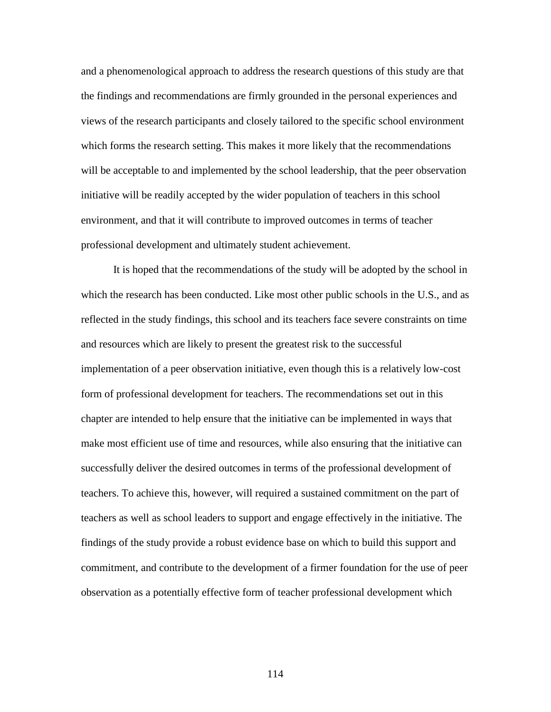and a phenomenological approach to address the research questions of this study are that the findings and recommendations are firmly grounded in the personal experiences and views of the research participants and closely tailored to the specific school environment which forms the research setting. This makes it more likely that the recommendations will be acceptable to and implemented by the school leadership, that the peer observation initiative will be readily accepted by the wider population of teachers in this school environment, and that it will contribute to improved outcomes in terms of teacher professional development and ultimately student achievement.

 It is hoped that the recommendations of the study will be adopted by the school in which the research has been conducted. Like most other public schools in the U.S., and as reflected in the study findings, this school and its teachers face severe constraints on time and resources which are likely to present the greatest risk to the successful implementation of a peer observation initiative, even though this is a relatively low-cost form of professional development for teachers. The recommendations set out in this chapter are intended to help ensure that the initiative can be implemented in ways that make most efficient use of time and resources, while also ensuring that the initiative can successfully deliver the desired outcomes in terms of the professional development of teachers. To achieve this, however, will required a sustained commitment on the part of teachers as well as school leaders to support and engage effectively in the initiative. The findings of the study provide a robust evidence base on which to build this support and commitment, and contribute to the development of a firmer foundation for the use of peer observation as a potentially effective form of teacher professional development which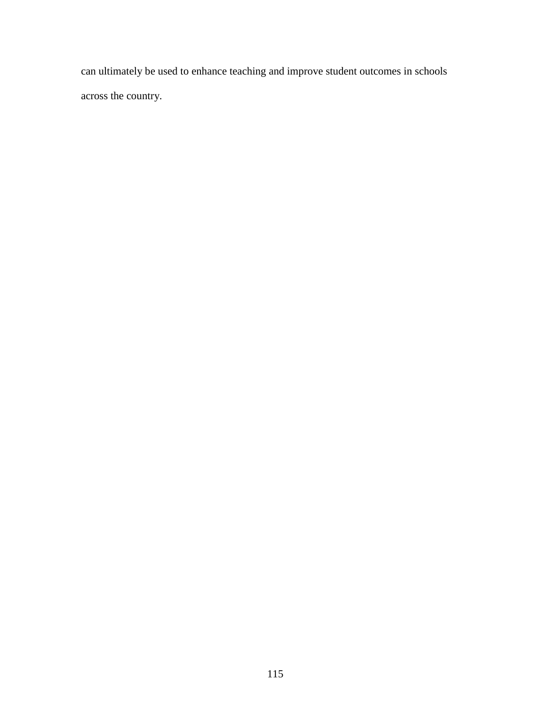can ultimately be used to enhance teaching and improve student outcomes in schools across the country.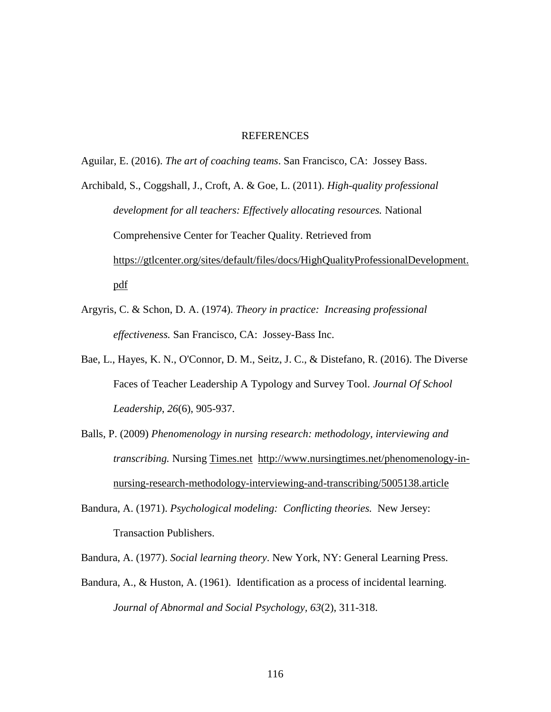#### REFERENCES

Aguilar, E. (2016). *The art of coaching teams*. San Francisco, CA: Jossey Bass.

Archibald, S., Coggshall, J., Croft, A. & Goe, L. (2011). *High-quality professional development for all teachers: Effectively allocating resources.* National Comprehensive Center for Teacher Quality. Retrieved from [https://gtlcenter.org/sites/default/files/docs/HighQualityProfessionalDevelopment.](https://gtlcenter.org/sites/default/files/docs/HighQualityProfessionalDevelopment.pdf) [pdf](https://gtlcenter.org/sites/default/files/docs/HighQualityProfessionalDevelopment.pdf)

- Argyris, C. & Schon, D. A. (1974). *Theory in practice: Increasing professional effectiveness.* San Francisco, CA: Jossey-Bass Inc.
- Bae, L., Hayes, K. N., O'Connor, D. M., Seitz, J. C., & Distefano, R. (2016). The Diverse Faces of Teacher Leadership A Typology and Survey Tool. *Journal Of School Leadership*, *26*(6), 905-937.
- Balls, P. (2009) *Phenomenology in nursing research: methodology, interviewing and transcribing.* Nursing [Times.net](http://times.net/) [http://www.nursingtimes.net/phenomenology-in](http://www.nursingtimes.net/phenomenology-in-nursing-research-methodology-interviewing-and-transcribing/5005138.article)[nursing-research-methodology-interviewing-and-transcribing/5005138.article](http://www.nursingtimes.net/phenomenology-in-nursing-research-methodology-interviewing-and-transcribing/5005138.article)
- Bandura, A. (1971). *Psychological modeling: Conflicting theories.* New Jersey: Transaction Publishers.

Bandura, A. (1977). *Social learning theory*. New York, NY: General Learning Press.

Bandura, A., & Huston, A. (1961). Identification as a process of incidental learning. *Journal of Abnormal and Social Psychology, 63*(2), 311-318.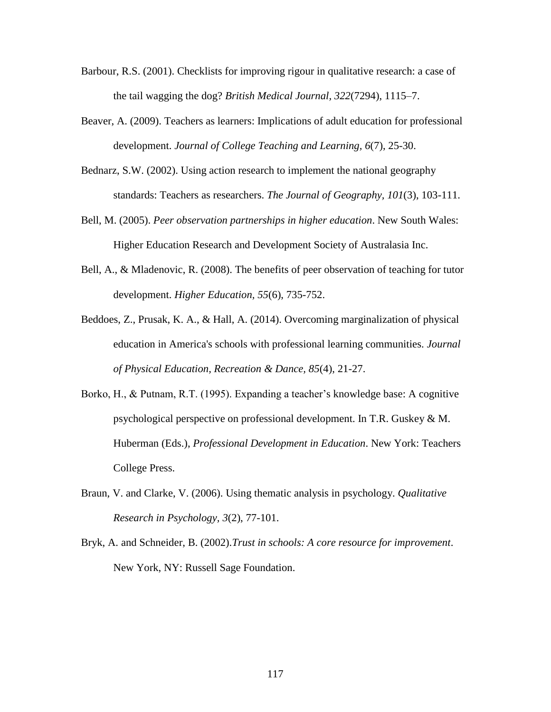- Barbour, R.S. (2001). Checklists for improving rigour in qualitative research: a case of the tail wagging the dog? *British Medical Journal, 322*(7294), 1115–7.
- Beaver, A. (2009). Teachers as learners: Implications of adult education for professional development. *Journal of College Teaching and Learning, 6*(7), 25-30.
- Bednarz, S.W. (2002). Using action research to implement the national geography standards: Teachers as researchers. *The Journal of Geography, 101*(3), 103-111.
- Bell, M. (2005). *Peer observation partnerships in higher education*. New South Wales: Higher Education Research and Development Society of Australasia Inc.
- Bell, A., & Mladenovic, R. (2008). The benefits of peer observation of teaching for tutor development. *Higher Education, 55*(6), 735-752.
- Beddoes, Z., Prusak, K. A., & Hall, A. (2014). Overcoming marginalization of physical education in America's schools with professional learning communities. *Journal of Physical Education, Recreation & Dance, 85*(4), 21-27.
- Borko, H., & Putnam, R.T. (1995). Expanding a teacher's knowledge base: A cognitive psychological perspective on professional development. In T.R. Guskey & M. Huberman (Eds.), *Professional Development in Education*. New York: Teachers College Press.
- Braun, V. and Clarke, V. (2006). Using thematic analysis in psychology. *Qualitative Research in Psychology, 3*(2), 77-101.
- Bryk, A. and Schneider, B. (2002).*Trust in schools: A core resource for improvement*. New York, NY: Russell Sage Foundation.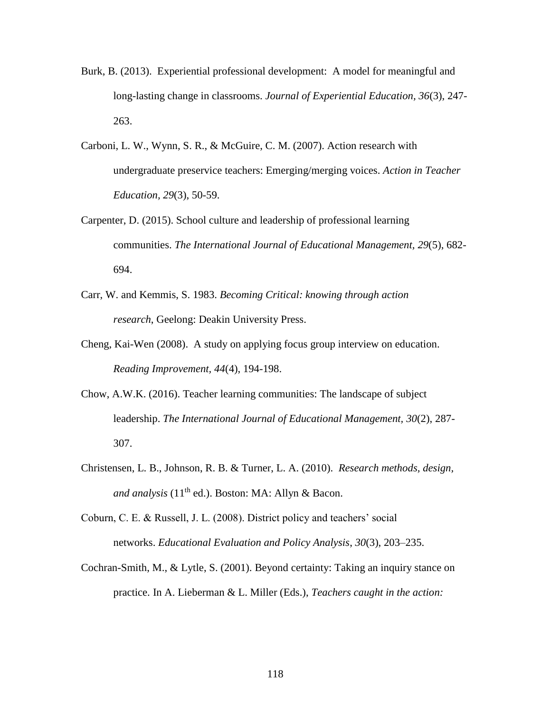- Burk, B. (2013). Experiential professional development: A model for meaningful and long-lasting change in classrooms. *Journal of Experiential Education, 36*(3), 247- 263.
- Carboni, L. W., Wynn, S. R., & McGuire, C. M. (2007). Action research with undergraduate preservice teachers: Emerging/merging voices. *Action in Teacher Education, 29*(3), 50-59.
- Carpenter, D. (2015). School culture and leadership of professional learning communities. *The International Journal of Educational Management, 29*(5), 682- 694.
- Carr, W. and Kemmis, S. 1983. *Becoming Critical: knowing through action research*, Geelong: Deakin University Press.
- Cheng, Kai-Wen (2008). A study on applying focus group interview on education. *Reading Improvement, 44*(4), 194-198.
- Chow, A.W.K. (2016). Teacher learning communities: The landscape of subject leadership. *The International Journal of Educational Management, 30*(2), 287- 307.
- Christensen, L. B., Johnson, R. B. & Turner, L. A. (2010). *Research methods, design, and analysis* (11<sup>th</sup> ed.). Boston: MA: Allyn & Bacon.
- Coburn, C. E. & Russell, J. L. (2008). District policy and teachers' social networks. *Educational Evaluation and Policy Analysis*, *30*(3), 203–235.
- Cochran-Smith, M., & Lytle, S. (2001). Beyond certainty: Taking an inquiry stance on practice. In A. Lieberman & L. Miller (Eds.), *Teachers caught in the action:*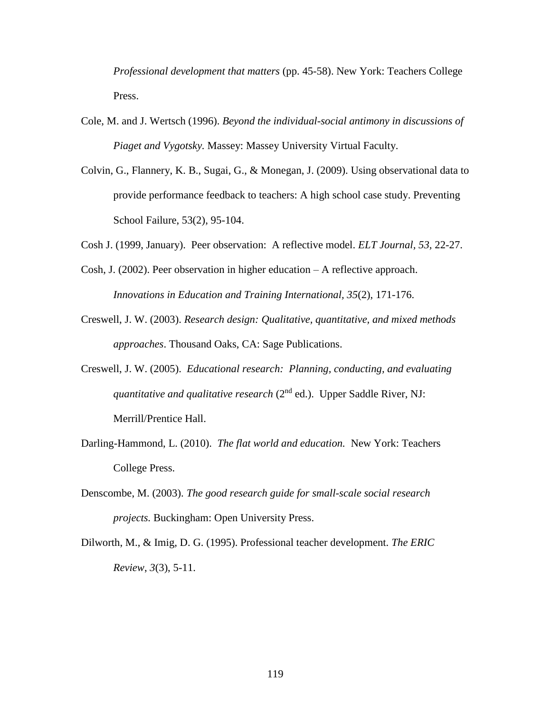*Professional development that matters* (pp. 45-58). New York: Teachers College Press.

- Cole, M. and J. Wertsch (1996). *Beyond the individual-social antimony in discussions of Piaget and Vygotsky.* Massey: Massey University Virtual Faculty.
- Colvin, G., Flannery, K. B., Sugai, G., & Monegan, J. (2009). Using observational data to provide performance feedback to teachers: A high school case study. Preventing School Failure, 53(2), 95-104.
- Cosh J. (1999, January). Peer observation: A reflective model. *ELT Journal, 53,* 22-27.
- Cosh, J. (2002). Peer observation in higher education A reflective approach. *Innovations in Education and Training International, 35*(2), 171-176.
- Creswell, J. W. (2003). *Research design: Qualitative, quantitative, and mixed methods approaches*. Thousand Oaks, CA: Sage Publications.
- Creswell, J. W. (2005). *Educational research: Planning, conducting, and evaluating quantitative and qualitative research* (2<sup>nd</sup> ed.). Upper Saddle River, NJ: Merrill/Prentice Hall.
- Darling-Hammond, L. (2010). *The flat world and education.* New York: Teachers College Press.
- Denscombe, M. (2003). *The good research guide for small-scale social research projects.* Buckingham: Open University Press.
- Dilworth, M., & Imig, D. G. (1995). Professional teacher development. *The ERIC Review*, *3*(3), 5-11.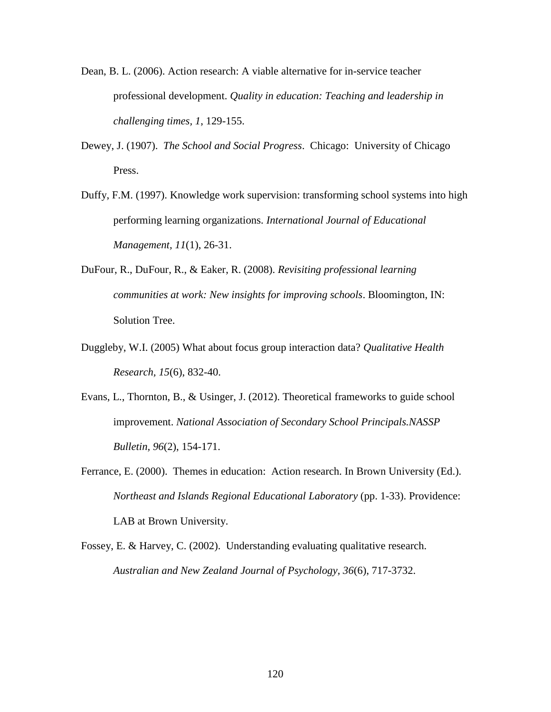- Dean, B. L. (2006). Action research: A viable alternative for in-service teacher professional development. *Quality in education: Teaching and leadership in challenging times, 1*, 129-155.
- Dewey, J. (1907). *The School and Social Progress*. Chicago: University of Chicago Press.
- Duffy, F.M. (1997). Knowledge work supervision: transforming school systems into high performing learning organizations. *International Journal of Educational Management, 11*(1), 26-31.
- DuFour, R., DuFour, R., & Eaker, R. (2008). *Revisiting professional learning communities at work: New insights for improving schools*. Bloomington, IN: Solution Tree.
- Duggleby, W.I. (2005) What about focus group interaction data? *Qualitative Health Research, 15*(6), 832-40.
- Evans, L., Thornton, B., & Usinger, J. (2012). Theoretical frameworks to guide school improvement. *National Association of Secondary School Principals.NASSP Bulletin, 96*(2), 154-171.
- Ferrance, E. (2000). Themes in education: Action research. In Brown University (Ed.). *Northeast and Islands Regional Educational Laboratory* (pp. 1-33). Providence: LAB at Brown University.
- Fossey, E. & Harvey, C. (2002). Understanding evaluating qualitative research. *Australian and New Zealand Journal of Psychology, 36*(6), 717-3732.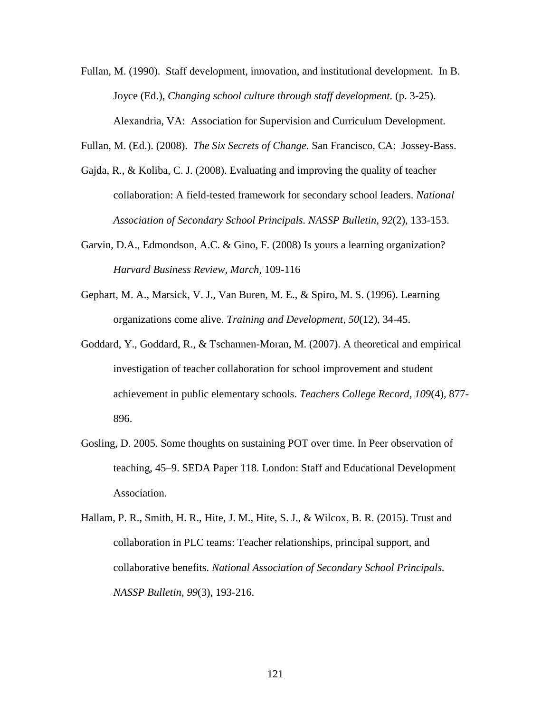Fullan, M. (1990). Staff development, innovation, and institutional development. In B. Joyce (Ed.), *Changing school culture through staff development.* (p. 3-25). Alexandria, VA: Association for Supervision and Curriculum Development.

Fullan, M. (Ed.). (2008). *The Six Secrets of Change.* San Francisco, CA: Jossey-Bass.

- Gajda, R., & Koliba, C. J. (2008). Evaluating and improving the quality of teacher collaboration: A field-tested framework for secondary school leaders. *National Association of Secondary School Principals. NASSP Bulletin, 92*(2), 133-153.
- Garvin, D.A., Edmondson, A.C. & Gino, F. (2008) Is yours a learning organization? *Harvard Business Review, March,* 109-116
- Gephart, M. A., Marsick, V. J., Van Buren, M. E., & Spiro, M. S. (1996). Learning organizations come alive. *Training and Development, 50*(12), 34-45.
- Goddard, Y., Goddard, R., & Tschannen-Moran, M. (2007). A theoretical and empirical investigation of teacher collaboration for school improvement and student achievement in public elementary schools. *Teachers College Record, 109*(4), 877- 896.
- Gosling, D. 2005. Some thoughts on sustaining POT over time. In Peer observation of teaching, 45–9. SEDA Paper 118. London: Staff and Educational Development Association.
- Hallam, P. R., Smith, H. R., Hite, J. M., Hite, S. J., & Wilcox, B. R. (2015). Trust and collaboration in PLC teams: Teacher relationships, principal support, and collaborative benefits. *National Association of Secondary School Principals. NASSP Bulletin, 99*(3), 193-216.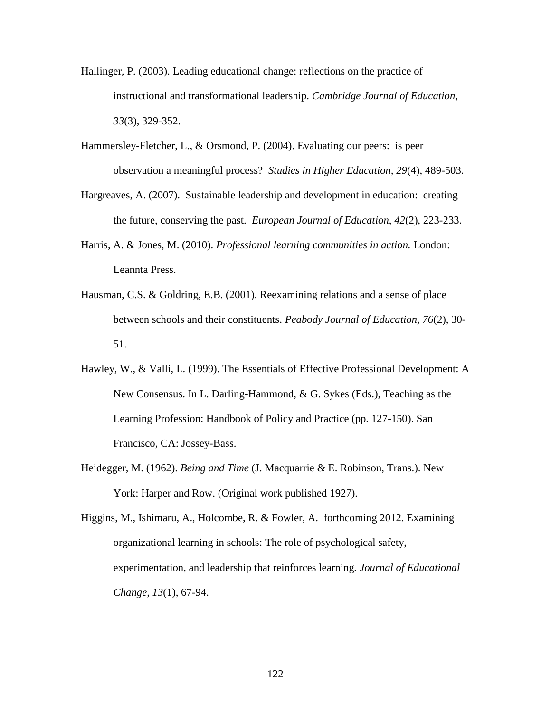- Hallinger, P. (2003). Leading educational change: reflections on the practice of instructional and transformational leadership. *Cambridge Journal of Education*, *33*(3), 329-352.
- Hammersley-Fletcher, L., & Orsmond, P. (2004). Evaluating our peers: is peer observation a meaningful process? *Studies in Higher Education, 29*(4), 489-503.
- Hargreaves, A. (2007). Sustainable leadership and development in education: creating the future, conserving the past. *European Journal of Education*, *42*(2), 223-233.
- Harris, A. & Jones, M. (2010). *Professional learning communities in action.* London: Leannta Press.
- Hausman, C.S. & Goldring, E.B. (2001). Reexamining relations and a sense of place between schools and their constituents. *Peabody Journal of Education, 76*(2), 30- 51.
- Hawley, W., & Valli, L. (1999). The Essentials of Effective Professional Development: A New Consensus. In L. Darling-Hammond, & G. Sykes (Eds.), Teaching as the Learning Profession: Handbook of Policy and Practice (pp. 127-150). San Francisco, CA: Jossey-Bass.
- Heidegger, M. (1962). *Being and Time* (J. Macquarrie & E. Robinson, Trans.). New York: Harper and Row. (Original work published 1927).

Higgins, M., Ishimaru, A., Holcombe, R. & Fowler, A. forthcoming 2012. Examining organizational learning in schools: The role of psychological safety, experimentation, and leadership that reinforces learning*. Journal of Educational Change, 13*(1), 67-94.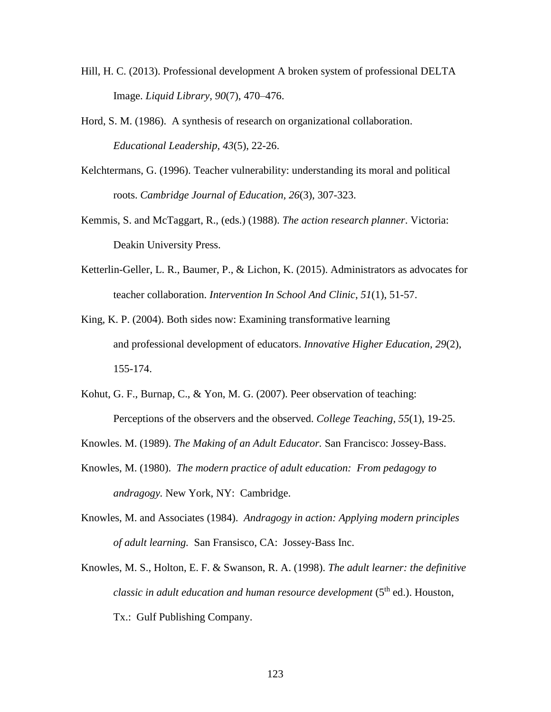- Hill, H. C. (2013). Professional development A broken system of professional DELTA Image. *Liquid Library, 90*(7), 470–476.
- Hord, S. M. (1986). A synthesis of research on organizational collaboration. *Educational Leadership, 43*(5), 22-26.
- Kelchtermans, G. (1996). Teacher vulnerability: understanding its moral and political roots. *Cambridge Journal of Education, 26*(3), 307-323.
- Kemmis, S. and McTaggart, R., (eds.) (1988). *The action research planner*. Victoria: Deakin University Press.
- Ketterlin-Geller, L. R., Baumer, P., & Lichon, K. (2015). Administrators as advocates for teacher collaboration. *Intervention In School And Clinic*, *51*(1), 51-57.
- King, K. P. (2004). Both sides now: Examining transformative learning and professional development of educators. *Innovative Higher Education, 29*(2), 155-174.
- Kohut, G. F., Burnap, C., & Yon, M. G. (2007). Peer observation of teaching: Perceptions of the observers and the observed. *College Teaching, 55*(1), 19-25.
- Knowles. M. (1989). *The Making of an Adult Educator.* San Francisco: Jossey-Bass.
- Knowles, M. (1980). *The modern practice of adult education: From pedagogy to andragogy.* New York, NY: Cambridge.
- Knowles, M. and Associates (1984). *Andragogy in action: Applying modern principles of adult learning.* San Fransisco, CA: Jossey-Bass Inc.
- Knowles, M. S., Holton, E. F. & Swanson, R. A. (1998). *The adult learner: the definitive classic in adult education and human resource development* (5<sup>th</sup> ed.). Houston, Tx.: Gulf Publishing Company.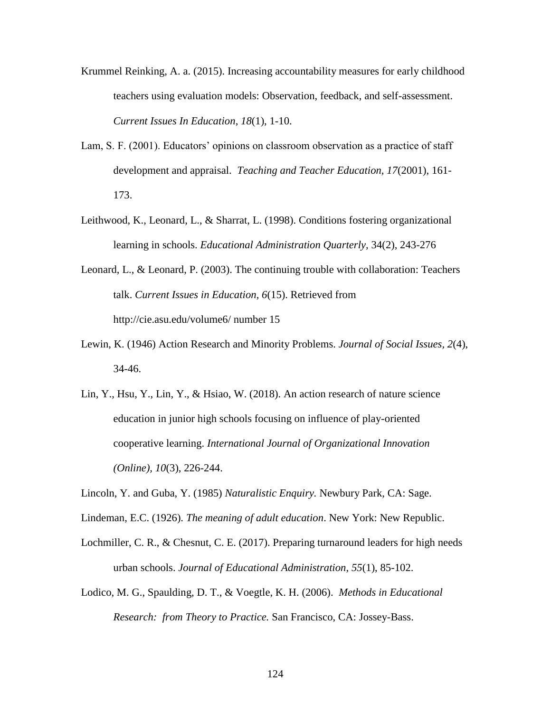- Krummel Reinking, A. a. (2015). Increasing accountability measures for early childhood teachers using evaluation models: Observation, feedback, and self-assessment. *Current Issues In Education*, *18*(1), 1-10.
- Lam, S. F. (2001). Educators' opinions on classroom observation as a practice of staff development and appraisal. *Teaching and Teacher Education, 17*(2001), 161- 173.
- Leithwood, K., Leonard, L., & Sharrat, L. (1998). Conditions fostering organizational learning in schools. *Educational Administration Quarterly,* 34(2), 243-276
- Leonard, L., & Leonard, P. (2003). The continuing trouble with collaboration: Teachers talk. *Current Issues in Education, 6*(15). Retrieved from http://cie.asu.edu/volume6/ number 15
- Lewin, K. (1946) Action Research and Minority Problems. *Journal of Social Issues, 2*(4), 34-46.
- Lin, Y., Hsu, Y., Lin, Y., & Hsiao, W. (2018). An action research of nature science education in junior high schools focusing on influence of play-oriented cooperative learning. *International Journal of Organizational Innovation (Online), 10*(3), 226-244.
- Lincoln, Y. and Guba, Y. (1985) *Naturalistic Enquiry.* Newbury Park, CA: Sage.
- Lindeman, E.C. (1926). *The meaning of adult education*. New York: New Republic.
- Lochmiller, C. R., & Chesnut, C. E. (2017). Preparing turnaround leaders for high needs urban schools. *Journal of Educational Administration, 55*(1), 85-102.
- Lodico, M. G., Spaulding, D. T., & Voegtle, K. H. (2006). *Methods in Educational Research: from Theory to Practice.* San Francisco, CA: Jossey-Bass.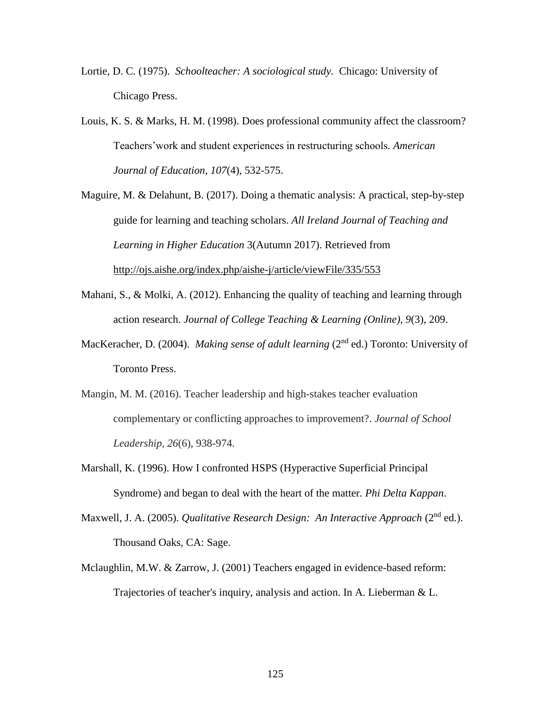- Lortie, D. C. (1975). *Schoolteacher: A sociological study.* Chicago: University of Chicago Press.
- Louis, K. S. & Marks, H. M. (1998). Does professional community affect the classroom? Teachers'work and student experiences in restructuring schools*. American Journal of Education, 107*(4), 532-575.
- Maguire, M. & Delahunt, B. (2017). Doing a thematic analysis: A practical, step-by-step guide for learning and teaching scholars. *All Ireland Journal of Teaching and Learning in Higher Education* 3(Autumn 2017). Retrieved from <http://ojs.aishe.org/index.php/aishe-j/article/viewFile/335/553>
- Mahani, S., & Molki, A. (2012). Enhancing the quality of teaching and learning through action research. *Journal of College Teaching & Learning (Online), 9*(3), 209.
- MacKeracher, D. (2004). *Making sense of adult learning* (2<sup>nd</sup> ed.) Toronto: University of Toronto Press.
- Mangin, M. M. (2016). Teacher leadership and high-stakes teacher evaluation complementary or conflicting approaches to improvement?. *Journal of School Leadership*, *26*(6), 938-974.
- Marshall, K. (1996). How I confronted HSPS (Hyperactive Superficial Principal Syndrome) and began to deal with the heart of the matter. *Phi Delta Kappan*.
- Maxwell, J. A. (2005). *Qualitative Research Design: An Interactive Approach* (2<sup>nd</sup> ed.). Thousand Oaks, CA: Sage.
- Mclaughlin, M.W. & Zarrow, J. (2001) Teachers engaged in evidence-based reform: Trajectories of teacher's inquiry, analysis and action. In A. Lieberman & L.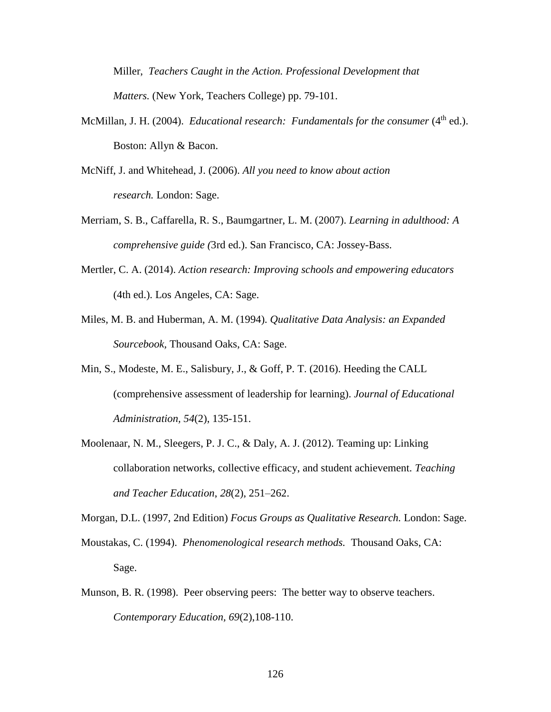Miller, *Teachers Caught in the Action. Professional Development that Matters.* (New York, Teachers College) pp. 79-101.

- McMillan, J. H. (2004). *Educational research: Fundamentals for the consumer* (4<sup>th</sup> ed.). Boston: Allyn & Bacon.
- McNiff, J. and Whitehead, J. (2006). *All you need to know about action research.* London: Sage.
- Merriam, S. B., Caffarella, R. S., Baumgartner, L. M. (2007). *Learning in adulthood: A comprehensive guide (*3rd ed.). San Francisco, CA: Jossey-Bass.
- Mertler, C. A. (2014). *Action research: Improving schools and empowering educators* (4th ed.). Los Angeles, CA: Sage.
- Miles, M. B. and Huberman, A. M. (1994). *Qualitative Data Analysis: an Expanded Sourcebook,* Thousand Oaks, CA: Sage.
- Min, S., Modeste, M. E., Salisbury, J., & Goff, P. T. (2016). Heeding the CALL (comprehensive assessment of leadership for learning). *Journal of Educational Administration, 54*(2), 135-151.
- Moolenaar, N. M., Sleegers, P. J. C., & Daly, A. J. (2012). Teaming up: Linking collaboration networks, collective efficacy, and student achievement. *Teaching and Teacher Education*, *28*(2), 251–262.

Morgan, D.L. (1997, 2nd Edition) *Focus Groups as Qualitative Research.* London: Sage.

- Moustakas, C. (1994). *Phenomenological research methods.* Thousand Oaks, CA: Sage.
- Munson, B. R. (1998). Peer observing peers: The better way to observe teachers. *Contemporary Education, 69*(2),108-110.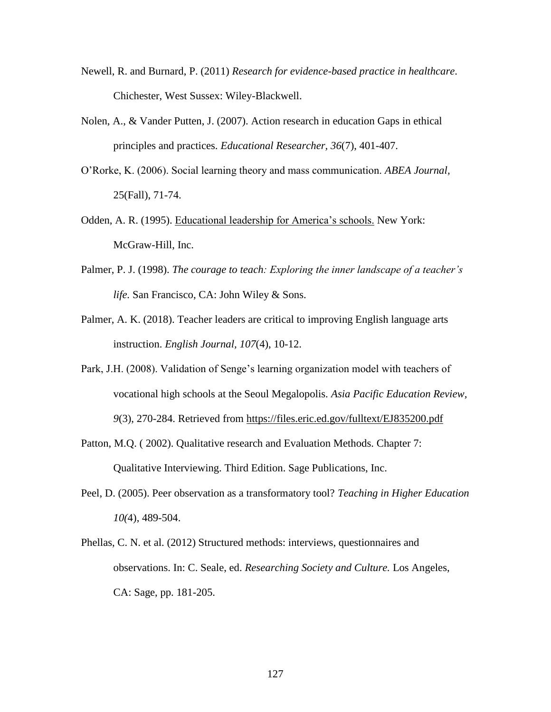- Newell, R. and Burnard, P. (2011) *Research for evidence-based practice in healthcare*. Chichester, West Sussex: Wiley-Blackwell.
- Nolen, A., & Vander Putten, J. (2007). Action research in education Gaps in ethical principles and practices. *Educational Researcher, 36*(7), 401-407.
- O'Rorke, K. (2006). Social learning theory and mass communication. *ABEA Journal,*  25(Fall), 71-74.
- Odden, A. R. (1995). Educational leadership for America's schools. New York: McGraw-Hill, Inc.
- Palmer, P. J. (1998). *The courage to teach: Exploring the inner landscape of a teacher's life.* San Francisco, CA: John Wiley & Sons.
- Palmer, A. K. (2018). Teacher leaders are critical to improving English language arts instruction. *English Journal, 107*(4), 10-12.
- Park, J.H. (2008). Validation of Senge's learning organization model with teachers of vocational high schools at the Seoul Megalopolis. *Asia Pacific Education Review, 9*(3), 270-284. Retrieved from<https://files.eric.ed.gov/fulltext/EJ835200.pdf>
- Patton, M.Q. (2002). Qualitative research and Evaluation Methods. Chapter 7: Qualitative Interviewing. Third Edition. Sage Publications, Inc.
- Peel, D. (2005). Peer observation as a transformatory tool? *Teaching in Higher Education 10(*4), 489-504.
- Phellas, C. N. et al. (2012) Structured methods: interviews, questionnaires and observations. In: C. Seale, ed. *Researching Society and Culture.* Los Angeles, CA: Sage, pp. 181-205.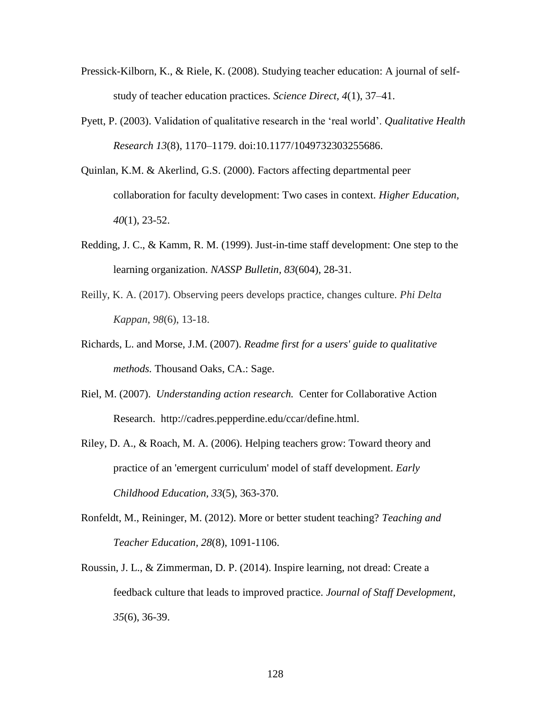- Pressick-Kilborn, K., & Riele, K. (2008). Studying teacher education: A journal of selfstudy of teacher education practices. *Science Direct, 4*(1), 37–41.
- Pyett, P. (2003). Validation of qualitative research in the 'real world'. *Qualitative Health Research 13*(8), 1170–1179. doi:10.1177/1049732303255686.
- Quinlan, K.M. & Akerlind, G.S. (2000). Factors affecting departmental peer collaboration for faculty development: Two cases in context. *Higher Education, 40*(1), 23-52.
- Redding, J. C., & Kamm, R. M. (1999). Just-in-time staff development: One step to the learning organization. *NASSP Bulletin, 83*(604), 28-31.
- Reilly, K. A. (2017). Observing peers develops practice, changes culture. *Phi Delta Kappan*, *98*(6), 13-18.
- Richards, L. and Morse, J.M. (2007). *Readme first for a users' guide to qualitative methods.* Thousand Oaks, CA.: Sage.
- Riel, M. (2007). *Understanding action research.* Center for Collaborative Action Research. http://cadres.pepperdine.edu/ccar/define.html.
- Riley, D. A., & Roach, M. A. (2006). Helping teachers grow: Toward theory and practice of an 'emergent curriculum' model of staff development. *Early Childhood Education, 33*(5), 363-370.
- Ronfeldt, M., Reininger, M. (2012). More or better student teaching? *Teaching and Teacher Education, 28*(8), 1091-1106.
- Roussin, J. L., & Zimmerman, D. P. (2014). Inspire learning, not dread: Create a feedback culture that leads to improved practice. *Journal of Staff Development*, *35*(6), 36-39.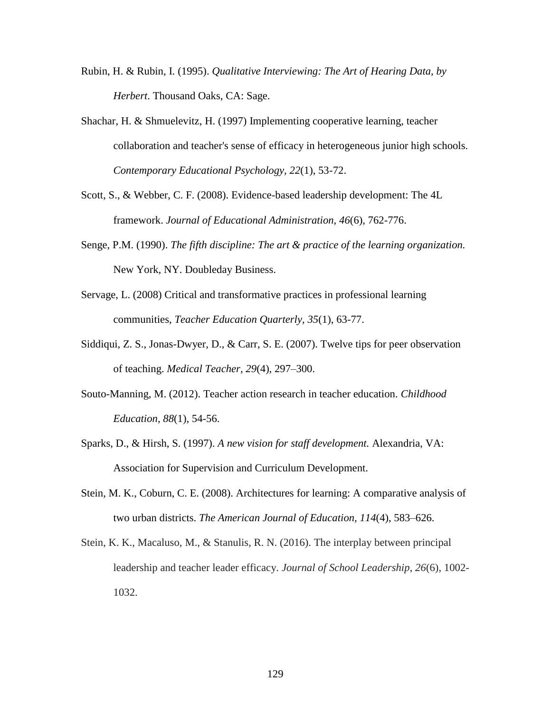- Rubin, H. & Rubin, I. (1995). *Qualitative Interviewing: The Art of Hearing Data, by Herbert*. Thousand Oaks, CA: Sage.
- Shachar, H. & Shmuelevitz, H. (1997) Implementing cooperative learning, teacher collaboration and teacher's sense of efficacy in heterogeneous junior high schools. *Contemporary Educational Psychology, 22*(1), 53-72.
- Scott, S., & Webber, C. F. (2008). Evidence-based leadership development: The 4L framework. *Journal of Educational Administration, 46*(6), 762-776.
- Senge, P.M. (1990). *The fifth discipline: The art & practice of the learning organization.*  New York, NY. Doubleday Business.
- Servage, L. (2008) Critical and transformative practices in professional learning communities, *Teacher Education Quarterly, 35*(1), 63-77.
- Siddiqui, Z. S., Jonas-Dwyer, D., & Carr, S. E. (2007). Twelve tips for peer observation of teaching. *Medical Teacher, 29*(4), 297–300.
- Souto-Manning, M. (2012). Teacher action research in teacher education. *Childhood Education, 88*(1), 54-56.
- Sparks, D., & Hirsh, S. (1997). *A new vision for staff development.* Alexandria, VA: Association for Supervision and Curriculum Development.
- Stein, M. K., Coburn, C. E. (2008). Architectures for learning: A comparative analysis of two urban districts. *The American Journal of Education, 114*(4), 583–626.
- Stein, K. K., Macaluso, M., & Stanulis, R. N. (2016). The interplay between principal leadership and teacher leader efficacy. *Journal of School Leadership*, *26*(6), 1002- 1032.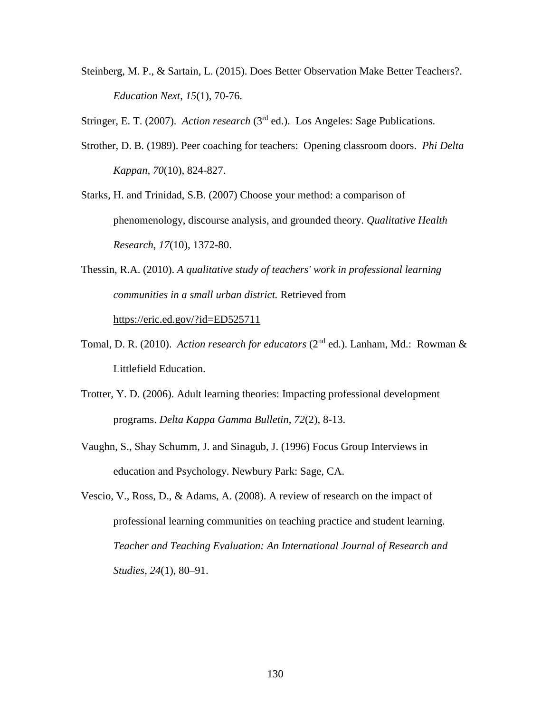Steinberg, M. P., & Sartain, L. (2015). Does Better Observation Make Better Teachers?. *Education Next*, *15*(1), 70-76.

Stringer, E. T. (2007). *Action research* (3rd ed.). Los Angeles: Sage Publications.

- Strother, D. B. (1989). Peer coaching for teachers: Opening classroom doors. *Phi Delta Kappan, 70*(10), 824-827.
- Starks, H. and Trinidad, S.B. (2007) Choose your method: a comparison of phenomenology, discourse analysis, and grounded theory. *Qualitative Health Research, 17*(10), 1372-80.
- Thessin, R.A. (2010). *A qualitative study of teachers' work in professional learning communities in a small urban district.* Retrieved from <https://eric.ed.gov/?id=ED525711>
- Tomal, D. R. (2010). *Action research for educators* (2<sup>nd</sup> ed.). Lanham, Md.: Rowman & Littlefield Education.
- Trotter, Y. D. (2006). Adult learning theories: Impacting professional development programs. *Delta Kappa Gamma Bulletin, 72*(2), 8-13.
- Vaughn, S., Shay Schumm, J. and Sinagub, J. (1996) Focus Group Interviews in education and Psychology. Newbury Park: Sage, CA.
- Vescio, V., Ross, D., & Adams, A. (2008). A review of research on the impact of professional learning communities on teaching practice and student learning. *Teacher and Teaching Evaluation: An International Journal of Research and Studies, 24*(1), 80–91.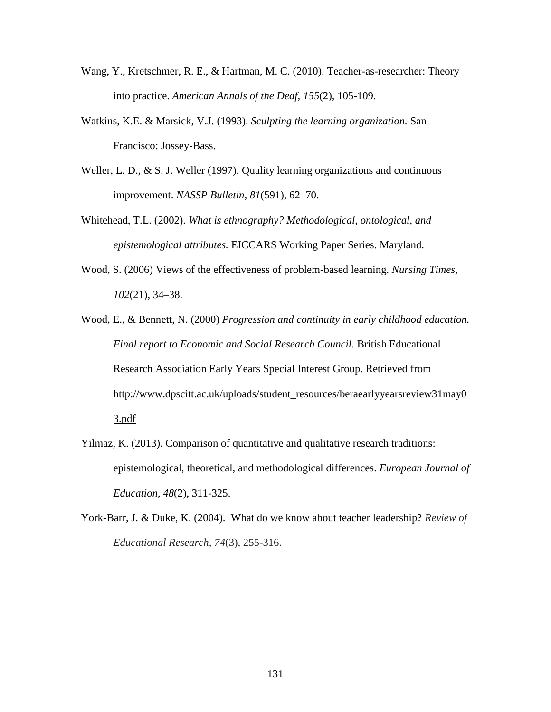- Wang, Y., Kretschmer, R. E., & Hartman, M. C. (2010). Teacher-as-researcher: Theory into practice. *American Annals of the Deaf, 155*(2), 105-109.
- Watkins, K.E. & Marsick, V.J. (1993). *Sculpting the learning organization.* San Francisco: Jossey-Bass.
- Weller, L. D., & S. J. Weller (1997). Quality learning organizations and continuous improvement. *NASSP Bulletin, 81*(591), 62–70.
- Whitehead, T.L. (2002). *What is ethnography? Methodological, ontological, and epistemological attributes.* EICCARS Working Paper Series. Maryland.
- Wood, S. (2006) Views of the effectiveness of problem-based learning. *Nursing Times, 102*(21), 34–38.
- Wood, E., & Bennett, N. (2000) *Progression and continuity in early childhood education. Final report to Economic and Social Research Council.* British Educational Research Association Early Years Special Interest Group. Retrieved from [http://www.dpscitt.ac.uk/uploads/student\\_resources/beraearlyyearsreview31may0](http://www.dpscitt.ac.uk/uploads/student_resources/beraearlyyearsreview31may03.pdf) [3.pdf](http://www.dpscitt.ac.uk/uploads/student_resources/beraearlyyearsreview31may03.pdf)
- Yilmaz, K. (2013). Comparison of quantitative and qualitative research traditions: epistemological, theoretical, and methodological differences. *European Journal of Education*, *48*(2), 311-325.
- York-Barr, J. & Duke, K. (2004). What do we know about teacher leadership? *Review of Educational Research, 74*(3), 255-316.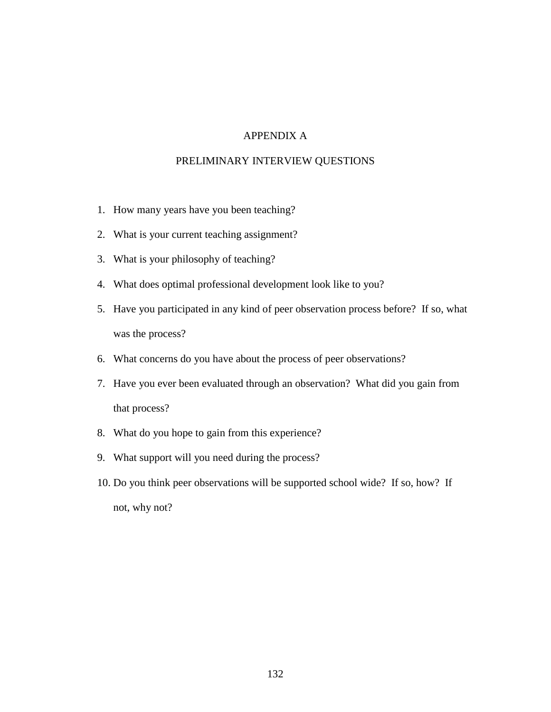## APPENDIX A

### PRELIMINARY INTERVIEW QUESTIONS

- 1. How many years have you been teaching?
- 2. What is your current teaching assignment?
- 3. What is your philosophy of teaching?
- 4. What does optimal professional development look like to you?
- 5. Have you participated in any kind of peer observation process before? If so, what was the process?
- 6. What concerns do you have about the process of peer observations?
- 7. Have you ever been evaluated through an observation? What did you gain from that process?
- 8. What do you hope to gain from this experience?
- 9. What support will you need during the process?
- 10. Do you think peer observations will be supported school wide? If so, how? If not, why not?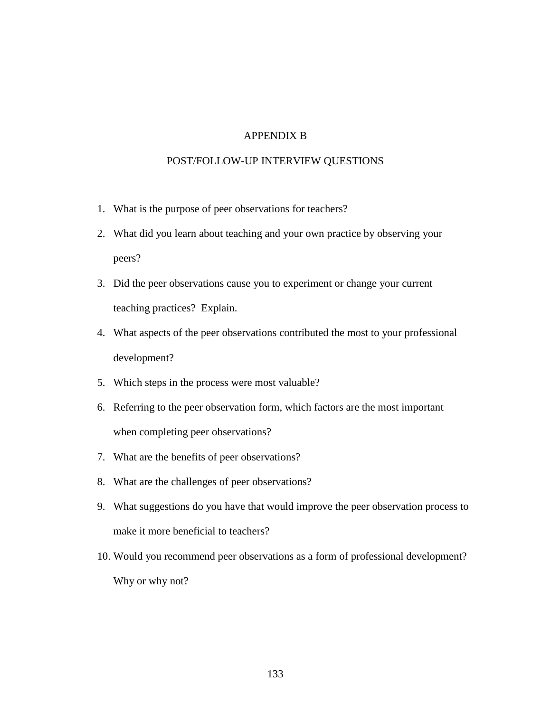### APPENDIX B

#### POST/FOLLOW-UP INTERVIEW QUESTIONS

- 1. What is the purpose of peer observations for teachers?
- 2. What did you learn about teaching and your own practice by observing your peers?
- 3. Did the peer observations cause you to experiment or change your current teaching practices? Explain.
- 4. What aspects of the peer observations contributed the most to your professional development?
- 5. Which steps in the process were most valuable?
- 6. Referring to the peer observation form, which factors are the most important when completing peer observations?
- 7. What are the benefits of peer observations?
- 8. What are the challenges of peer observations?
- 9. What suggestions do you have that would improve the peer observation process to make it more beneficial to teachers?
- 10. Would you recommend peer observations as a form of professional development? Why or why not?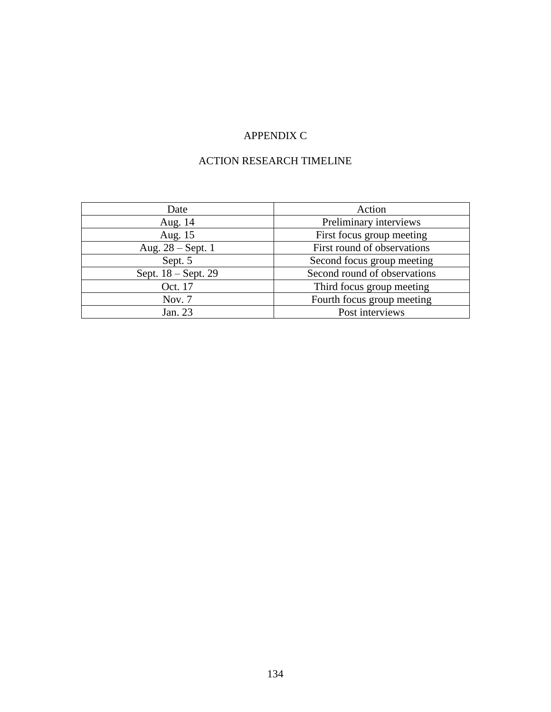# APPENDIX C

# ACTION RESEARCH TIMELINE

| Date                | Action                       |  |
|---------------------|------------------------------|--|
| Aug. 14             | Preliminary interviews       |  |
| Aug. 15             | First focus group meeting    |  |
| Aug. $28 - Sept.1$  | First round of observations  |  |
| Sept. 5             | Second focus group meeting   |  |
| Sept. 18 – Sept. 29 | Second round of observations |  |
| Oct. 17             | Third focus group meeting    |  |
| Nov. 7              | Fourth focus group meeting   |  |
| Jan. 23             | Post interviews              |  |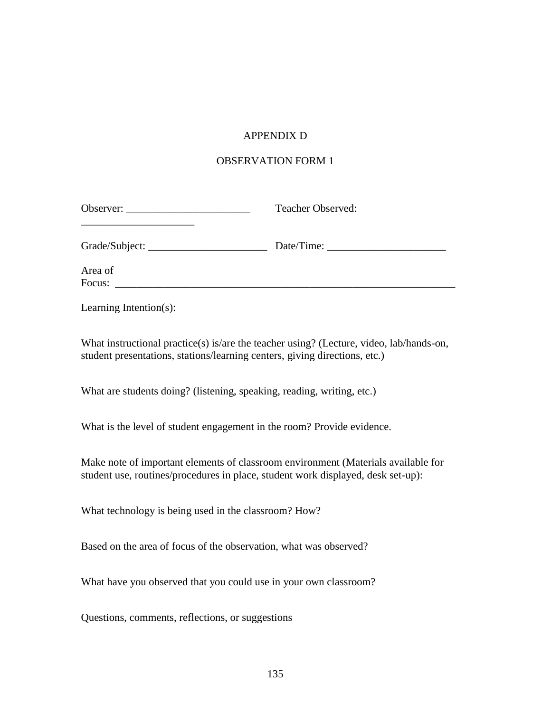# APPENDIX D

## OBSERVATION FORM 1

| Observer:                                                                                                                                                             | Teacher Observed: |  |  |  |  |
|-----------------------------------------------------------------------------------------------------------------------------------------------------------------------|-------------------|--|--|--|--|
|                                                                                                                                                                       |                   |  |  |  |  |
| Area of                                                                                                                                                               |                   |  |  |  |  |
| Learning Intention(s):                                                                                                                                                |                   |  |  |  |  |
| What instructional practice(s) is/are the teacher using? (Lecture, video, lab/hands-on,<br>student presentations, stations/learning centers, giving directions, etc.) |                   |  |  |  |  |
| What are students doing? (listening, speaking, reading, writing, etc.)                                                                                                |                   |  |  |  |  |
| What is the level of student engagement in the room? Provide evidence.                                                                                                |                   |  |  |  |  |
| Make note of important elements of classroom environment (Materials available for<br>student use, routines/procedures in place, student work displayed, desk set-up): |                   |  |  |  |  |
| What technology is being used in the classroom? How?                                                                                                                  |                   |  |  |  |  |
| Based on the area of focus of the observation, what was observed?                                                                                                     |                   |  |  |  |  |
| What have you observed that you could use in your own classroom?                                                                                                      |                   |  |  |  |  |
| Questions, comments, reflections, or suggestions                                                                                                                      |                   |  |  |  |  |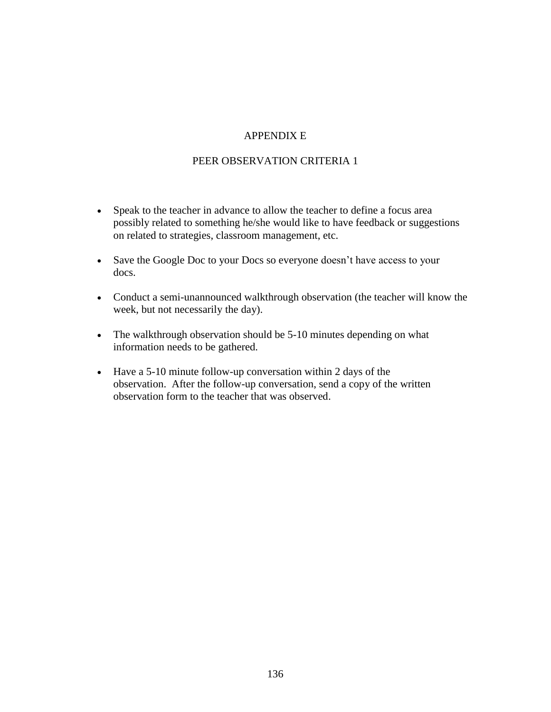## APPENDIX E

### PEER OBSERVATION CRITERIA 1

- Speak to the teacher in advance to allow the teacher to define a focus area possibly related to something he/she would like to have feedback or suggestions on related to strategies, classroom management, etc.
- Save the Google Doc to your Docs so everyone doesn't have access to your docs.
- Conduct a semi-unannounced walkthrough observation (the teacher will know the week, but not necessarily the day).
- The walkthrough observation should be 5-10 minutes depending on what information needs to be gathered.
- Have a 5-10 minute follow-up conversation within 2 days of the observation. After the follow-up conversation, send a copy of the written observation form to the teacher that was observed.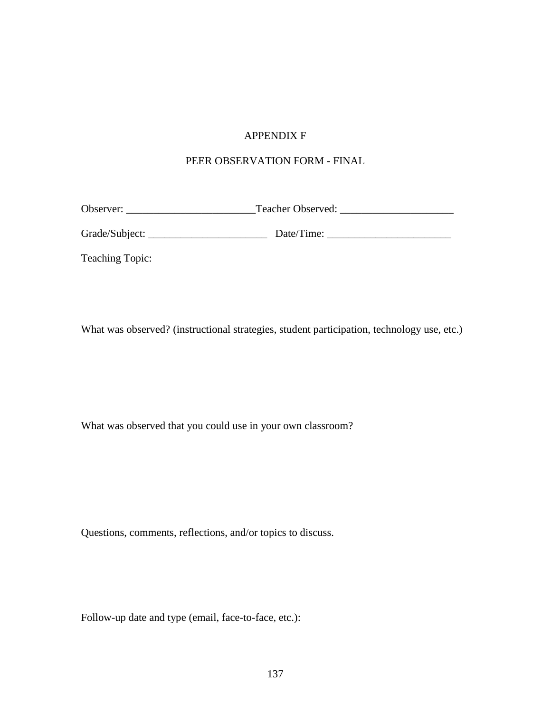## APPENDIX F

# PEER OBSERVATION FORM - FINAL

Observer: \_\_\_\_\_\_\_\_\_\_\_\_\_\_\_\_\_\_\_\_\_\_\_\_Teacher Observed: \_\_\_\_\_\_\_\_\_\_\_\_\_\_\_\_\_\_\_\_\_

Grade/Subject: \_\_\_\_\_\_\_\_\_\_\_\_\_\_\_\_\_\_\_\_\_\_ Date/Time: \_\_\_\_\_\_\_\_\_\_\_\_\_\_\_\_\_\_\_\_\_\_\_

Teaching Topic:

What was observed? (instructional strategies, student participation, technology use, etc.)

What was observed that you could use in your own classroom?

Questions, comments, reflections, and/or topics to discuss.

Follow-up date and type (email, face-to-face, etc.):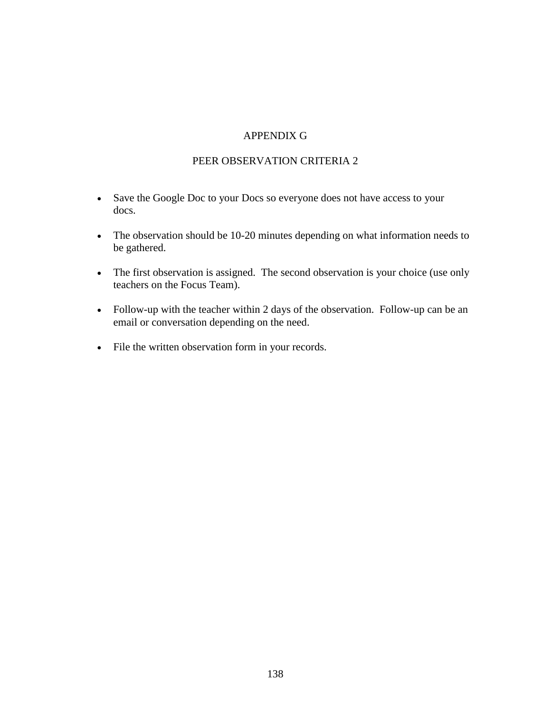### APPENDIX G

#### PEER OBSERVATION CRITERIA 2

- Save the Google Doc to your Docs so everyone does not have access to your docs.
- The observation should be 10-20 minutes depending on what information needs to be gathered.
- The first observation is assigned. The second observation is your choice (use only teachers on the Focus Team).
- Follow-up with the teacher within 2 days of the observation. Follow-up can be an email or conversation depending on the need.
- File the written observation form in your records.